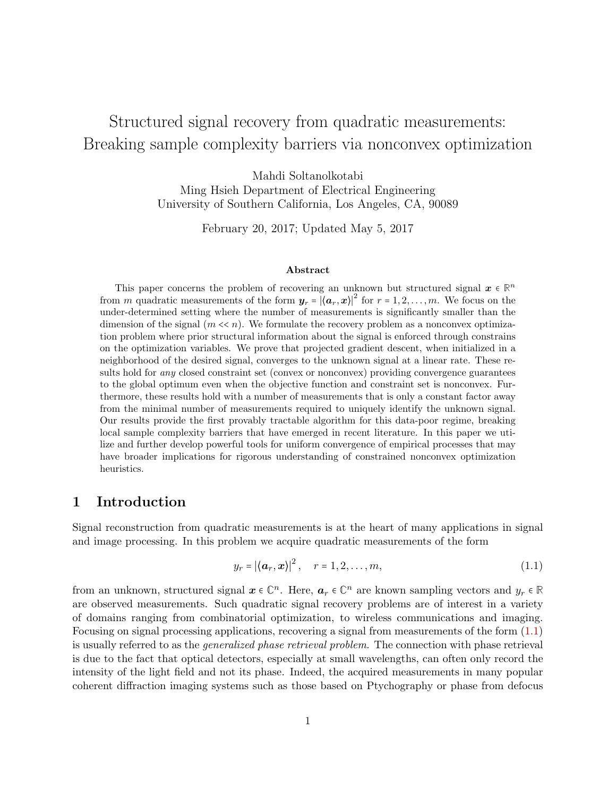# <span id="page-0-1"></span>Structured signal recovery from quadratic measurements: Breaking sample complexity barriers via nonconvex optimization

Mahdi Soltanolkotabi Ming Hsieh Department of Electrical Engineering University of Southern California, Los Angeles, CA, 90089

February 20, 2017; Updated May 5, 2017

#### Abstract

This paper concerns the problem of recovering an unknown but structured signal  $x \in \mathbb{R}^n$ from m quadratic measurements of the form  $y_r = |(a_r, x)|^2$  for  $r = 1, 2, ..., m$ . We focus on the under-determined setting where the number of measurements is significantly smaller than the dimension of the signal  $(m \ll n)$ . We formulate the recovery problem as a nonconvex optimization problem where prior structural information about the signal is enforced through constrains on the optimization variables. We prove that projected gradient descent, when initialized in a neighborhood of the desired signal, converges to the unknown signal at a linear rate. These results hold for *any* closed constraint set (convex or nonconvex) providing convergence guarantees to the global optimum even when the objective function and constraint set is nonconvex. Furthermore, these results hold with a number of measurements that is only a constant factor away from the minimal number of measurements required to uniquely identify the unknown signal. Our results provide the first provably tractable algorithm for this data-poor regime, breaking local sample complexity barriers that have emerged in recent literature. In this paper we utilize and further develop powerful tools for uniform convergence of empirical processes that may have broader implications for rigorous understanding of constrained nonconvex optimization heuristics.

## 1 Introduction

Signal reconstruction from quadratic measurements is at the heart of many applications in signal and image processing. In this problem we acquire quadratic measurements of the form

<span id="page-0-0"></span>
$$
y_r = \left| \langle \boldsymbol{a}_r, \boldsymbol{x} \rangle \right|^2, \quad r = 1, 2, \dots, m,
$$
\n
$$
(1.1)
$$

from an unknown, structured signal  $x \in \mathbb{C}^n$ . Here,  $a_r \in \mathbb{C}^n$  are known sampling vectors and  $y_r \in \mathbb{R}$ are observed measurements. Such quadratic signal recovery problems are of interest in a variety of domains ranging from combinatorial optimization, to wireless communications and imaging. Focusing on signal processing applications, recovering a signal from measurements of the form [\(1.1\)](#page-0-0) is usually referred to as the generalized phase retrieval problem. The connection with phase retrieval is due to the fact that optical detectors, especially at small wavelengths, can often only record the intensity of the light field and not its phase. Indeed, the acquired measurements in many popular coherent diffraction imaging systems such as those based on Ptychography or phase from defocus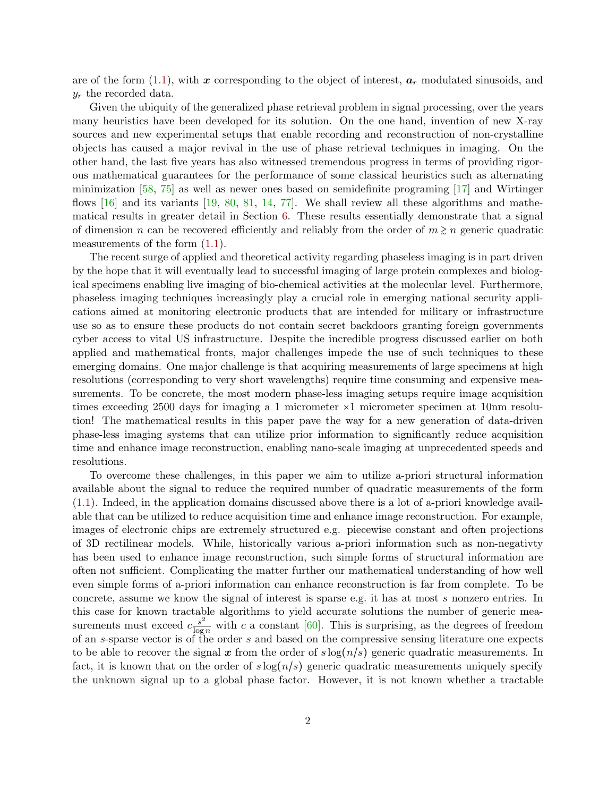are of the form  $(1.1)$ , with x corresponding to the object of interest,  $a_r$  modulated sinusoids, and  $y_r$  the recorded data.

Given the ubiquity of the generalized phase retrieval problem in signal processing, over the years many heuristics have been developed for its solution. On the one hand, invention of new X-ray sources and new experimental setups that enable recording and reconstruction of non-crystalline objects has caused a major revival in the use of phase retrieval techniques in imaging. On the other hand, the last five years has also witnessed tremendous progress in terms of providing rigorous mathematical guarantees for the performance of some classical heuristics such as alternating minimization  $[58, 75]$  $[58, 75]$  $[58, 75]$  as well as newer ones based on semidefinite programing  $[17]$  and Wirtinger flows  $[16]$  and its variants  $[19, 80, 81, 14, 77]$  $[19, 80, 81, 14, 77]$  $[19, 80, 81, 14, 77]$  $[19, 80, 81, 14, 77]$  $[19, 80, 81, 14, 77]$  $[19, 80, 81, 14, 77]$  $[19, 80, 81, 14, 77]$  $[19, 80, 81, 14, 77]$  $[19, 80, 81, 14, 77]$ . We shall review all these algorithms and mathematical results in greater detail in Section [6.](#page-8-0) These results essentially demonstrate that a signal of dimension n can be recovered efficiently and reliably from the order of  $m \geq n$  generic quadratic measurements of the form  $(1.1)$ .

The recent surge of applied and theoretical activity regarding phaseless imaging is in part driven by the hope that it will eventually lead to successful imaging of large protein complexes and biological specimens enabling live imaging of bio-chemical activities at the molecular level. Furthermore, phaseless imaging techniques increasingly play a crucial role in emerging national security applications aimed at monitoring electronic products that are intended for military or infrastructure use so as to ensure these products do not contain secret backdoors granting foreign governments cyber access to vital US infrastructure. Despite the incredible progress discussed earlier on both applied and mathematical fronts, major challenges impede the use of such techniques to these emerging domains. One major challenge is that acquiring measurements of large specimens at high resolutions (corresponding to very short wavelengths) require time consuming and expensive measurements. To be concrete, the most modern phase-less imaging setups require image acquisition times exceeding 2500 days for imaging a 1 micrometer ×1 micrometer specimen at 10nm resolution! The mathematical results in this paper pave the way for a new generation of data-driven phase-less imaging systems that can utilize prior information to significantly reduce acquisition time and enhance image reconstruction, enabling nano-scale imaging at unprecedented speeds and resolutions.

To overcome these challenges, in this paper we aim to utilize a-priori structural information available about the signal to reduce the required number of quadratic measurements of the form [\(1.1\)](#page-0-0). Indeed, in the application domains discussed above there is a lot of a-priori knowledge available that can be utilized to reduce acquisition time and enhance image reconstruction. For example, images of electronic chips are extremely structured e.g. piecewise constant and often projections of 3D rectilinear models. While, historically various a-priori information such as non-negativty has been used to enhance image reconstruction, such simple forms of structural information are often not sufficient. Complicating the matter further our mathematical understanding of how well even simple forms of a-priori information can enhance reconstruction is far from complete. To be concrete, assume we know the signal of interest is sparse e.g. it has at most s nonzero entries. In this case for known tractable algorithms to yield accurate solutions the number of generic measurements must exceed  $c \frac{s^2}{\log s}$  $\frac{s^2}{\log n}$  with c a constant [\[60\]](#page-35-1). This is surprising, as the degrees of freedom of an s-sparse vector is of the order s and based on the compressive sensing literature one expects to be able to recover the signal x from the order of  $s \log(n/s)$  generic quadratic measurements. In fact, it is known that on the order of  $s \log(n/s)$  generic quadratic measurements uniquely specify the unknown signal up to a global phase factor. However, it is not known whether a tractable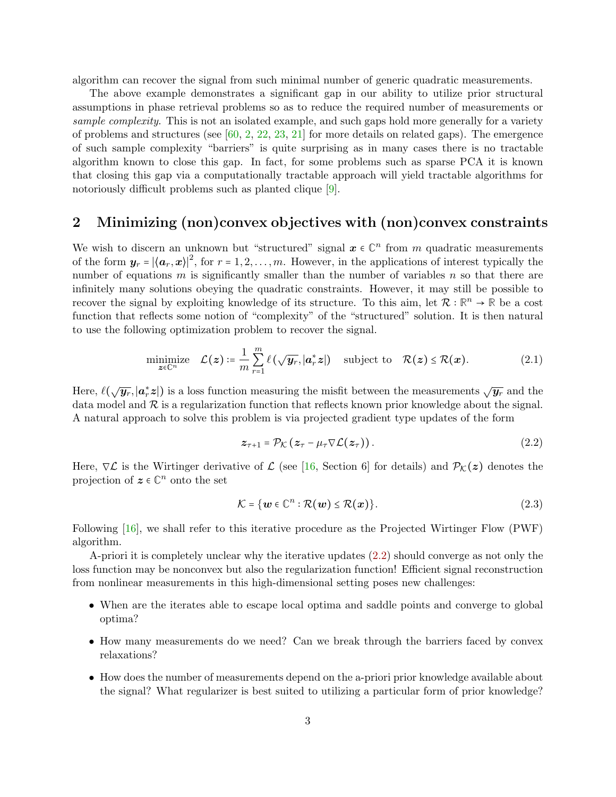algorithm can recover the signal from such minimal number of generic quadratic measurements.

The above example demonstrates a significant gap in our ability to utilize prior structural assumptions in phase retrieval problems so as to reduce the required number of measurements or sample complexity. This is not an isolated example, and such gaps hold more generally for a variety of problems and structures (see  $[60, 2, 22, 23, 21]$  $[60, 2, 22, 23, 21]$  $[60, 2, 22, 23, 21]$  $[60, 2, 22, 23, 21]$  $[60, 2, 22, 23, 21]$  $[60, 2, 22, 23, 21]$  $[60, 2, 22, 23, 21]$  $[60, 2, 22, 23, 21]$  $[60, 2, 22, 23, 21]$  for more details on related gaps). The emergence of such sample complexity "barriers" is quite surprising as in many cases there is no tractable algorithm known to close this gap. In fact, for some problems such as sparse PCA it is known that closing this gap via a computationally tractable approach will yield tractable algorithms for notoriously difficult problems such as planted clique [\[9\]](#page-32-2).

## 2 Minimizing (non)convex objectives with (non)convex constraints

We wish to discern an unknown but "structured" signal  $x \in \mathbb{C}^n$  from m quadratic measurements of the form  $y_r = |\langle a_r, x \rangle|^2$ , for  $r = 1, 2, ..., m$ . However, in the applications of interest typically the number of equations  $m$  is significantly smaller than the number of variables  $n$  so that there are infinitely many solutions obeying the quadratic constraints. However, it may still be possible to recover the signal by exploiting knowledge of its structure. To this aim, let  $\mathcal{R} : \mathbb{R}^n \to \mathbb{R}$  be a cost function that reflects some notion of "complexity" of the "structured" solution. It is then natural to use the following optimization problem to recover the signal.

$$
\underset{\boldsymbol{z}\in\mathbb{C}^n}{\text{minimize}} \quad \mathcal{L}(\boldsymbol{z}) \coloneqq \frac{1}{m} \sum_{r=1}^m \ell\left(\sqrt{\boldsymbol{y}_r}, |\boldsymbol{a}_r^*\boldsymbol{z}|\right) \quad \text{subject to} \quad \mathcal{R}(\boldsymbol{z}) \leq \mathcal{R}(\boldsymbol{x}). \tag{2.1}
$$

Here,  $\ell(\sqrt{\bm{y}_r}, |\bm{a}_r^*\bm{z}|)$  is a loss function measuring the misfit between the measurements  $\sqrt{\bm{y}_r}$  and the data model and  $\mathcal R$  is a regularization function that reflects known prior knowledge about the signal. A natural approach to solve this problem is via projected gradient type updates of the form

<span id="page-2-1"></span><span id="page-2-0"></span>
$$
z_{\tau+1} = \mathcal{P}_{\mathcal{K}}(z_{\tau} - \mu_{\tau} \nabla \mathcal{L}(z_{\tau})). \qquad (2.2)
$$

Here,  $\nabla \mathcal{L}$  is the Wirtinger derivative of  $\mathcal{L}$  (see [\[16,](#page-33-1) Section 6] for details) and  $\mathcal{P}_{\mathcal{K}}(z)$  denotes the projection of  $z \in \mathbb{C}^n$  onto the set

$$
\mathcal{K} = \{ \mathbf{w} \in \mathbb{C}^n : \mathcal{R}(\mathbf{w}) \leq \mathcal{R}(\mathbf{x}) \}. \tag{2.3}
$$

Following [\[16\]](#page-33-1), we shall refer to this iterative procedure as the Projected Wirtinger Flow (PWF) algorithm.

A-priori it is completely unclear why the iterative updates [\(2.2\)](#page-2-0) should converge as not only the loss function may be nonconvex but also the regularization function! Efficient signal reconstruction from nonlinear measurements in this high-dimensional setting poses new challenges:

- When are the iterates able to escape local optima and saddle points and converge to global optima?
- How many measurements do we need? Can we break through the barriers faced by convex relaxations?
- How does the number of measurements depend on the a-priori prior knowledge available about the signal? What regularizer is best suited to utilizing a particular form of prior knowledge?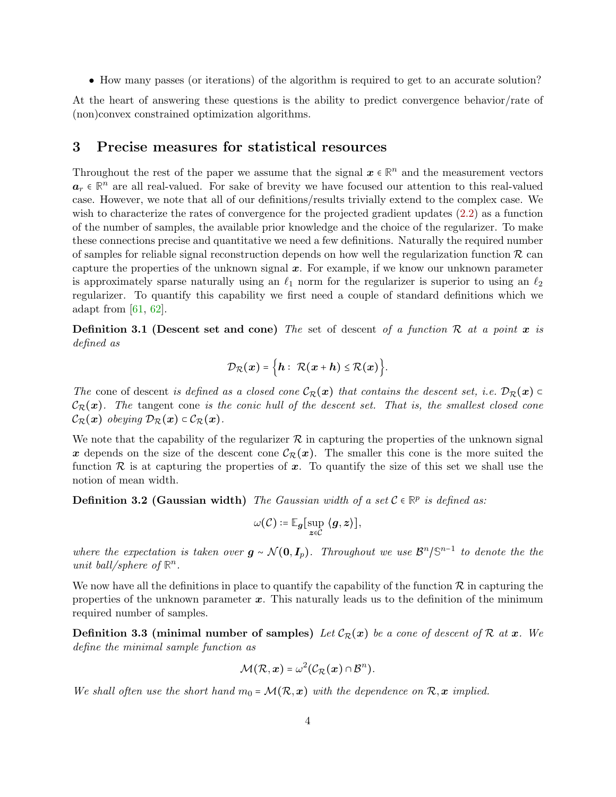• How many passes (or iterations) of the algorithm is required to get to an accurate solution?

At the heart of answering these questions is the ability to predict convergence behavior/rate of (non)convex constrained optimization algorithms.

## 3 Precise measures for statistical resources

Throughout the rest of the paper we assume that the signal  $x \in \mathbb{R}^n$  and the measurement vectors  $a_r \in \mathbb{R}^n$  are all real-valued. For sake of brevity we have focused our attention to this real-valued case. However, we note that all of our definitions/results trivially extend to the complex case. We wish to characterize the rates of convergence for the projected gradient updates [\(2.2\)](#page-2-0) as a function of the number of samples, the available prior knowledge and the choice of the regularizer. To make these connections precise and quantitative we need a few definitions. Naturally the required number of samples for reliable signal reconstruction depends on how well the regularization function  $\mathcal R$  can capture the properties of the unknown signal  $x$ . For example, if we know our unknown parameter is approximately sparse naturally using an  $\ell_1$  norm for the regularizer is superior to using an  $\ell_2$ regularizer. To quantify this capability we first need a couple of standard definitions which we adapt from [\[61,](#page-35-2) [62\]](#page-35-3).

**Definition 3.1 (Descent set and cone)** The set of descent of a function R at a point x is defined as

$$
\mathcal{D}_{\mathcal{R}}(x) = \Big\{ h: \ \mathcal{R}(x+h) \leq \mathcal{R}(x) \Big\}.
$$

The cone of descent is defined as a closed cone  $\mathcal{C}_{\mathcal{R}}(x)$  that contains the descent set, i.e.  $\mathcal{D}_{\mathcal{R}}(x)$  $\mathcal{C}_{\mathcal{R}}(x)$ . The tangent cone is the conic hull of the descent set. That is, the smallest closed cone  $\mathcal{C}_{\mathcal{R}}(x)$  obeying  $\mathcal{D}_{\mathcal{R}}(x) \subset \mathcal{C}_{\mathcal{R}}(x)$ .

We note that the capability of the regularizer  $R$  in capturing the properties of the unknown signal x depends on the size of the descent cone  $\mathcal{C}_{\mathcal{R}}(x)$ . The smaller this cone is the more suited the function  $\mathcal R$  is at capturing the properties of  $x$ . To quantify the size of this set we shall use the notion of mean width.

**Definition 3.2 (Gaussian width)** The Gaussian width of a set  $C \in \mathbb{R}^p$  is defined as:

<span id="page-3-1"></span>
$$
\omega(\mathcal{C}) \coloneqq \mathbb{E}_{\bm{g}}[\sup_{\bm{z}\in\mathcal{C}}\ \langle \bm{g}, \bm{z}\rangle],
$$

where the expectation is taken over  $g \sim \mathcal{N}(0, I_p)$ . Throughout we use  $\mathcal{B}^n/\mathbb{S}^{n-1}$  to denote the the unit ball/sphere of  $\mathbb{R}^n$ .

We now have all the definitions in place to quantify the capability of the function  $\mathcal R$  in capturing the properties of the unknown parameter  $x$ . This naturally leads us to the definition of the minimum required number of samples.

**Definition 3.3 (minimal number of samples)** Let  $\mathcal{C}_{\mathcal{R}}(x)$  be a cone of descent of  $\mathcal{R}$  at  $x$ . We define the minimal sample function as

<span id="page-3-0"></span>
$$
\mathcal{M}(\mathcal{R},x)=\omega^2(\mathcal{C}_{\mathcal{R}}(x)\cap\mathcal{B}^n).
$$

We shall often use the short hand  $m_0 = \mathcal{M}(\mathcal{R},x)$  with the dependence on  $\mathcal{R},x$  implied.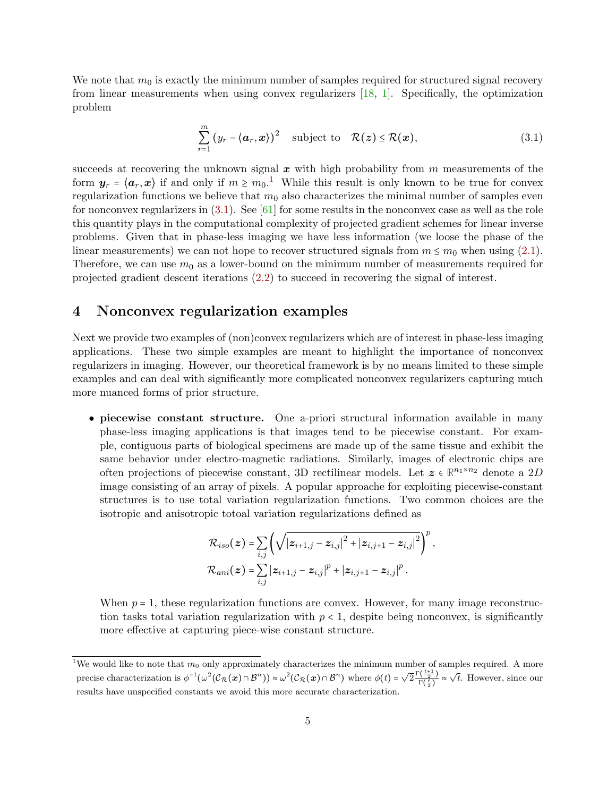We note that  $m_0$  is exactly the minimum number of samples required for structured signal recovery from linear measurements when using convex regularizers [\[18,](#page-33-6) [1\]](#page-32-3). Specifically, the optimization problem

<span id="page-4-0"></span>
$$
\sum_{r=1}^{m} (y_r - \langle \boldsymbol{a}_r, \boldsymbol{x} \rangle)^2 \quad \text{subject to} \quad \mathcal{R}(\boldsymbol{z}) \leq \mathcal{R}(\boldsymbol{x}), \tag{3.1}
$$

succeeds at recovering the unknown signal  $x$  with high probability from  $m$  measurements of the form  $y_r = \langle a_r, x \rangle$  if and only if  $m \geq m_0$ .<sup>[1](#page-0-1)</sup> While this result is only known to be true for convex regularization functions we believe that  $m<sub>0</sub>$  also characterizes the minimal number of samples even for nonconvex regularizers in  $(3.1)$ . See  $[61]$  for some results in the nonconvex case as well as the role this quantity plays in the computational complexity of projected gradient schemes for linear inverse problems. Given that in phase-less imaging we have less information (we loose the phase of the linear measurements) we can not hope to recover structured signals from  $m \le m_0$  when using [\(2.1\)](#page-2-1). Therefore, we can use  $m_0$  as a lower-bound on the minimum number of measurements required for projected gradient descent iterations [\(2.2\)](#page-2-0) to succeed in recovering the signal of interest.

## 4 Nonconvex regularization examples

Next we provide two examples of (non)convex regularizers which are of interest in phase-less imaging applications. These two simple examples are meant to highlight the importance of nonconvex regularizers in imaging. However, our theoretical framework is by no means limited to these simple examples and can deal with significantly more complicated nonconvex regularizers capturing much more nuanced forms of prior structure.

• piecewise constant structure. One a-priori structural information available in many phase-less imaging applications is that images tend to be piecewise constant. For example, contiguous parts of biological specimens are made up of the same tissue and exhibit the same behavior under electro-magnetic radiations. Similarly, images of electronic chips are often projections of piecewise constant, 3D rectilinear models. Let  $z \in \mathbb{R}^{n_1 \times n_2}$  denote a 2D image consisting of an array of pixels. A popular approache for exploiting piecewise-constant structures is to use total variation regularization functions. Two common choices are the isotropic and anisotropic totoal variation regularizations defined as

$$
\mathcal{R}_{iso}(z) = \sum_{i,j} \left( \sqrt{|z_{i+1,j} - z_{i,j}|^2 + |z_{i,j+1} - z_{i,j}|^2} \right)^p,
$$
  

$$
\mathcal{R}_{ani}(z) = \sum_{i,j} |z_{i+1,j} - z_{i,j}|^p + |z_{i,j+1} - z_{i,j}|^p.
$$

When  $p = 1$ , these regularization functions are convex. However, for many image reconstruction tasks total variation regularization with  $p < 1$ , despite being nonconvex, is significantly more effective at capturing piece-wise constant structure.

<sup>&</sup>lt;sup>1</sup>We would like to note that  $m_0$  only approximately characterizes the minimum number of samples required. A more precise characterization is  $\phi^{-1}(\omega^2(\mathcal{C}_R(\boldsymbol{x}) \cap \mathcal{B}^n)) \approx \omega^2(\mathcal{C}_R(\boldsymbol{x}) \cap \mathcal{B}^n)$  where  $\phi(t) = \sqrt{2} \frac{\Gamma(\frac{t+1}{2})}{\Gamma(\frac{t}{2})}$  $\frac{\Gamma(\frac{t+1}{2})}{\Gamma(\frac{t}{2})} \approx \sqrt{t}$ . However, since our results have unspecified constants we avoid this more accurate characterization.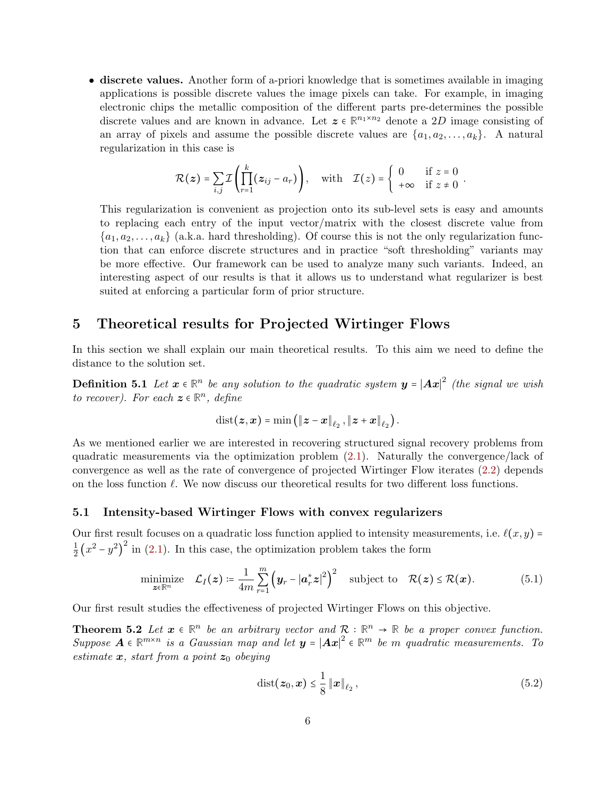• discrete values. Another form of a-priori knowledge that is sometimes available in imaging applications is possible discrete values the image pixels can take. For example, in imaging electronic chips the metallic composition of the different parts pre-determines the possible discrete values and are known in advance. Let  $z \in \mathbb{R}^{n_1 \times n_2}$  denote a 2D image consisting of an array of pixels and assume the possible discrete values are  $\{a_1, a_2, \ldots, a_k\}$ . A natural regularization in this case is

$$
\mathcal{R}(z) = \sum_{i,j} \mathcal{I}\left(\prod_{r=1}^k (z_{ij} - a_r)\right), \quad \text{with} \quad \mathcal{I}(z) = \begin{cases} 0 & \text{if } z = 0 \\ +\infty & \text{if } z \neq 0 \end{cases}.
$$

This regularization is convenient as projection onto its sub-level sets is easy and amounts to replacing each entry of the input vector/matrix with the closest discrete value from  $\{a_1, a_2, \ldots, a_k\}$  (a.k.a. hard thresholding). Of course this is not the only regularization function that can enforce discrete structures and in practice "soft thresholding" variants may be more effective. Our framework can be used to analyze many such variants. Indeed, an interesting aspect of our results is that it allows us to understand what regularizer is best suited at enforcing a particular form of prior structure.

## 5 Theoretical results for Projected Wirtinger Flows

In this section we shall explain our main theoretical results. To this aim we need to define the distance to the solution set.

**Definition 5.1** Let  $x \in \mathbb{R}^n$  be any solution to the quadratic system  $y = |Ax|^2$  (the signal we wish to recover). For each  $z \in \mathbb{R}^n$ , define

$$
\text{dist}(\boldsymbol{z},\boldsymbol{x})=\min\left(\left\|\boldsymbol{z}-\boldsymbol{x}\right\|_{\ell_2},\left\|\boldsymbol{z}+\boldsymbol{x}\right\|_{\ell_2}\right).
$$

As we mentioned earlier we are interested in recovering structured signal recovery problems from quadratic measurements via the optimization problem [\(2.1\)](#page-2-1). Naturally the convergence/lack of convergence as well as the rate of convergence of projected Wirtinger Flow iterates [\(2.2\)](#page-2-0) depends on the loss function  $\ell$ . We now discuss our theoretical results for two different loss functions.

### <span id="page-5-3"></span>5.1 Intensity-based Wirtinger Flows with convex regularizers

Our first result focuses on a quadratic loss function applied to intensity measurements, i.e.  $\ell(x, y)$  = 1  $\frac{1}{2}(x^2-y^2)^2$  in [\(2.1\)](#page-2-1). In this case, the optimization problem takes the form

$$
\underset{\boldsymbol{z}\in\mathbb{R}^n}{\text{minimize}} \quad \mathcal{L}_I(\boldsymbol{z}) \coloneqq \frac{1}{4m} \sum_{r=1}^m \left(\boldsymbol{y}_r - |\boldsymbol{a}_r^*\boldsymbol{z}|^2\right)^2 \quad \text{subject to} \quad \mathcal{R}(\boldsymbol{z}) \leq \mathcal{R}(\boldsymbol{x}). \tag{5.1}
$$

Our first result studies the effectiveness of projected Wirtinger Flows on this objective.

**Theorem 5.2** Let  $x \in \mathbb{R}^n$  be an arbitrary vector and  $\mathcal{R}: \mathbb{R}^n \to \mathbb{R}$  be a proper convex function. Suppose  $A \in \mathbb{R}^{m \times n}$  is a Gaussian map and let  $y = |Ax|^2 \in \mathbb{R}^m$  be m quadratic measurements. To estimate  $x$ , start from a point  $z_0$  obeying

<span id="page-5-2"></span><span id="page-5-1"></span><span id="page-5-0"></span>
$$
dist(z_0, x) \leq \frac{1}{8} ||x||_{\ell_2},
$$
\n(5.2)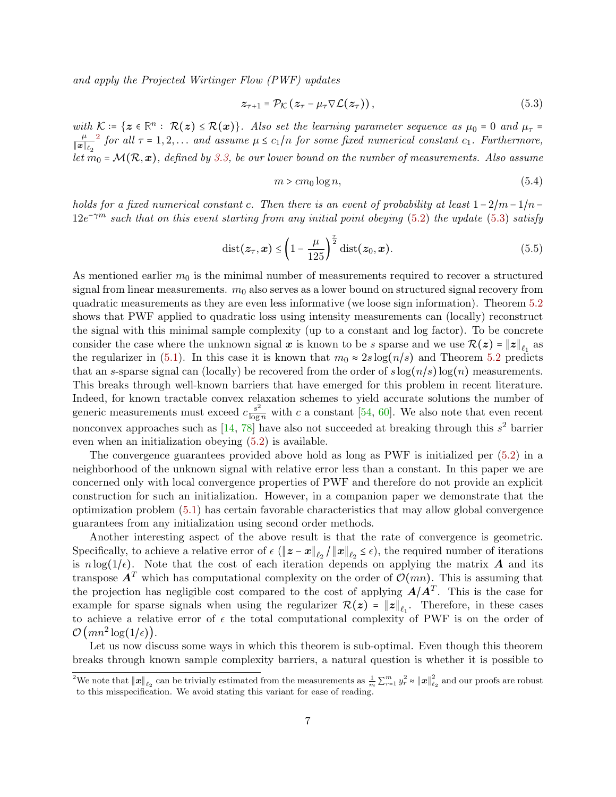and apply the Projected Wirtinger Flow (PWF) updates

$$
z_{\tau+1} = \mathcal{P}_{\mathcal{K}}(z_{\tau} - \mu_{\tau} \nabla \mathcal{L}(z_{\tau})), \qquad (5.3)
$$

with  $\mathcal{K} = \{z \in \mathbb{R}^n : \mathcal{R}(z) \leq \mathcal{R}(x)\}\$ . Also set the learning parameter sequence as  $\mu_0 = 0$  and  $\mu_\tau =$  $\mu$  $\left\Vert \boldsymbol{x}\right\Vert _{\ell_{2}}$ <sup>[2](#page-0-1)</sup> for all  $\tau = 1, 2, \ldots$  and assume  $\mu \le c_1/n$  for some fixed numerical constant  $c_1$ . Furthermore, let  $m_0 = \mathcal{M}(\mathcal{R}, \mathbf{x})$ , defined by [3.3,](#page-3-0) be our lower bound on the number of measurements. Also assume

<span id="page-6-0"></span>
$$
m > cm_0 \log n,\tag{5.4}
$$

holds for a fixed numerical constant c. Then there is an event of probability at least  $1 - 2/m - 1/n$  –  $12e^{-\gamma m}$  such that on this event starting from any initial point obeying [\(5.2\)](#page-5-0) the update [\(5.3\)](#page-6-0) satisfy

$$
\text{dist}(\boldsymbol{z}_{\tau}, \boldsymbol{x}) \le \left(1 - \frac{\mu}{125}\right)^{\frac{\tau}{2}} \text{dist}(\boldsymbol{z}_0, \boldsymbol{x}).\tag{5.5}
$$

As mentioned earlier  $m_0$  is the minimal number of measurements required to recover a structured signal from linear measurements.  $m_0$  also serves as a lower bound on structured signal recovery from quadratic measurements as they are even less informative (we loose sign information). Theorem [5.2](#page-5-1) shows that PWF applied to quadratic loss using intensity measurements can (locally) reconstruct the signal with this minimal sample complexity (up to a constant and log factor). To be concrete consider the case where the unknown signal  $x$  is known to be s sparse and we use  $\mathcal{R}(z) = \|z\|_{\ell_1}$  as the regularizer in [\(5.1\)](#page-5-2). In this case it is known that  $m_0 \approx 2s \log(n/s)$  and Theorem [5.2](#page-5-1) predicts that an s-sparse signal can (locally) be recovered from the order of  $s \log(n/s) \log(n)$  measurements. This breaks through well-known barriers that have emerged for this problem in recent literature. Indeed, for known tractable convex relaxation schemes to yield accurate solutions the number of generic measurements must exceed  $c \frac{s^2}{\log n}$  $\frac{s^2}{\log n}$  with c a constant [\[54,](#page-35-4) [60\]](#page-35-1). We also note that even recent nonconvex approaches such as  $[14, 78]$  $[14, 78]$  $[14, 78]$  have also not succeeded at breaking through this  $s^2$  barrier even when an initialization obeying [\(5.2\)](#page-5-0) is available.

The convergence guarantees provided above hold as long as PWF is initialized per [\(5.2\)](#page-5-0) in a neighborhood of the unknown signal with relative error less than a constant. In this paper we are concerned only with local convergence properties of PWF and therefore do not provide an explicit construction for such an initialization. However, in a companion paper we demonstrate that the optimization problem [\(5.1\)](#page-5-2) has certain favorable characteristics that may allow global convergence guarantees from any initialization using second order methods.

Another interesting aspect of the above result is that the rate of convergence is geometric. Specifically, to achieve a relative error of  $\epsilon$  ( $||z - x||_{\ell_2}/||x||_{\ell_2} \leq \epsilon$ ), the required number of iterations is  $n \log(1/\epsilon)$ . Note that the cost of each iteration depends on applying the matrix **A** and its transpose  $\mathbf{A}^T$  which has computational complexity on the order of  $\mathcal{O}(mn)$ . This is assuming that the projection has negligible cost compared to the cost of applying  $A/A<sup>T</sup>$ . This is the case for example for sparse signals when using the regularizer  $\mathcal{R}(z) = ||z||_{\ell_1}$ . Therefore, in these cases to achieve a relative error of  $\epsilon$  the total computational complexity of PWF is on the order of  $\mathcal{O}(mn^2 \log(1/\epsilon)).$ 

Let us now discuss some ways in which this theorem is sub-optimal. Even though this theorem breaks through known sample complexity barriers, a natural question is whether it is possible to

<sup>&</sup>lt;sup>2</sup>We note that  $\|\boldsymbol{x}\|_{\ell_2}$  can be trivially estimated from the measurements as  $\frac{1}{m}\sum_{r=1}^m y_r^2 \approx \|\boldsymbol{x}\|_{\ell_2}^2$  and our proofs are robust to this misspecification. We avoid stating this variant for ease of reading.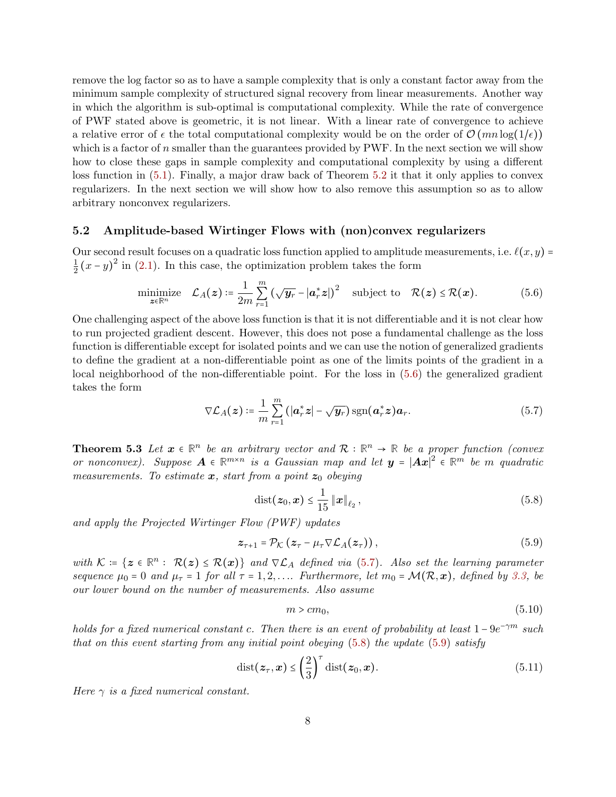remove the log factor so as to have a sample complexity that is only a constant factor away from the minimum sample complexity of structured signal recovery from linear measurements. Another way in which the algorithm is sub-optimal is computational complexity. While the rate of convergence of PWF stated above is geometric, it is not linear. With a linear rate of convergence to achieve a relative error of  $\epsilon$  the total computational complexity would be on the order of  $\mathcal{O}(mn \log(1/\epsilon))$ which is a factor of  $n$  smaller than the guarantees provided by PWF. In the next section we will show how to close these gaps in sample complexity and computational complexity by using a different loss function in [\(5.1\)](#page-5-2). Finally, a major draw back of Theorem [5.2](#page-5-1) it that it only applies to convex regularizers. In the next section we will show how to also remove this assumption so as to allow arbitrary nonconvex regularizers.

### 5.2 Amplitude-based Wirtinger Flows with (non)convex regularizers

Our second result focuses on a quadratic loss function applied to amplitude measurements, i.e.  $\ell(x, y) =$ 1  $\frac{1}{2}(x-y)^2$  in [\(2.1\)](#page-2-1). In this case, the optimization problem takes the form

$$
\underset{\boldsymbol{z}\in\mathbb{R}^n}{\text{minimize}} \quad \mathcal{L}_A(\boldsymbol{z}) \coloneqq \frac{1}{2m} \sum_{r=1}^m \left(\sqrt{\boldsymbol{y}_r} - |\boldsymbol{a}_r^*\boldsymbol{z}|\right)^2 \quad \text{subject to} \quad \mathcal{R}(\boldsymbol{z}) \leq \mathcal{R}(\boldsymbol{x}). \tag{5.6}
$$

One challenging aspect of the above loss function is that it is not differentiable and it is not clear how to run projected gradient descent. However, this does not pose a fundamental challenge as the loss function is differentiable except for isolated points and we can use the notion of generalized gradients to define the gradient at a non-differentiable point as one of the limits points of the gradient in a local neighborhood of the non-differentiable point. For the loss in [\(5.6\)](#page-7-0) the generalized gradient takes the form

<span id="page-7-0"></span>
$$
\nabla \mathcal{L}_A(z) \coloneqq \frac{1}{m} \sum_{r=1}^m \left( |\boldsymbol{a}_r^* z| - \sqrt{\boldsymbol{y}_r} \right) \operatorname{sgn}(\boldsymbol{a}_r^* z) \boldsymbol{a}_r. \tag{5.7}
$$

<span id="page-7-4"></span>**Theorem 5.3** Let  $x \in \mathbb{R}^n$  be an arbitrary vector and  $\mathcal{R}: \mathbb{R}^n \to \mathbb{R}$  be a proper function (convex or nonconvex). Suppose  $A \in \mathbb{R}^{m \times n}$  is a Gaussian map and let  $y = |Ax|^2 \in \mathbb{R}^m$  be m quadratic measurements. To estimate  $x$ , start from a point  $z_0$  obeying

<span id="page-7-1"></span>
$$
dist(z_0, x) \le \frac{1}{15} ||x||_{\ell_2},
$$
\n(5.8)

and apply the Projected Wirtinger Flow (PWF) updates

$$
z_{\tau+1} = \mathcal{P}_{\mathcal{K}}(z_{\tau} - \mu_{\tau} \nabla \mathcal{L}_A(z_{\tau})), \qquad (5.9)
$$

with  $\mathcal{K} = \{z \in \mathbb{R}^n : \mathcal{R}(z) \leq \mathcal{R}(x)\}\$ and  $\nabla \mathcal{L}_A$  defined via [\(5.7\)](#page-7-1). Also set the learning parameter sequence  $\mu_0 = 0$  and  $\mu_{\tau} = 1$  for all  $\tau = 1, 2, \ldots$  Furthermore, let  $m_0 = \mathcal{M}(\mathcal{R}, x)$ , defined by [3.3,](#page-3-0) be our lower bound on the number of measurements. Also assume

<span id="page-7-5"></span><span id="page-7-3"></span><span id="page-7-2"></span>
$$
m > cm_0,\tag{5.10}
$$

holds for a fixed numerical constant c. Then there is an event of probability at least  $1 - 9e^{-\gamma m}$  such that on this event starting from any initial point obeying  $(5.8)$  the update  $(5.9)$  satisfy

$$
\text{dist}(z_{\tau}, x) \le \left(\frac{2}{3}\right)^{\tau} \text{dist}(z_0, x). \tag{5.11}
$$

Here  $\gamma$  is a fixed numerical constant.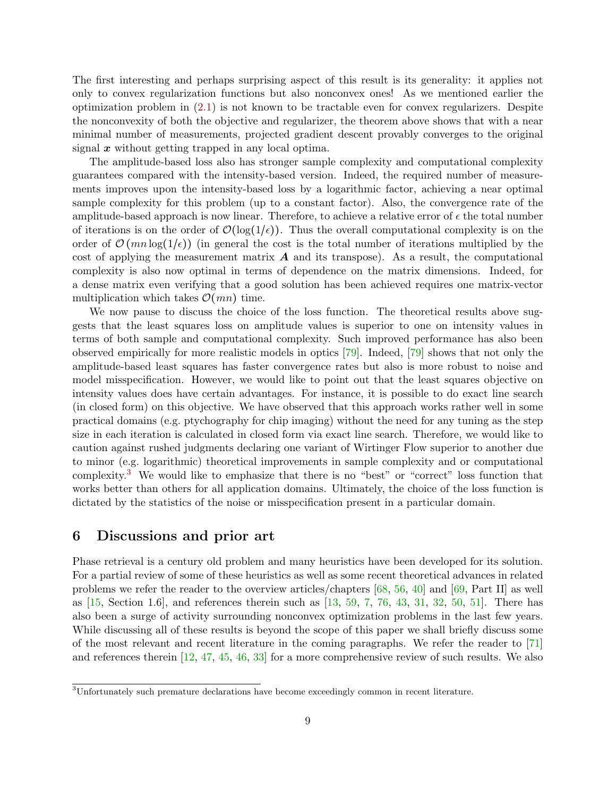The first interesting and perhaps surprising aspect of this result is its generality: it applies not only to convex regularization functions but also nonconvex ones! As we mentioned earlier the optimization problem in [\(2.1\)](#page-2-1) is not known to be tractable even for convex regularizers. Despite the nonconvexity of both the objective and regularizer, the theorem above shows that with a near minimal number of measurements, projected gradient descent provably converges to the original signal  $x$  without getting trapped in any local optima.

The amplitude-based loss also has stronger sample complexity and computational complexity guarantees compared with the intensity-based version. Indeed, the required number of measurements improves upon the intensity-based loss by a logarithmic factor, achieving a near optimal sample complexity for this problem (up to a constant factor). Also, the convergence rate of the amplitude-based approach is now linear. Therefore, to achieve a relative error of  $\epsilon$  the total number of iterations is on the order of  $\mathcal{O}(\log(1/\epsilon))$ . Thus the overall computational complexity is on the order of  $\mathcal{O}(mn \log(1/\epsilon))$  (in general the cost is the total number of iterations multiplied by the cost of applying the measurement matrix  $\vec{A}$  and its transpose). As a result, the computational complexity is also now optimal in terms of dependence on the matrix dimensions. Indeed, for a dense matrix even verifying that a good solution has been achieved requires one matrix-vector multiplication which takes  $\mathcal{O}(mn)$  time.

We now pause to discuss the choice of the loss function. The theoretical results above suggests that the least squares loss on amplitude values is superior to one on intensity values in terms of both sample and computational complexity. Such improved performance has also been observed empirically for more realistic models in optics [\[79\]](#page-37-2). Indeed, [\[79\]](#page-37-2) shows that not only the amplitude-based least squares has faster convergence rates but also is more robust to noise and model misspecification. However, we would like to point out that the least squares objective on intensity values does have certain advantages. For instance, it is possible to do exact line search (in closed form) on this objective. We have observed that this approach works rather well in some practical domains (e.g. ptychography for chip imaging) without the need for any tuning as the step size in each iteration is calculated in closed form via exact line search. Therefore, we would like to caution against rushed judgments declaring one variant of Wirtinger Flow superior to another due to minor (e.g. logarithmic) theoretical improvements in sample complexity and or computational complexity.<sup>[3](#page-0-1)</sup> We would like to emphasize that there is no "best" or "correct" loss function that works better than others for all application domains. Ultimately, the choice of the loss function is dictated by the statistics of the noise or misspecification present in a particular domain.

## <span id="page-8-0"></span>6 Discussions and prior art

Phase retrieval is a century old problem and many heuristics have been developed for its solution. For a partial review of some of these heuristics as well as some recent theoretical advances in related problems we refer the reader to the overview articles/chapters [\[68,](#page-36-3) [56,](#page-35-5) [40\]](#page-34-0) and [\[69,](#page-36-4) Part II] as well as [\[15,](#page-33-7) Section 1.6], and references therein such as [\[13,](#page-32-4) [59,](#page-35-6) [7,](#page-32-5) [76,](#page-36-5) [43,](#page-34-1) [31,](#page-33-8) [32,](#page-34-2) [50,](#page-35-7) [51\]](#page-35-8). There has also been a surge of activity surrounding nonconvex optimization problems in the last few years. While discussing all of these results is beyond the scope of this paper we shall briefly discuss some of the most relevant and recent literature in the coming paragraphs. We refer the reader to [\[71\]](#page-36-6) and references therein  $[12, 47, 45, 46, 33]$  $[12, 47, 45, 46, 33]$  $[12, 47, 45, 46, 33]$  $[12, 47, 45, 46, 33]$  $[12, 47, 45, 46, 33]$  $[12, 47, 45, 46, 33]$  $[12, 47, 45, 46, 33]$  $[12, 47, 45, 46, 33]$  $[12, 47, 45, 46, 33]$  for a more comprehensive review of such results. We also

<sup>3</sup>Unfortunately such premature declarations have become exceedingly common in recent literature.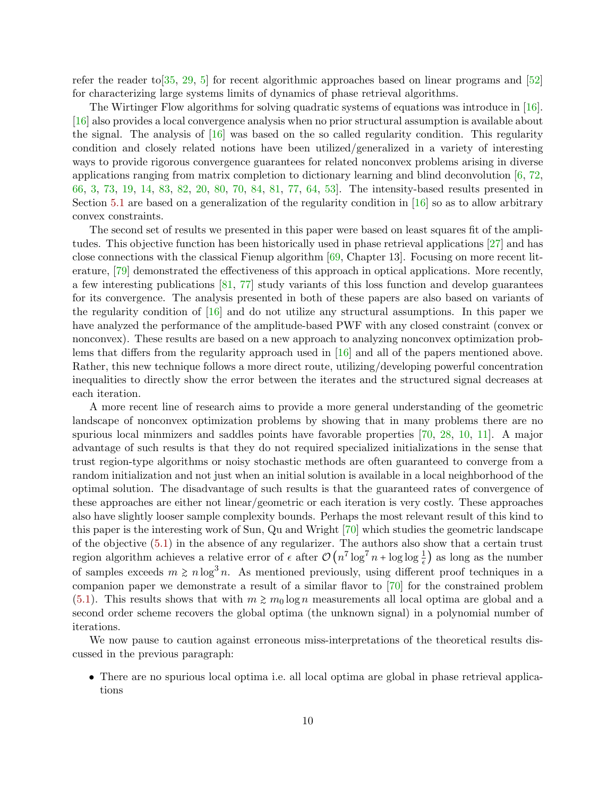refer the reader to  $[35, 29, 5]$  $[35, 29, 5]$  $[35, 29, 5]$  $[35, 29, 5]$  $[35, 29, 5]$  for recent algorithmic approaches based on linear programs and  $[52]$ for characterizing large systems limits of dynamics of phase retrieval algorithms.

The Wirtinger Flow algorithms for solving quadratic systems of equations was introduce in [\[16\]](#page-33-1). [\[16\]](#page-33-1) also provides a local convergence analysis when no prior structural assumption is available about the signal. The analysis of  $[16]$  was based on the so called regularity condition. This regularity condition and closely related notions have been utilized/generalized in a variety of interesting ways to provide rigorous convergence guarantees for related nonconvex problems arising in diverse applications ranging from matrix completion to dictionary learning and blind deconvolution  $[6, 72]$  $[6, 72]$ [66,](#page-36-8) [3,](#page-32-9) [73,](#page-36-9) [19,](#page-33-2) [14,](#page-32-0) [83,](#page-37-3) [82,](#page-37-4) [20,](#page-33-10) [80,](#page-37-0) [70,](#page-36-10) [84,](#page-37-5) [81,](#page-37-1) [77,](#page-36-1) [64,](#page-36-11) [53\]](#page-35-11). The intensity-based results presented in Section [5.1](#page-5-3) are based on a generalization of the regularity condition in [\[16\]](#page-33-1) so as to allow arbitrary convex constraints.

The second set of results we presented in this paper were based on least squares fit of the amplitudes. This objective function has been historically used in phase retrieval applications [\[27\]](#page-33-11) and has close connections with the classical Fienup algorithm  $[69,$  Chapter 13. Focusing on more recent literature, [\[79\]](#page-37-2) demonstrated the effectiveness of this approach in optical applications. More recently, a few interesting publications [\[81,](#page-37-1) [77\]](#page-36-1) study variants of this loss function and develop guarantees for its convergence. The analysis presented in both of these papers are also based on variants of the regularity condition of [\[16\]](#page-33-1) and do not utilize any structural assumptions. In this paper we have analyzed the performance of the amplitude-based PWF with any closed constraint (convex or nonconvex). These results are based on a new approach to analyzing nonconvex optimization problems that differs from the regularity approach used in [\[16\]](#page-33-1) and all of the papers mentioned above. Rather, this new technique follows a more direct route, utilizing/developing powerful concentration inequalities to directly show the error between the iterates and the structured signal decreases at each iteration.

A more recent line of research aims to provide a more general understanding of the geometric landscape of nonconvex optimization problems by showing that in many problems there are no spurious local minmizers and saddles points have favorable properties [\[70,](#page-36-10) [28,](#page-33-12) [10,](#page-32-10) [11\]](#page-32-11). A major advantage of such results is that they do not required specialized initializations in the sense that trust region-type algorithms or noisy stochastic methods are often guaranteed to converge from a random initialization and not just when an initial solution is available in a local neighborhood of the optimal solution. The disadvantage of such results is that the guaranteed rates of convergence of these approaches are either not linear/geometric or each iteration is very costly. These approaches also have slightly looser sample complexity bounds. Perhaps the most relevant result of this kind to this paper is the interesting work of Sun, Qu and Wright [\[70\]](#page-36-10) which studies the geometric landscape of the objective [\(5.1\)](#page-5-2) in the absence of any regularizer. The authors also show that a certain trust region algorithm achieves a relative error of  $\epsilon$  after  $\mathcal{O}(n^7 \log^7 n + \log \log \frac{1}{\epsilon})$  as long as the number of samples exceeds  $m \ge n \log^3 n$ . As mentioned previously, using different proof techniques in a companion paper we demonstrate a result of a similar flavor to [\[70\]](#page-36-10) for the constrained problem [\(5.1\)](#page-5-2). This results shows that with  $m \ge m_0 \log n$  measurements all local optima are global and a second order scheme recovers the global optima (the unknown signal) in a polynomial number of iterations.

We now pause to caution against erroneous miss-interpretations of the theoretical results discussed in the previous paragraph:

• There are no spurious local optima i.e. all local optima are global in phase retrieval applications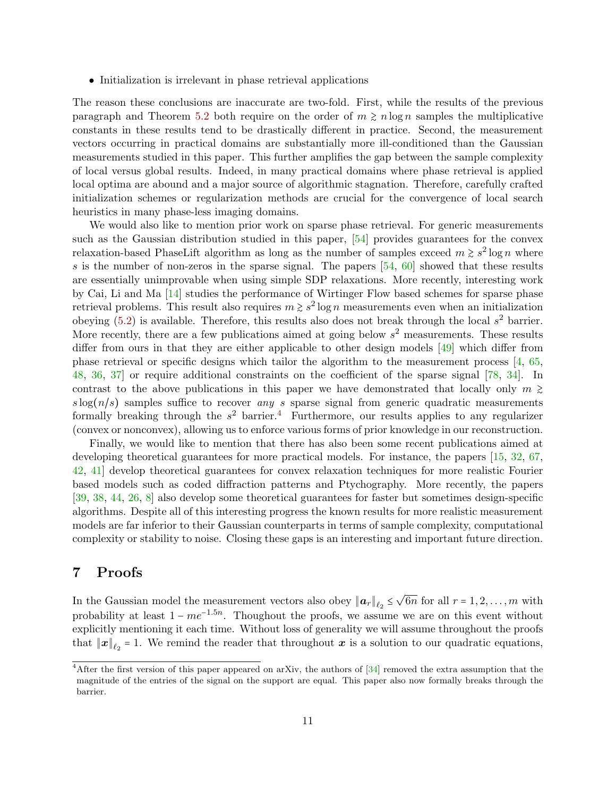• Initialization is irrelevant in phase retrieval applications

The reason these conclusions are inaccurate are two-fold. First, while the results of the previous paragraph and Theorem [5.2](#page-5-1) both require on the order of  $m \geq n \log n$  samples the multiplicative constants in these results tend to be drastically different in practice. Second, the measurement vectors occurring in practical domains are substantially more ill-conditioned than the Gaussian measurements studied in this paper. This further amplifies the gap between the sample complexity of local versus global results. Indeed, in many practical domains where phase retrieval is applied local optima are abound and a major source of algorithmic stagnation. Therefore, carefully crafted initialization schemes or regularization methods are crucial for the convergence of local search heuristics in many phase-less imaging domains.

We would also like to mention prior work on sparse phase retrieval. For generic measurements such as the Gaussian distribution studied in this paper, [\[54\]](#page-35-4) provides guarantees for the convex relaxation-based PhaseLift algorithm as long as the number of samples exceed  $m \geq s^2 \log n$  where s is the number of non-zeros in the sparse signal. The papers  $[54, 60]$  $[54, 60]$  $[54, 60]$  showed that these results are essentially unimprovable when using simple SDP relaxations. More recently, interesting work by Cai, Li and Ma [\[14\]](#page-32-0) studies the performance of Wirtinger Flow based schemes for sparse phase retrieval problems. This result also requires  $m \geq s^2 \log n$  measurements even when an initialization obeying  $(5.2)$  is available. Therefore, this results also does not break through the local  $s^2$  barrier. More recently, there are a few publications aimed at going below  $s^2$  measurements. These results differ from ours in that they are either applicable to other design models [\[49\]](#page-35-12) which differ from phase retrieval or specific designs which tailor the algorithm to the measurement process [\[4,](#page-32-12) [65,](#page-36-12) [48,](#page-35-13) [36,](#page-34-7) [37\]](#page-34-8) or require additional constraints on the coefficient of the sparse signal [\[78,](#page-36-2) [34\]](#page-34-9). In contrast to the above publications in this paper we have demonstrated that locally only  $m \geq$  $s \log(n/s)$  samples suffice to recover any s sparse signal from generic quadratic measurements formally breaking through the  $s^2$  barrier.<sup>[4](#page-0-1)</sup> Furthermore, our results applies to any regularizer (convex or nonconvex), allowing us to enforce various forms of prior knowledge in our reconstruction.

Finally, we would like to mention that there has also been some recent publications aimed at developing theoretical guarantees for more practical models. For instance, the papers [\[15,](#page-33-7) [32,](#page-34-2) [67,](#page-36-13) [42,](#page-34-10) [41\]](#page-34-11) develop theoretical guarantees for convex relaxation techniques for more realistic Fourier based models such as coded diffraction patterns and Ptychography. More recently, the papers [\[39,](#page-34-12) [38,](#page-34-13) [44,](#page-34-14) [26,](#page-33-13) [8\]](#page-32-13) also develop some theoretical guarantees for faster but sometimes design-specific algorithms. Despite all of this interesting progress the known results for more realistic measurement models are far inferior to their Gaussian counterparts in terms of sample complexity, computational complexity or stability to noise. Closing these gaps is an interesting and important future direction.

## 7 Proofs

In the Gaussian model the measurement vectors also obey  $\|\boldsymbol{a}_r\|_{\ell_2} \leq$  $\sqrt{6n}$  for all  $r = 1, 2, ..., m$  with probability at least  $1 - me^{-1.5n}$ . Thoughout the proofs, we assume we are on this event without explicitly mentioning it each time. Without loss of generality we will assume throughout the proofs that  $||x||_{\ell_2} = 1$ . We remind the reader that throughout x is a solution to our quadratic equations,

<sup>&</sup>lt;sup>4</sup>After the first version of this paper appeared on arXiv, the authors of [\[34\]](#page-34-9) removed the extra assumption that the magnitude of the entries of the signal on the support are equal. This paper also now formally breaks through the barrier.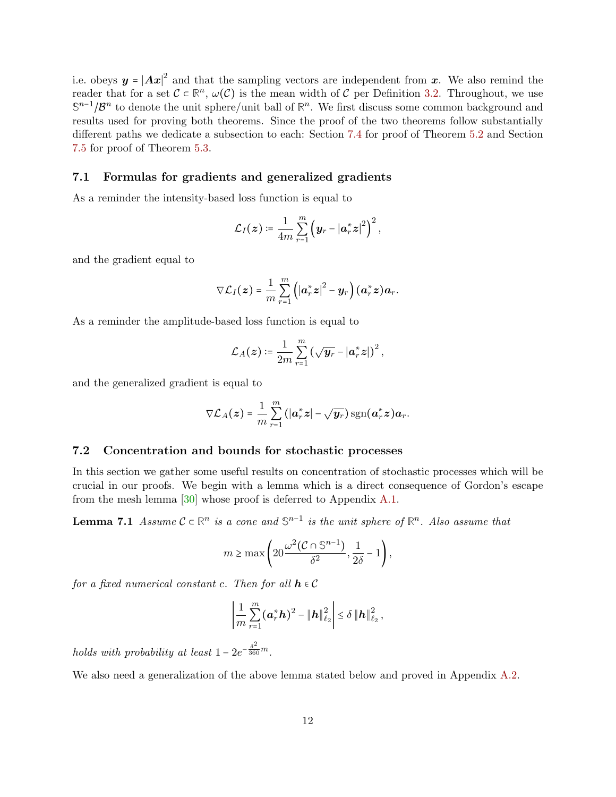i.e. obeys  $y = |Ax|^2$  and that the sampling vectors are independent from x. We also remind the reader that for a set  $\mathcal{C} \subset \mathbb{R}^n$ ,  $\omega(\mathcal{C})$  is the mean width of  $\mathcal{C}$  per Definition [3.2.](#page-3-1) Throughout, we use S<sup>n-1</sup>/ $\mathcal{B}^n$  to denote the unit sphere/unit ball of  $\mathbb{R}^n$ . We first discuss some common background and results used for proving both theorems. Since the proof of the two theorems follow substantially different paths we dedicate a subsection to each: Section [7.4](#page-15-0) for proof of Theorem [5.2](#page-5-1) and Section [7.5](#page-23-0) for proof of Theorem [5.3.](#page-7-4)

### 7.1 Formulas for gradients and generalized gradients

As a reminder the intensity-based loss function is equal to

$$
\mathcal{L}_I(z) \coloneqq \frac{1}{4m} \sum_{r=1}^m \left( \boldsymbol{y}_r - |\boldsymbol{a}_r^*\boldsymbol{z}|^2 \right)^2,
$$

and the gradient equal to

$$
\nabla \mathcal{L}_I(\boldsymbol{z}) = \frac{1}{m} \sum_{r=1}^m \left( \left| \boldsymbol{a}_r^* \boldsymbol{z} \right|^2 - \boldsymbol{y}_r \right) (\boldsymbol{a}_r^* \boldsymbol{z}) \boldsymbol{a}_r.
$$

As a reminder the amplitude-based loss function is equal to

$$
\mathcal{L}_A(\boldsymbol{z}) \coloneqq \frac{1}{2m} \sum_{r=1}^m \left( \sqrt{\boldsymbol{y}_r} - |\boldsymbol{a}_r^*\boldsymbol{z}| \right)^2,
$$

and the generalized gradient is equal to

$$
\nabla \mathcal{L}_A(\boldsymbol{z}) = \frac{1}{m} \sum_{r=1}^m \left( |\boldsymbol{a}_r^*\boldsymbol{z}| - \sqrt{\boldsymbol{y}_r} \right) \operatorname{sgn}(\boldsymbol{a}_r^*\boldsymbol{z}) \boldsymbol{a}_r.
$$

### 7.2 Concentration and bounds for stochastic processes

In this section we gather some useful results on concentration of stochastic processes which will be crucial in our proofs. We begin with a lemma which is a direct consequence of Gordon's escape from the mesh lemma [\[30\]](#page-33-14) whose proof is deferred to Appendix [A.1.](#page-37-6)

**Lemma 7.1** Assume  $C \subset \mathbb{R}^n$  is a cone and  $\mathbb{S}^{n-1}$  is the unit sphere of  $\mathbb{R}^n$ . Also assume that

<span id="page-11-0"></span>
$$
m \ge \max\left(20\frac{\omega^2(\mathcal{C} \cap \mathbb{S}^{n-1})}{\delta^2}, \frac{1}{2\delta} - 1\right),\,
$$

for a fixed numerical constant c. Then for all  $h \in \mathcal{C}$ 

<span id="page-11-1"></span>
$$
\left|\frac{1}{m}\sum_{r=1}^{m}(\bm{a}_r^*\bm{h})^2 - \|\bm{h}\|_{\ell_2}^2\right| \leq \delta \|\bm{h}\|_{\ell_2}^2,
$$

holds with probability at least  $1 - 2e^{-\frac{\delta^2}{360}m}$ .

We also need a generalization of the above lemma stated below and proved in Appendix [A.2.](#page-38-0)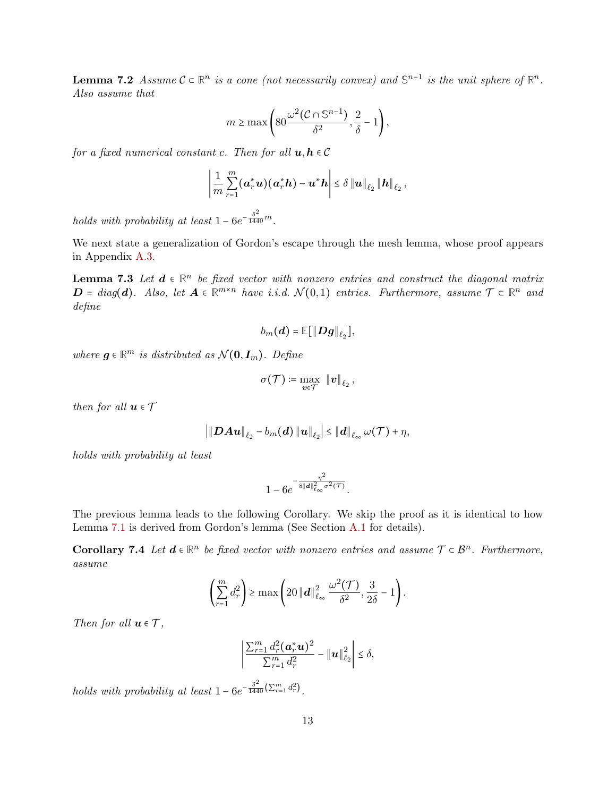**Lemma 7.2** Assume  $C \subset \mathbb{R}^n$  is a cone (not necessarily convex) and  $\mathbb{S}^{n-1}$  is the unit sphere of  $\mathbb{R}^n$ . Also assume that

$$
m \ge \max\left(80 \frac{\omega^2 (\mathcal{C} \cap \mathbb{S}^{n-1})}{\delta^2}, \frac{2}{\delta} - 1\right),\,
$$

for a fixed numerical constant c. Then for all  $u, h \in \mathcal{C}$ 

$$
\left|\frac{1}{m}\sum_{r=1}^m (\boldsymbol{a}_r^*\boldsymbol{u})(\boldsymbol{a}_r^*\boldsymbol{h})-\boldsymbol{u}^*\boldsymbol{h}\right|\leq \delta\left\|\boldsymbol{u}\right\|_{\ell_2}\left\|\boldsymbol{h}\right\|_{\ell_2},
$$

holds with probability at least  $1-6e^{-\frac{\delta^2}{1440}m}$ .

<span id="page-12-0"></span>We next state a generalization of Gordon's escape through the mesh lemma, whose proof appears in Appendix [A.3.](#page-39-0)

**Lemma 7.3** Let  $d \in \mathbb{R}^n$  be fixed vector with nonzero entries and construct the diagonal matrix  $D = diag(d)$ . Also, let  $A \in \mathbb{R}^{m \times n}$  have i.i.d.  $\mathcal{N}(0,1)$  entries. Furthermore, assume  $\mathcal{T} \subset \mathbb{R}^n$  and define

$$
b_m(\boldsymbol{d}) = \mathbb{E}[\|\boldsymbol{D}\boldsymbol{g}\|_{\ell_2}],
$$

where  $g \in \mathbb{R}^m$  is distributed as  $\mathcal{N}(0, I_m)$ . Define

$$
\sigma(\mathcal{T}) \coloneqq \max_{\bm{v} \in \mathcal{T}} \; \left\|\bm{v}\right\|_{\ell_2},
$$

then for all  $u \in \mathcal{T}$ 

$$
\left|\left\|\boldsymbol{D}\boldsymbol{A}\boldsymbol{u}\right\|_{\ell_2}-b_m(\boldsymbol{d})\left\|\boldsymbol{u}\right\|_{\ell_2}\right|\leq \left\|\boldsymbol{d}\right\|_{\ell_\infty}\omega(\mathcal{T})+\eta,
$$

holds with probability at least

<span id="page-12-1"></span>
$$
1-6e^{-\frac{\eta^2}{8\|{\boldsymbol d}\|_{\ell_\infty}^2\sigma^2({\mathcal T})}}.
$$

The previous lemma leads to the following Corollary. We skip the proof as it is identical to how Lemma [7.1](#page-11-0) is derived from Gordon's lemma (See Section [A.1](#page-37-6) for details).

Corollary 7.4 Let  $d \in \mathbb{R}^n$  be fixed vector with nonzero entries and assume  $\mathcal{T} \subset \mathcal{B}^n$ . Furthermore, assume

$$
\left(\sum_{r=1}^m d_r^2\right) \ge \max\left(20\ \|\boldsymbol{d}\|_{\ell_\infty}^2 \frac{\omega^2(\mathcal{T})}{\delta^2}, \frac{3}{2\delta}-1\right).
$$

Then for all  $u \in \mathcal{T}$ ,

$$
\left|\frac{\sum_{r=1}^m d_r^2(\boldsymbol{a}_r^*\boldsymbol{u})^2}{\sum_{r=1}^m d_r^2} - \|\boldsymbol{u}\|_{\ell_2}^2\right| \leq \delta,
$$

holds with probability at least  $1 - 6e^{-\frac{\delta^2}{1440} (\sum_{r=1}^m d_r^2)}$ .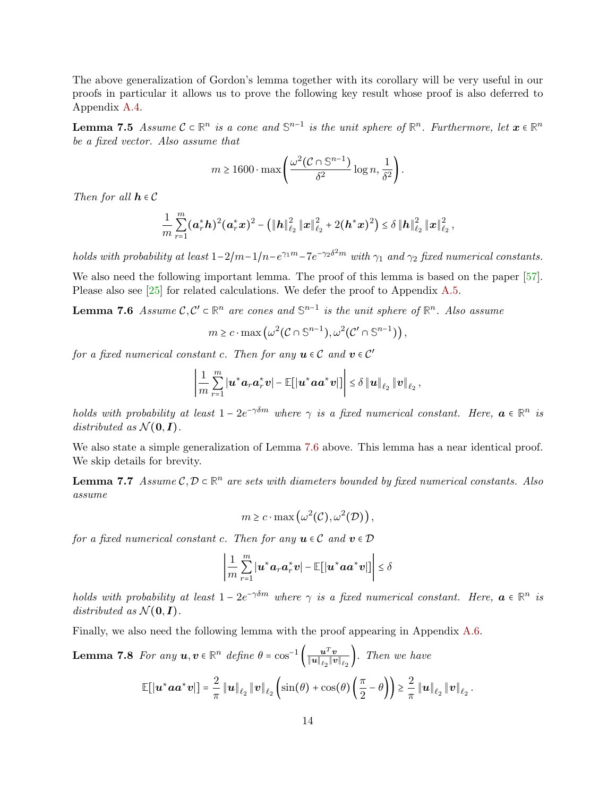<span id="page-13-1"></span>The above generalization of Gordon's lemma together with its corollary will be very useful in our proofs in particular it allows us to prove the following key result whose proof is also deferred to Appendix [A.4.](#page-42-0)

**Lemma 7.5** Assume  $C \subset \mathbb{R}^n$  is a cone and  $\mathbb{S}^{n-1}$  is the unit sphere of  $\mathbb{R}^n$ . Furthermore, let  $\boldsymbol{x} \in \mathbb{R}^n$ be a fixed vector. Also assume that

$$
m \ge 1600 \cdot \max\left(\frac{\omega^2 (\mathcal{C} \cap \mathbb{S}^{n-1})}{\delta^2} \log n, \frac{1}{\delta^2}\right).
$$

Then for all  $h \in \mathcal{C}$ 

$$
\frac{1}{m}\sum_{r=1}^m(\bm{a}_r^*\bm{h})^2(\bm{a}_r^*\bm{x})^2 - \left(\|\bm{h}\|_{\ell_2}^2\|\bm{x}\|_{\ell_2}^2 + 2(\bm{h}^*\bm{x})^2\right) \leq \delta\|\bm{h}\|_{\ell_2}^2\|\bm{x}\|_{\ell_2}^2\,,
$$

holds with probability at least  $1-2/m-1/n-e^{\gamma_1 m}-7e^{-\gamma_2 \delta^2 m}$  with  $\gamma_1$  and  $\gamma_2$  fixed numerical constants.

We also need the following important lemma. The proof of this lemma is based on the paper  $[57]$ . Please also see [\[25\]](#page-33-15) for related calculations. We defer the proof to Appendix [A.5.](#page-44-0)

**Lemma 7.6** Assume  $\mathcal{C}, \mathcal{C}' \subset \mathbb{R}^n$  are cones and  $\mathbb{S}^{n-1}$  is the unit sphere of  $\mathbb{R}^n$ . Also assume

<span id="page-13-0"></span>
$$
m \geq c \cdot \max\left(\omega^2(\mathcal{C} \cap \mathbb{S}^{n-1}), \omega^2(\mathcal{C}' \cap \mathbb{S}^{n-1})\right),\,
$$

for a fixed numerical constant c. Then for any  $u \in \mathcal{C}$  and  $v \in \mathcal{C}'$ 

$$
\left|\frac{1}{m}\sum_{r=1}^m\left|\boldsymbol{u}^*\boldsymbol{a}_r\boldsymbol{a}_r^*\boldsymbol{v}\right|-\mathbb{E}\!\left[\left|\boldsymbol{u}^*\boldsymbol{a}\boldsymbol{a}^*\boldsymbol{v}\right|\right]\right|\leq \delta\left\|\boldsymbol{u}\right\|_{\ell_2}\left\|\boldsymbol{v}\right\|_{\ell_2},
$$

holds with probability at least  $1 - 2e^{-\gamma \delta m}$  where  $\gamma$  is a fixed numerical constant. Here,  $a \in \mathbb{R}^n$  is distributed as  $\mathcal{N}(\mathbf{0}, \mathbf{I})$ .

We also state a simple generalization of Lemma [7.6](#page-13-0) above. This lemma has a near identical proof. We skip details for brevity.

**Lemma 7.7** Assume  $C, D \subset \mathbb{R}^n$  are sets with diameters bounded by fixed numerical constants. Also assume

<span id="page-13-2"></span>
$$
m \geq c \cdot \max(\omega^2(\mathcal{C}), \omega^2(\mathcal{D})),
$$

for a fixed numerical constant c. Then for any  $u \in \mathcal{C}$  and  $v \in \mathcal{D}$ 

$$
\left|\frac{1}{m}\sum_{r=1}^m |\boldsymbol{u}^*\boldsymbol{a}_r\boldsymbol{a}_r^*\boldsymbol{v}| - \mathbb{E}[\|\boldsymbol{u}^*\boldsymbol{a}\boldsymbol{a}^*\boldsymbol{v}|\] \right| \leq \delta
$$

holds with probability at least  $1 - 2e^{-\gamma \delta m}$  where  $\gamma$  is a fixed numerical constant. Here,  $a \in \mathbb{R}^n$  is distributed as  $\mathcal{N}(\mathbf{0}, \mathbf{I})$ .

Finally, we also need the following lemma with the proof appearing in Appendix [A.6.](#page-44-1)

**Lemma 7.8** For any 
$$
\mathbf{u}, \mathbf{v} \in \mathbb{R}^n
$$
 define  $\theta = \cos^{-1} \left( \frac{\mathbf{u}^T \mathbf{v}}{\|\mathbf{u}\|_{\ell_2} \|\mathbf{v}\|_{\ell_2}} \right)$ . Then we have  
\n
$$
\mathbb{E}[\|\mathbf{u}^* \mathbf{a} \mathbf{a}^* \mathbf{v}\|] = \frac{2}{\pi} \|\mathbf{u}\|_{\ell_2} \|\mathbf{v}\|_{\ell_2} \left( \sin(\theta) + \cos(\theta) \left( \frac{\pi}{2} - \theta \right) \right) \ge \frac{2}{\pi} \|\mathbf{u}\|_{\ell_2} \|\mathbf{v}\|_{\ell_2}.
$$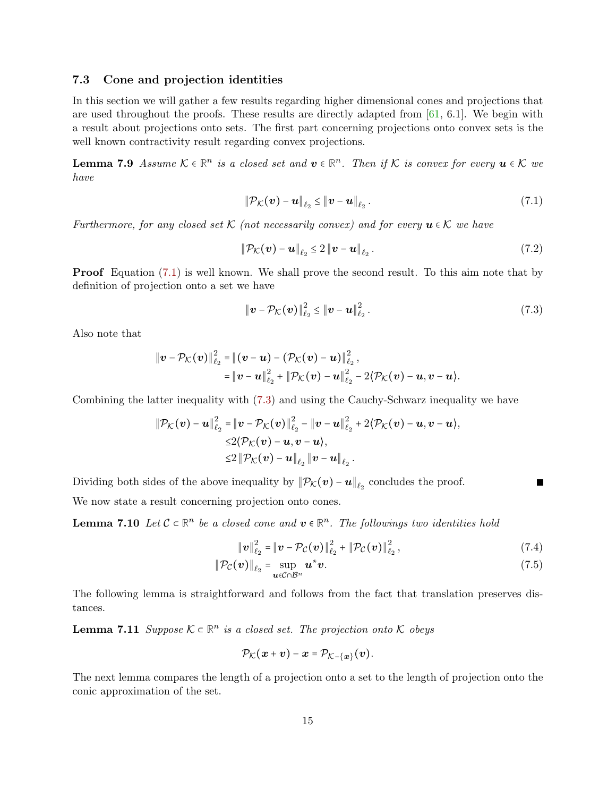### 7.3 Cone and projection identities

In this section we will gather a few results regarding higher dimensional cones and projections that are used throughout the proofs. These results are directly adapted from  $[61, 6.1]$  $[61, 6.1]$ . We begin with a result about projections onto sets. The first part concerning projections onto convex sets is the well known contractivity result regarding convex projections.

**Lemma 7.9** Assume  $K \in \mathbb{R}^n$  is a closed set and  $v \in \mathbb{R}^n$ . Then if K is convex for every  $u \in K$  we have

<span id="page-14-2"></span><span id="page-14-0"></span>
$$
\|\mathcal{P}_{\mathcal{K}}(\boldsymbol{v}) - \boldsymbol{u}\|_{\ell_2} \leq \|\boldsymbol{v} - \boldsymbol{u}\|_{\ell_2}.
$$
\n(7.1)

Furthermore, for any closed set K (not necessarily convex) and for every  $u \in K$  we have

$$
\|\mathcal{P}_{\mathcal{K}}(\boldsymbol{v}) - \boldsymbol{u}\|_{\ell_2} \leq 2 \|\boldsymbol{v} - \boldsymbol{u}\|_{\ell_2}.
$$
\n
$$
(7.2)
$$

**Proof** Equation [\(7.1\)](#page-14-0) is well known. We shall prove the second result. To this aim note that by definition of projection onto a set we have

$$
\|\bm{v} - \mathcal{P}_{\mathcal{K}}(\bm{v})\|_{\ell_2}^2 \leq \|\bm{v} - \bm{u}\|_{\ell_2}^2.
$$
 (7.3)

Also note that

$$
\|\bm{v}-\mathcal{P}_{\mathcal{K}}(\bm{v})\|_{\ell_2}^2 = \|(\bm{v}-\bm{u})-(\mathcal{P}_{\mathcal{K}}(\bm{v})-\bm{u})\|_{\ell_2}^2, = \|\bm{v}-\bm{u}\|_{\ell_2}^2 + \|\mathcal{P}_{\mathcal{K}}(\bm{v})-\bm{u}\|_{\ell_2}^2 - 2\langle \mathcal{P}_{\mathcal{K}}(\bm{v})-\bm{u}, \bm{v}-\bm{u}\rangle.
$$

Combining the latter inequality with [\(7.3\)](#page-14-1) and using the Cauchy-Schwarz inequality we have

$$
\|\mathcal{P}_{\mathcal{K}}(\boldsymbol{v}) - \boldsymbol{u}\|_{\ell_2}^2 = \|\boldsymbol{v} - \mathcal{P}_{\mathcal{K}}(\boldsymbol{v})\|_{\ell_2}^2 - \|\boldsymbol{v} - \boldsymbol{u}\|_{\ell_2}^2 + 2\langle \mathcal{P}_{\mathcal{K}}(\boldsymbol{v}) - \boldsymbol{u}, \boldsymbol{v} - \boldsymbol{u} \rangle, \leq 2\langle \mathcal{P}_{\mathcal{K}}(\boldsymbol{v}) - \boldsymbol{u}, \boldsymbol{v} - \boldsymbol{u} \rangle, \leq 2\|\mathcal{P}_{\mathcal{K}}(\boldsymbol{v}) - \boldsymbol{u}\|_{\ell_2} \|\boldsymbol{v} - \boldsymbol{u}\|_{\ell_2}.
$$

Dividing both sides of the above inequality by  $\|\mathcal{P}_{\mathcal{K}}(v) - u\|_{\ell_2}$  concludes the proof.

We now state a result concerning projection onto cones.

**Lemma 7.10** Let  $C \subset \mathbb{R}^n$  be a closed cone and  $v \in \mathbb{R}^n$ . The followings two identities hold

$$
\|\mathbf{v}\|_{\ell_2}^2 = \|\mathbf{v} - \mathcal{P}_{\mathcal{C}}(\mathbf{v})\|_{\ell_2}^2 + \|\mathcal{P}_{\mathcal{C}}(\mathbf{v})\|_{\ell_2}^2, \tag{7.4}
$$

<span id="page-14-3"></span><span id="page-14-1"></span>П

$$
\|\mathcal{P}_{\mathcal{C}}(\boldsymbol{v})\|_{\ell_2} = \sup_{\boldsymbol{u} \in \mathcal{C} \cap \mathcal{B}^n} \boldsymbol{u}^* \boldsymbol{v}.
$$
 (7.5)

<span id="page-14-4"></span>The following lemma is straightforward and follows from the fact that translation preserves distances.

**Lemma 7.11** Suppose  $K \subset \mathbb{R}^n$  is a closed set. The projection onto K obeys

<span id="page-14-5"></span>
$$
\mathcal{P}_{\mathcal{K}}(\boldsymbol{x}+\boldsymbol{v})-\boldsymbol{x}=\mathcal{P}_{\mathcal{K}-\{\boldsymbol{x}\}}(\boldsymbol{v}).
$$

The next lemma compares the length of a projection onto a set to the length of projection onto the conic approximation of the set.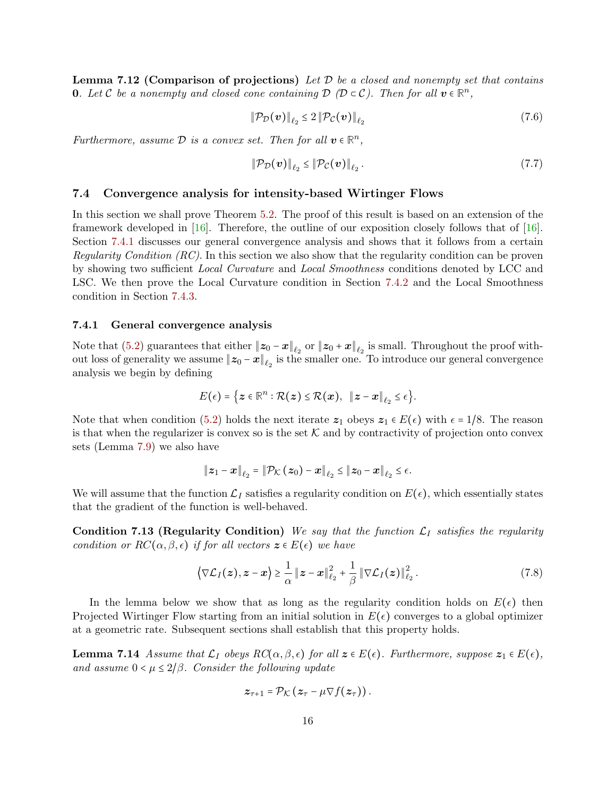**Lemma 7.12 (Comparison of projections)** Let  $\mathcal{D}$  be a closed and nonempty set that contains **0.** Let C be a nonempty and closed cone containing  $D(D \subset C)$ . Then for all  $v \in \mathbb{R}^n$ ,

$$
\|\mathcal{P}_{\mathcal{D}}(\boldsymbol{v})\|_{\ell_2} \le 2 \|\mathcal{P}_{\mathcal{C}}(\boldsymbol{v})\|_{\ell_2} \tag{7.6}
$$

Furthermore, assume  $D$  is a convex set. Then for all  $v \in \mathbb{R}^n$ ,

$$
\|\mathcal{P}_{\mathcal{D}}(\boldsymbol{v})\|_{\ell_2} \le \|\mathcal{P}_{\mathcal{C}}(\boldsymbol{v})\|_{\ell_2}.
$$
\n(7.7)

### <span id="page-15-0"></span>7.4 Convergence analysis for intensity-based Wirtinger Flows

In this section we shall prove Theorem [5.2.](#page-5-1) The proof of this result is based on an extension of the framework developed in [\[16\]](#page-33-1). Therefore, the outline of our exposition closely follows that of [16]. Section [7.4.1](#page-15-1) discusses our general convergence analysis and shows that it follows from a certain Regularity Condition (RC). In this section we also show that the regularity condition can be proven by showing two sufficient Local Curvature and Local Smoothness conditions denoted by LCC and LSC. We then prove the Local Curvature condition in Section [7.4.2](#page-17-0) and the Local Smoothness condition in Section [7.4.3.](#page-22-0)

#### <span id="page-15-1"></span>7.4.1 General convergence analysis

Note that [\(5.2\)](#page-5-0) guarantees that either  $||z_0 - x||_{\ell_2}$  or  $||z_0 + x||_{\ell_2}$  is small. Throughout the proof without loss of generality we assume  $||z_0 - x||_{\ell_2}$  is the smaller one. To introduce our general convergence analysis we begin by defining

$$
E(\epsilon)=\big\{\boldsymbol{z}\in\mathbb{R}^n:\mathcal{R}(\boldsymbol{z})\leq \mathcal{R}(\boldsymbol{x}),\;\;\|\boldsymbol{z}-\boldsymbol{x}\|_{\ell_2}\leq \epsilon\big\}.
$$

Note that when condition [\(5.2\)](#page-5-0) holds the next iterate  $z_1$  obeys  $z_1 \in E(\epsilon)$  with  $\epsilon = 1/8$ . The reason is that when the regularizer is convex so is the set  $K$  and by contractivity of projection onto convex sets (Lemma [7.9\)](#page-14-2) we also have

$$
\left\|\boldsymbol{z}_1-\boldsymbol{x}\right\|_{\ell_2}=\left\|\mathcal{P}_{\mathcal{K}}\left(\boldsymbol{z}_0\right)-\boldsymbol{x}\right\|_{\ell_2}\leq\left\|\boldsymbol{z}_0-\boldsymbol{x}\right\|_{\ell_2}\leq\epsilon.
$$

We will assume that the function  $\mathcal{L}_I$  satisfies a regularity condition on  $E(\epsilon)$ , which essentially states that the gradient of the function is well-behaved.

Condition 7.13 (Regularity Condition) We say that the function  $\mathcal{L}_I$  satisfies the regularity condition or  $RC(\alpha, \beta, \epsilon)$  if for all vectors  $z \in E(\epsilon)$  we have

$$
\left\langle \nabla \mathcal{L}_I(z), z - x \right\rangle \geq \frac{1}{\alpha} \|z - x\|_{\ell_2}^2 + \frac{1}{\beta} \|\nabla \mathcal{L}_I(z)\|_{\ell_2}^2. \tag{7.8}
$$

In the lemma below we show that as long as the regularity condition holds on  $E(\epsilon)$  then Projected Wirtinger Flow starting from an initial solution in  $E(\epsilon)$  converges to a global optimizer at a geometric rate. Subsequent sections shall establish that this property holds.

**Lemma 7.14** Assume that  $\mathcal{L}_I$  obeys  $RC(\alpha, \beta, \epsilon)$  for all  $z \in E(\epsilon)$ . Furthermore, suppose  $z_1 \in E(\epsilon)$ , and assume  $0 < \mu \leq 2/\beta$ . Consider the following update

<span id="page-15-2"></span>
$$
\boldsymbol{z}_{\tau+1} = \mathcal{P}_{\mathcal{K}}\left(\boldsymbol{z}_{\tau} - \mu \nabla f(\boldsymbol{z}_{\tau})\right).
$$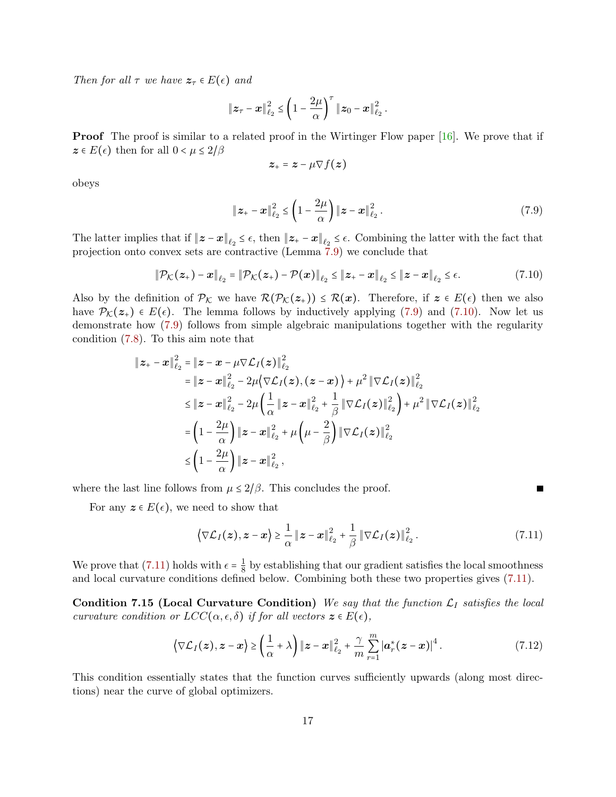Then for all  $\tau$  we have  $z_{\tau} \in E(\epsilon)$  and

$$
\|\bm{z}_{\tau}-\bm{x}\|_{\ell_2}^2 \leq \left(1-\frac{2\mu}{\alpha}\right)^{\tau} \|\bm{z}_0-\bm{x}\|_{\ell_2}^2.
$$

**Proof** The proof is similar to a related proof in the Wirtinger Flow paper [\[16\]](#page-33-1). We prove that if  $z \in E(\epsilon)$  then for all  $0 < \mu \leq 2/\beta$ 

<span id="page-16-0"></span>
$$
\boldsymbol{z}_+ = \boldsymbol{z} - \mu \nabla f(\boldsymbol{z})
$$

obeys

$$
\|\mathbf{z}_{+} - \mathbf{x}\|_{\ell_2}^2 \le \left(1 - \frac{2\mu}{\alpha}\right) \|\mathbf{z} - \mathbf{x}\|_{\ell_2}^2. \tag{7.9}
$$

The latter implies that if  $||z - x||_{\ell_2} \leq \epsilon$ , then  $||z_+ - x||_{\ell_2} \leq \epsilon$ . Combining the latter with the fact that projection onto convex sets are contractive (Lemma [7.9\)](#page-14-2) we conclude that

$$
\|\mathcal{P}_{\mathcal{K}}(z_{+}) - x\|_{\ell_{2}} = \|\mathcal{P}_{\mathcal{K}}(z_{+}) - \mathcal{P}(x)\|_{\ell_{2}} \leq \|z_{+} - x\|_{\ell_{2}} \leq \|z - x\|_{\ell_{2}} \leq \epsilon.
$$
\n(7.10)

Also by the definition of  $\mathcal{P}_\mathcal{K}$  we have  $\mathcal{R}(\mathcal{P}_\mathcal{K}(z_+)) \leq \mathcal{R}(x)$ . Therefore, if  $z \in E(\epsilon)$  then we also have  $\mathcal{P}_{\mathcal{K}}(z_{+}) \in E(\epsilon)$ . The lemma follows by inductively applying [\(7.9\)](#page-16-0) and [\(7.10\)](#page-16-1). Now let us demonstrate how [\(7.9\)](#page-16-0) follows from simple algebraic manipulations together with the regularity condition [\(7.8\)](#page-15-2). To this aim note that

$$
\|z_{+} - x\|_{\ell_{2}}^{2} = \|z - x - \mu \nabla \mathcal{L}_{I}(z)\|_{\ell_{2}}^{2}
$$
  
\n
$$
= \|z - x\|_{\ell_{2}}^{2} - 2\mu \langle \nabla \mathcal{L}_{I}(z), (z - x) \rangle + \mu^{2} \|\nabla \mathcal{L}_{I}(z)\|_{\ell_{2}}^{2}
$$
  
\n
$$
\leq \|z - x\|_{\ell_{2}}^{2} - 2\mu \left(\frac{1}{\alpha} \|z - x\|_{\ell_{2}}^{2} + \frac{1}{\beta} \|\nabla \mathcal{L}_{I}(z)\|_{\ell_{2}}^{2}\right) + \mu^{2} \|\nabla \mathcal{L}_{I}(z)\|_{\ell_{2}}^{2}
$$
  
\n
$$
= \left(1 - \frac{2\mu}{\alpha}\right) \|z - x\|_{\ell_{2}}^{2} + \mu \left(\mu - \frac{2}{\beta}\right) \|\nabla \mathcal{L}_{I}(z)\|_{\ell_{2}}^{2}
$$
  
\n
$$
\leq \left(1 - \frac{2\mu}{\alpha}\right) \|z - x\|_{\ell_{2}}^{2},
$$

where the last line follows from  $\mu \leq 2/\beta$ . This concludes the proof.

For any  $z \in E(\epsilon)$ , we need to show that

$$
\left\langle \nabla \mathcal{L}_I(z), z - x \right\rangle \geq \frac{1}{\alpha} \|z - x\|_{\ell_2}^2 + \frac{1}{\beta} \|\nabla \mathcal{L}_I(z)\|_{\ell_2}^2. \tag{7.11}
$$

<span id="page-16-3"></span><span id="page-16-2"></span><span id="page-16-1"></span>Г

We prove that [\(7.11\)](#page-16-2) holds with  $\epsilon = \frac{1}{8}$  $\frac{1}{8}$  by establishing that our gradient satisfies the local smoothness and local curvature conditions defined below. Combining both these two properties gives [\(7.11\)](#page-16-2).

Condition 7.15 (Local Curvature Condition) We say that the function  $\mathcal{L}_I$  satisfies the local curvature condition or  $LCC(\alpha, \epsilon, \delta)$  if for all vectors  $z \in E(\epsilon)$ ,

$$
\left\langle \nabla \mathcal{L}_I(z), z - x \right\rangle \geq \left( \frac{1}{\alpha} + \lambda \right) \|z - x\|_{\ell_2}^2 + \frac{\gamma}{m} \sum_{r=1}^m \left| a_r^*(z - x) \right|^4. \tag{7.12}
$$

This condition essentially states that the function curves sufficiently upwards (along most directions) near the curve of global optimizers.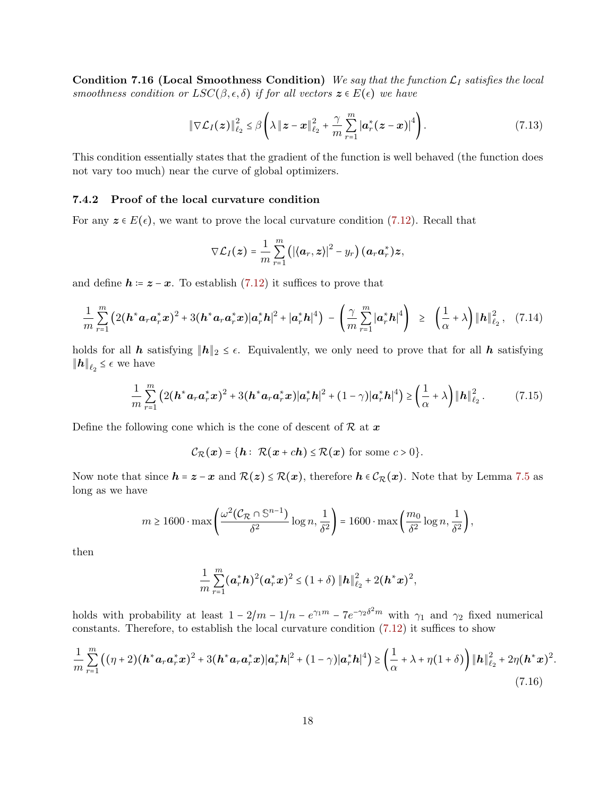Condition 7.16 (Local Smoothness Condition) We say that the function  $\mathcal{L}_I$  satisfies the local smoothness condition or  $LSC(\beta, \epsilon, \delta)$  if for all vectors  $z \in E(\epsilon)$  we have

<span id="page-17-1"></span>
$$
\|\nabla \mathcal{L}_I(z)\|_{\ell_2}^2 \leq \beta \left(\lambda \|z - x\|_{\ell_2}^2 + \frac{\gamma}{m} \sum_{r=1}^m |\boldsymbol{a}_r^*(z - x)|^4\right).
$$
 (7.13)

This condition essentially states that the gradient of the function is well behaved (the function does not vary too much) near the curve of global optimizers.

#### <span id="page-17-0"></span>7.4.2 Proof of the local curvature condition

For any  $z \in E(\epsilon)$ , we want to prove the local curvature condition [\(7.12\)](#page-16-3). Recall that

$$
\nabla \mathcal{L}_I(\boldsymbol{z}) = \frac{1}{m} \sum_{r=1}^m \left( \left| \langle \boldsymbol{a}_r, \boldsymbol{z} \rangle \right|^2 - y_r \right) \left( \boldsymbol{a}_r \boldsymbol{a}_r^* \right) \boldsymbol{z},
$$

and define  $h = z - x$ . To establish [\(7.12\)](#page-16-3) it suffices to prove that

$$
\frac{1}{m}\sum_{r=1}^{m}\left(2(h^*a_r a_r^*x)^2+3(h^*a_r a_r^*x)|a_r^*h|^2+|a_r^*h|^4\right)-\left(\frac{\gamma}{m}\sum_{r=1}^{m}|a_r^*h|^4\right) \geq \left(\frac{1}{\alpha}+\lambda\right)\|h\|_{\ell_2}^2, (7.14)
$$

holds for all h satisfying  $||h||_2 \leq \epsilon$ . Equivalently, we only need to prove that for all h satisfying  $||h||_{\ell_2} \leq \epsilon$  we have

$$
\frac{1}{m}\sum_{r=1}^{m} \left( 2(\mathbf{h}^* \mathbf{a}_r \mathbf{a}_r^* \mathbf{x})^2 + 3(\mathbf{h}^* \mathbf{a}_r \mathbf{a}_r^* \mathbf{x}) |\mathbf{a}_r^* \mathbf{h}|^2 + (1-\gamma) |\mathbf{a}_r^* \mathbf{h}|^4 \right) \ge \left( \frac{1}{\alpha} + \lambda \right) \|\mathbf{h}\|_{\ell_2}^2. \tag{7.15}
$$

Define the following cone which is the cone of descent of  $\mathcal{R}$  at  $\mathbf{x}$ 

$$
\mathcal{C}_{\mathcal{R}}(x) = \{ \mathbf{h} : \mathcal{R}(x + ch) \leq \mathcal{R}(x) \text{ for some } c > 0 \}.
$$

Now note that since  $h = z - x$  and  $\mathcal{R}(z) \leq \mathcal{R}(x)$ , therefore  $h \in \mathcal{C}_{\mathcal{R}}(x)$ . Note that by Lemma [7.5](#page-13-1) as long as we have

$$
m \geq 1600 \cdot \max \left( \frac{\omega^2 \big( C_{\mathcal{R}} \cap \mathbb{S}^{n-1} \big)}{\delta^2} \log n, \frac{1}{\delta^2} \right) = 1600 \cdot \max \left( \frac{m_0}{\delta^2} \log n, \frac{1}{\delta^2} \right),
$$

then

$$
\frac{1}{m}\sum_{r=1}^{m}(\mathbf{a}_r^*\mathbf{h})^2(\mathbf{a}_r^*\mathbf{x})^2 \leq (1+\delta)\|\mathbf{h}\|_{\ell_2}^2 + 2(\mathbf{h}^*\mathbf{x})^2,
$$

holds with probability at least  $1 - 2/m - 1/n - e^{\gamma_1 m} - 7e^{-\gamma_2 \delta^2 m}$  with  $\gamma_1$  and  $\gamma_2$  fixed numerical constants. Therefore, to establish the local curvature condition [\(7.12\)](#page-16-3) it suffices to show

$$
\frac{1}{m}\sum_{r=1}^{m} \left( (\eta + 2)(\mathbf{h}^* \mathbf{a}_r \mathbf{a}_r^* \mathbf{x})^2 + 3(\mathbf{h}^* \mathbf{a}_r \mathbf{a}_r^* \mathbf{x})|\mathbf{a}_r^* \mathbf{h}|^2 + (1 - \gamma)|\mathbf{a}_r^* \mathbf{h}|^4 \right) \ge \left( \frac{1}{\alpha} + \lambda + \eta(1 + \delta) \right) \|\mathbf{h}\|_{\ell_2}^2 + 2\eta (\mathbf{h}^* \mathbf{x})^2.
$$
\n(7.16)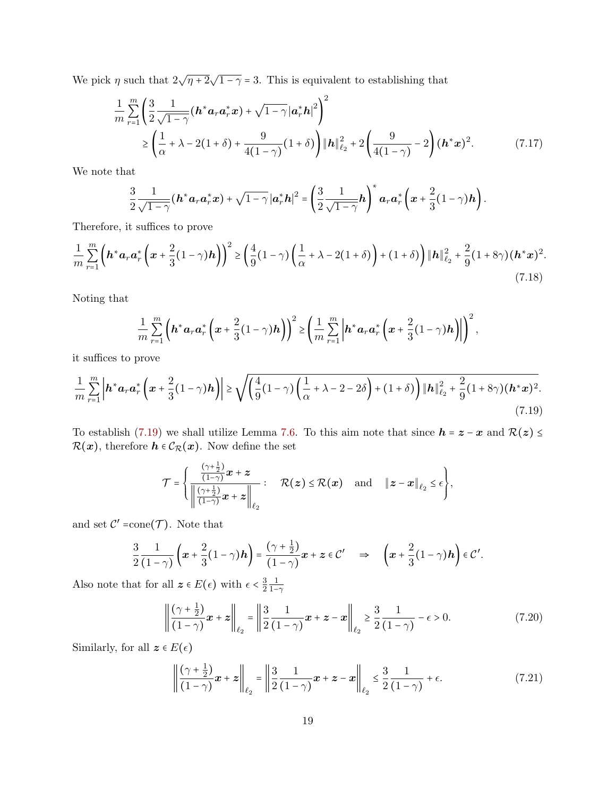We pick  $\eta$  such that  $2\sqrt{\eta+2}\sqrt{1-\gamma} = 3$ . This is equivalent to establishing that

$$
\frac{1}{m} \sum_{r=1}^{m} \left( \frac{3}{2} \frac{1}{\sqrt{1-\gamma}} (\boldsymbol{h}^* \boldsymbol{a}_r \boldsymbol{a}_r^* \boldsymbol{x}) + \sqrt{1-\gamma} |\boldsymbol{a}_r^* \boldsymbol{h}|^2 \right)^2
$$
\n
$$
\geq \left( \frac{1}{\alpha} + \lambda - 2(1+\delta) + \frac{9}{4(1-\gamma)} (1+\delta) \right) \|\boldsymbol{h}\|_{\ell_2}^2 + 2 \left( \frac{9}{4(1-\gamma)} - 2 \right) (\boldsymbol{h}^* \boldsymbol{x})^2. \tag{7.17}
$$

We note that

$$
\frac{3}{2}\frac{1}{\sqrt{1-\gamma}}\left(\boldsymbol{h}^*\boldsymbol{a}_r\boldsymbol{a}_r^*\boldsymbol{x}\right)+\sqrt{1-\gamma}\left|\boldsymbol{a}_r^*\boldsymbol{h}\right|^2=\left(\frac{3}{2}\frac{1}{\sqrt{1-\gamma}}\boldsymbol{h}\right)^*\boldsymbol{a}_r\boldsymbol{a}_r^*\left(\boldsymbol{x}+\frac{2}{3}(1-\gamma)\boldsymbol{h}\right).
$$

Therefore, it suffices to prove

$$
\frac{1}{m} \sum_{r=1}^{m} \left( \mathbf{h}^* \mathbf{a}_r \mathbf{a}_r^* \left( \mathbf{x} + \frac{2}{3} (1 - \gamma) \mathbf{h} \right) \right)^2 \ge \left( \frac{4}{9} (1 - \gamma) \left( \frac{1}{\alpha} + \lambda - 2 (1 + \delta) \right) + (1 + \delta) \right) \|\mathbf{h}\|_{\ell_2}^2 + \frac{2}{9} (1 + 8\gamma) (\mathbf{h}^* \mathbf{x})^2. \tag{7.18}
$$

Noting that

$$
\frac{1}{m}\sum_{r=1}^m\left(\boldsymbol{h}^*\boldsymbol{a}_r\boldsymbol{a}_r^*\left(\boldsymbol{x}+\frac{2}{3}(1-\gamma)\boldsymbol{h}\right)\right)^2\geq\left(\frac{1}{m}\sum_{r=1}^m\left|\boldsymbol{h}^*\boldsymbol{a}_r\boldsymbol{a}_r^*\left(\boldsymbol{x}+\frac{2}{3}(1-\gamma)\boldsymbol{h}\right)\right|\right)^2,
$$

it suffices to prove

$$
\frac{1}{m} \sum_{r=1}^{m} \left| h^* a_r a_r^* \left( x + \frac{2}{3} (1 - \gamma) h \right) \right| \ge \sqrt{\left( \frac{4}{9} (1 - \gamma) \left( \frac{1}{\alpha} + \lambda - 2 - 2\delta \right) + (1 + \delta) \right) \| h \|_{\ell_2}^2 + \frac{2}{9} (1 + 8\gamma) (h^* x)^2.}
$$
\n(7.19)

To establish [\(7.19\)](#page-18-0) we shall utilize Lemma [7.6.](#page-13-0) To this aim note that since  $h = z - x$  and  $\mathcal{R}(z) \leq$  $\mathcal{R}(\boldsymbol{x}),$  therefore  $\boldsymbol{h}\in\mathcal{C}_{\mathcal{R}}(\boldsymbol{x}).$  Now define the set

<span id="page-18-0"></span>
$$
\mathcal{T} = \left\{ \frac{\frac{(\gamma + \frac{1}{2})}{(1 - \gamma)} x + z}{\left\| \frac{(\gamma + \frac{1}{2})}{(1 - \gamma)} x + z \right\|_{\ell_2}} : \quad \mathcal{R}(z) \leq \mathcal{R}(x) \quad \text{and} \quad \|z - x\|_{\ell_2} \leq \epsilon \right\},
$$

and set  $\mathcal{C}' = \text{cone}(\mathcal{T})$ . Note that

$$
\frac{3}{2}\frac{1}{(1-\gamma)}\left(\boldsymbol{x}+\frac{2}{3}(1-\gamma)\boldsymbol{h}\right)=\frac{(\gamma+\frac{1}{2})}{(1-\gamma)}\boldsymbol{x}+\boldsymbol{z}\in\mathcal{C}'\quad\Rightarrow\quad\left(\boldsymbol{x}+\frac{2}{3}(1-\gamma)\boldsymbol{h}\right)\in\mathcal{C}'.
$$

Also note that for all  $z \in E(\epsilon)$  with  $\epsilon < \frac{3}{2}$ 2 1  $1-\gamma$ 

$$
\left\| \frac{(\gamma + \frac{1}{2})}{(1 - \gamma)} x + z \right\|_{\ell_2} = \left\| \frac{3}{2} \frac{1}{(1 - \gamma)} x + z - x \right\|_{\ell_2} \ge \frac{3}{2} \frac{1}{(1 - \gamma)} - \epsilon > 0.
$$
 (7.20)

Similarly, for all  $\textbf{\textit{z}}\in E(\epsilon)$ 

<span id="page-18-2"></span><span id="page-18-1"></span>
$$
\left\| \frac{(\gamma + \frac{1}{2})}{(1 - \gamma)} x + z \right\|_{\ell_2} = \left\| \frac{3}{2} \frac{1}{(1 - \gamma)} x + z - x \right\|_{\ell_2} \le \frac{3}{2} \frac{1}{(1 - \gamma)} + \epsilon.
$$
 (7.21)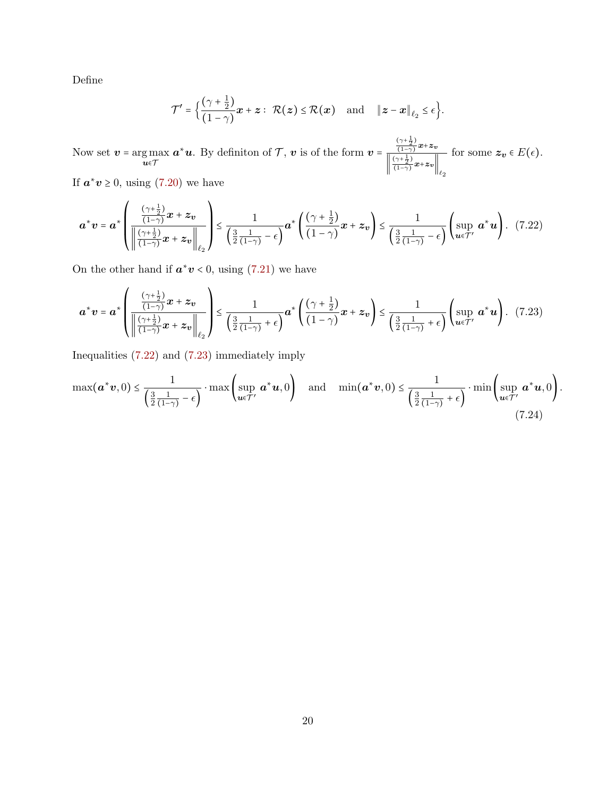Define

<span id="page-19-1"></span><span id="page-19-0"></span>
$$
\mathcal{T}' = \Big\{ \frac{(\gamma + \frac{1}{2})}{(1 - \gamma)} x + z: \ \mathcal{R}(z) \leq \mathcal{R}(x) \quad \text{and} \quad \|z - x\|_{\ell_2} \leq \epsilon \Big\}.
$$

Now set  $\boldsymbol{v}$  =  $\argmax_{\boldsymbol{u} \in \mathcal{T}}$  $a^*u$ . By definiton of  $\mathcal{T}, v$  is of the form  $v =$  $\frac{(\gamma + \frac{1}{2})}{\gamma + \frac{1}{2}}$  $\frac{(1-2)}{(1-\gamma)}x+z_v$  $\left\lfloor \frac{(\gamma + \frac{1}{2})}{(1 - \gamma)} \right\rfloor$  $\frac{(1-2)}{(1-\gamma)}x+z_v$  $\ell_2$ for some  $z_v \in E(\epsilon)$ .

If  $a^*v \ge 0$ , using [\(7.20\)](#page-18-1) we have

$$
\boldsymbol{a}^* \boldsymbol{v} = \boldsymbol{a}^* \left( \frac{\frac{(\gamma + \frac{1}{2})}{(1 - \gamma)} \boldsymbol{x} + \boldsymbol{z}_v}{\left\| \frac{(\gamma + \frac{1}{2})}{(1 - \gamma)} \boldsymbol{x} + \boldsymbol{z}_v \right\|_{\ell_2}} \right) \leq \frac{1}{\left( \frac{3}{2} \frac{1}{(1 - \gamma)} - \epsilon \right)} \boldsymbol{a}^* \left( \frac{(\gamma + \frac{1}{2})}{(1 - \gamma)} \boldsymbol{x} + \boldsymbol{z}_v \right) \leq \frac{1}{\left( \frac{3}{2} \frac{1}{(1 - \gamma)} - \epsilon \right)} \left( \sup_{\boldsymbol{u} \in \mathcal{T}'} \boldsymbol{a}^* \boldsymbol{u} \right). \tag{7.22}
$$

On the other hand if  $a^*v < 0$ , using [\(7.21\)](#page-18-2) we have

$$
\boldsymbol{a}^* \boldsymbol{v} = \boldsymbol{a}^* \left( \frac{\frac{(\gamma + \frac{1}{2})}{(1 - \gamma)} \boldsymbol{x} + \boldsymbol{z}_v}{\left\| \frac{(\gamma + \frac{1}{2})}{(1 - \gamma)} \boldsymbol{x} + \boldsymbol{z}_v \right\|_{\ell_2}} \right) \leq \frac{1}{\left( \frac{3}{2} \frac{1}{(1 - \gamma)} + \epsilon \right)} \boldsymbol{a}^* \left( \frac{(\gamma + \frac{1}{2})}{(1 - \gamma)} \boldsymbol{x} + \boldsymbol{z}_v \right) \leq \frac{1}{\left( \frac{3}{2} \frac{1}{(1 - \gamma)} + \epsilon \right)} \left( \sup_{\boldsymbol{u} \in \mathcal{T}'} \boldsymbol{a}^* \boldsymbol{u} \right). \tag{7.23}
$$

Inequalities [\(7.22\)](#page-19-0) and [\(7.23\)](#page-19-1) immediately imply

<span id="page-19-2"></span>
$$
\max(\boldsymbol{a}^*\boldsymbol{v},0) \leq \frac{1}{\left(\frac{3}{2}\frac{1}{(1-\gamma)}-\epsilon\right)}\cdot\max\left(\sup_{\boldsymbol{u}\in\mathcal{T}'}\boldsymbol{a}^*\boldsymbol{u},0\right) \quad \text{and} \quad \min(\boldsymbol{a}^*\boldsymbol{v},0) \leq \frac{1}{\left(\frac{3}{2}\frac{1}{(1-\gamma)}+\epsilon\right)}\cdot\min\left(\sup_{\boldsymbol{u}\in\mathcal{T}'}\boldsymbol{a}^*\boldsymbol{u},0\right).
$$
\n(7.24)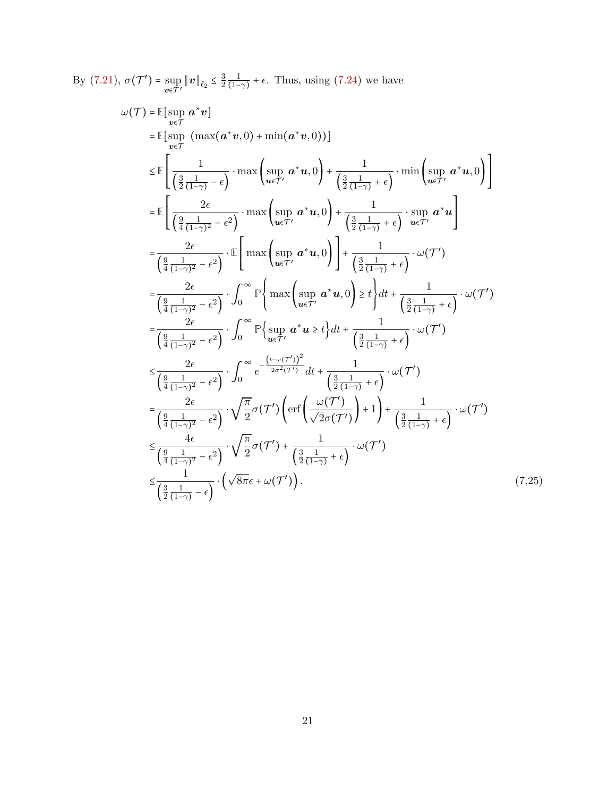By  $(7.21), \sigma(\mathcal{T}') = \sup_{\mathbf{v} \in \mathcal{T}'} ||\mathbf{v}||_{\ell_2} \leq \frac{3}{2}$  $(7.21), \sigma(\mathcal{T}') = \sup_{\mathbf{v} \in \mathcal{T}'} ||\mathbf{v}||_{\ell_2} \leq \frac{3}{2}$ 2 1  $\frac{1}{(1-\gamma)} + \epsilon$ . Thus, using [\(7.24\)](#page-19-2) we have

<span id="page-20-0"></span>
$$
\omega(\mathcal{T}) = \mathbb{E}[\sup_{v \in \mathcal{T}} a^* v]
$$
\n
$$
= \mathbb{E}[\sup_{v \in \mathcal{T}} (\max(a^*v, 0) + \min(a^*v, 0))]
$$
\n
$$
\leq \mathbb{E}\left[\frac{1}{\left(\frac{3}{2}\frac{1}{(1-\gamma)} - \epsilon\right)} \cdot \max\left(\sup_{u \in \mathcal{T}'} a^* u, 0\right) + \frac{1}{\left(\frac{3}{2}\frac{1}{(1-\gamma)} + \epsilon\right)} \cdot \min\left(\sup_{u \in \mathcal{T}'} a^* u, 0\right)\right]
$$
\n
$$
= \mathbb{E}\left[\frac{2\epsilon}{\left(\frac{9}{4}\frac{1}{(1-\gamma)^2} - \epsilon^2\right)} \cdot \max\left(\sup_{u \in \mathcal{T}'} a^* u, 0\right) + \frac{1}{\left(\frac{3}{2}\frac{1}{(1-\gamma)} + \epsilon\right)} \cdot \sup_{u \in \mathcal{T}'} a^* u\right]
$$
\n
$$
= \frac{2\epsilon}{\left(\frac{9}{4}\frac{1}{(1-\gamma)^2} - \epsilon^2\right)} \cdot \mathbb{E}\left[\max\left(\sup_{u \in \mathcal{T}'} a^* u, 0\right)\right] + \frac{1}{\left(\frac{3}{2}\frac{1}{(1-\gamma)} + \epsilon\right)} \cdot \omega(\mathcal{T}')
$$
\n
$$
= \frac{2\epsilon}{\left(\frac{9}{4}\frac{1}{(1-\gamma)^2} - \epsilon^2\right)} \cdot \int_0^\infty \mathbb{P}\left\{\max\left(\sup_{u \in \mathcal{T}'} a^* u, 0\right) \geq t\right\} dt + \frac{1}{\left(\frac{3}{2}\frac{1}{(1-\gamma)} + \epsilon\right)} \cdot \omega(\mathcal{T}')
$$
\n
$$
= \frac{2\epsilon}{\left(\frac{9}{4}\frac{1}{(1-\gamma)^2} - \epsilon^2\right)} \cdot \int_0^\infty \mathbb{P}\left\{\sup_{u \in \mathcal{T}'} a^* u \geq t\right\} dt + \frac{1}{\left(\frac{3}{2}\frac{1}{(1-\gamma)} + \epsilon\right)} \cdot \omega(\mathcal{T}')
$$
\n
$$
\leq \frac{2\epsilon}{\left(\frac{9}{4}\frac{
$$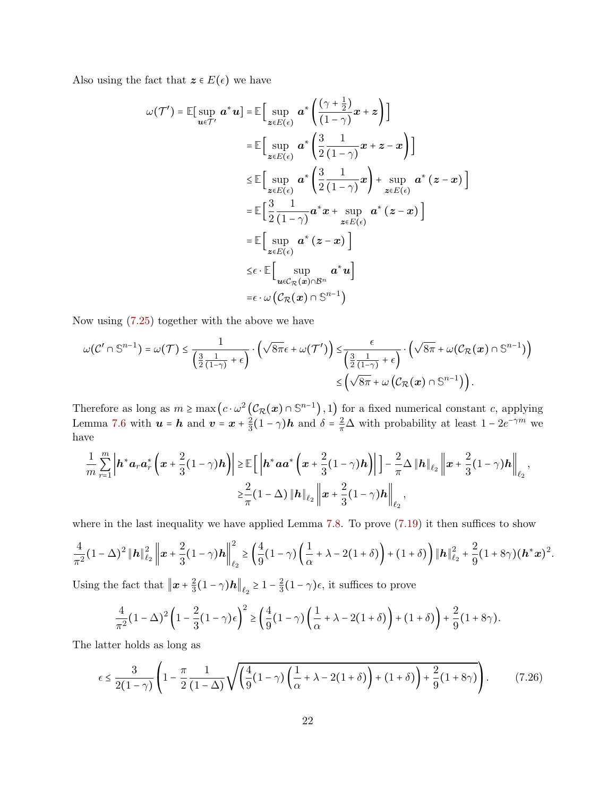Also using the fact that  $z \in E(\epsilon)$  we have

$$
\omega(\mathcal{T}') = \mathbb{E}[\sup_{\mathbf{u}\in\mathcal{T}'} \mathbf{a}^* \mathbf{u}] = \mathbb{E}\Big[\sup_{\mathbf{z}\in E(\epsilon)} \mathbf{a}^* \left(\frac{(\gamma + \frac{1}{2})}{(1 - \gamma)} \mathbf{x} + \mathbf{z}\right)\Big]
$$
  
\n
$$
= \mathbb{E}\Big[\sup_{\mathbf{z}\in E(\epsilon)} \mathbf{a}^* \left(\frac{3}{2}\frac{1}{(1 - \gamma)} \mathbf{x} + \mathbf{z} - \mathbf{x}\right)\Big]
$$
  
\n
$$
\leq \mathbb{E}\Big[\sup_{\mathbf{z}\in E(\epsilon)} \mathbf{a}^* \left(\frac{3}{2}\frac{1}{(1 - \gamma)} \mathbf{x}\right) + \sup_{\mathbf{z}\in E(\epsilon)} \mathbf{a}^* \left(\mathbf{z} - \mathbf{x}\right)\Big]
$$
  
\n
$$
= \mathbb{E}\Big[\frac{3}{2}\frac{1}{(1 - \gamma)} \mathbf{a}^* \mathbf{x} + \sup_{\mathbf{z}\in E(\epsilon)} \mathbf{a}^* \left(\mathbf{z} - \mathbf{x}\right)\Big]
$$
  
\n
$$
= \mathbb{E}\Big[\sup_{\mathbf{z}\in E(\epsilon)} \mathbf{a}^* \left(\mathbf{z} - \mathbf{x}\right)\Big]
$$
  
\n
$$
\leq \epsilon \cdot \mathbb{E}\Big[\sup_{\mathbf{u}\in C_{\mathcal{R}}(\mathbf{x})\cap \mathcal{B}^n} \mathbf{a}^* \mathbf{u}\Big]
$$
  
\n
$$
= \epsilon \cdot \omega \left(\mathcal{C}_{\mathcal{R}}(\mathbf{x})\cap \mathbb{S}^{n-1}\right)
$$

Now using [\(7.25\)](#page-20-0) together with the above we have

$$
\omega(\mathcal{C}' \cap \mathbb{S}^{n-1}) = \omega(\mathcal{T}) \le \frac{1}{\left(\frac{3}{2}\frac{1}{(1-\gamma)} + \epsilon\right)} \cdot \left(\sqrt{8\pi}\epsilon + \omega(\mathcal{T}')\right) \le \frac{\epsilon}{\left(\frac{3}{2}\frac{1}{(1-\gamma)} + \epsilon\right)} \cdot \left(\sqrt{8\pi} + \omega(\mathcal{C}_{\mathcal{R}}(\boldsymbol{x}) \cap \mathbb{S}^{n-1})\right) \le \left(\sqrt{8\pi} + \omega(\mathcal{C}_{\mathcal{R}}(\boldsymbol{x}) \cap \mathbb{S}^{n-1})\right).
$$

Therefore as long as  $m \ge \max\left(c \cdot \omega^2 \left(\mathcal{C}_{\mathcal{R}}(x) \cap \mathbb{S}^{n-1}\right), 1\right)$  for a fixed numerical constant c, applying Lemma [7.6](#page-13-0) with  $u = h$  and  $v = x + \frac{2}{3}$  $\frac{2}{3}(1-\gamma)\boldsymbol{h}$  and  $\delta = \frac{2}{\pi}\Delta$  with probability at least  $1 - 2e^{-\gamma m}$  we have

$$
\frac{1}{m} \sum_{r=1}^{m} \left| \mathbf{h}^* \mathbf{a}_r \mathbf{a}_r^* \left( \mathbf{x} + \frac{2}{3} (1 - \gamma) \mathbf{h} \right) \right| \geq \mathbb{E} \Big[ \left| \mathbf{h}^* \mathbf{a} \mathbf{a}^* \left( \mathbf{x} + \frac{2}{3} (1 - \gamma) \mathbf{h} \right) \right| \Big] - \frac{2}{\pi} \Delta \|\mathbf{h}\|_{\ell_2} \left\| \mathbf{x} + \frac{2}{3} (1 - \gamma) \mathbf{h} \right\|_{\ell_2},
$$
  

$$
\geq \frac{2}{\pi} (1 - \Delta) \|\mathbf{h}\|_{\ell_2} \left\| \mathbf{x} + \frac{2}{3} (1 - \gamma) \mathbf{h} \right\|_{\ell_2},
$$

where in the last inequality we have applied Lemma [7.8.](#page-13-2) To prove  $(7.19)$  it then suffices to show

$$
\frac{4}{\pi^2}(1-\Delta)^2 \|\mathbf{h}\|_{\ell_2}^2 \left\|\mathbf{x}+\frac{2}{3}(1-\gamma)\mathbf{h}\right\|_{\ell_2}^2 \geq \left(\frac{4}{9}(1-\gamma)\left(\frac{1}{\alpha}+\lambda-2(1+\delta)\right)+(1+\delta)\right) \|\mathbf{h}\|_{\ell_2}^2 + \frac{2}{9}(1+8\gamma)(\mathbf{h}^*\mathbf{x})^2.
$$

Using the fact that  $||x + \frac{2}{3}||$  $\frac{2}{3}(1-\gamma)h\|_{\ell_2} \geq 1-\frac{2}{3}$  $\frac{2}{3}(1-\gamma)\epsilon$ , it suffices to prove

<span id="page-21-0"></span>
$$
\frac{4}{\pi^2}(1-\Delta)^2\left(1-\frac{2}{3}(1-\gamma)\epsilon\right)^2 \ge \left(\frac{4}{9}(1-\gamma)\left(\frac{1}{\alpha}+\lambda-2(1+\delta)\right)+(1+\delta)\right)+\frac{2}{9}(1+8\gamma).
$$

The latter holds as long as

$$
\epsilon \le \frac{3}{2(1-\gamma)} \left(1 - \frac{\pi}{2} \frac{1}{(1-\Delta)} \sqrt{\left(\frac{4}{9}(1-\gamma)\left(\frac{1}{\alpha} + \lambda - 2(1+\delta)\right) + (1+\delta)\right) + \frac{2}{9}(1+8\gamma)}\right). \tag{7.26}
$$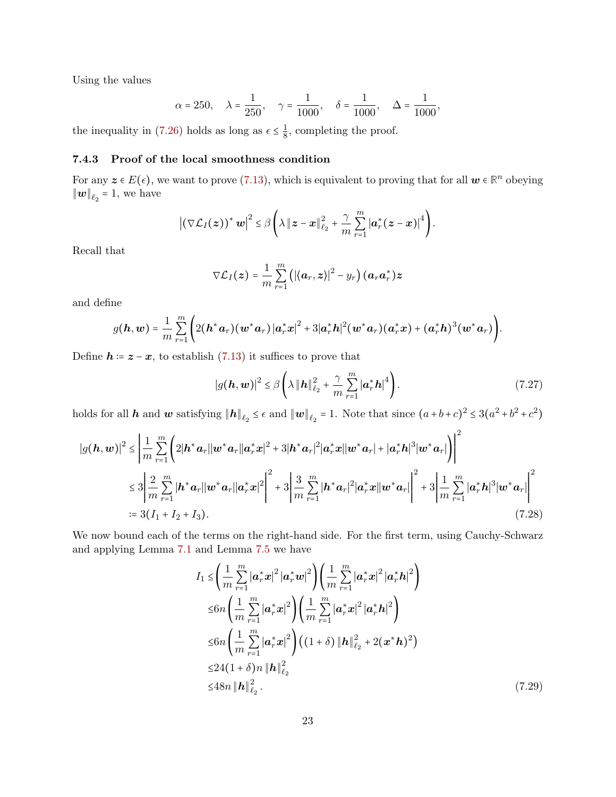Using the values

$$
\alpha = 250
$$
,  $\lambda = \frac{1}{250}$ ,  $\gamma = \frac{1}{1000}$ ,  $\delta = \frac{1}{1000}$ ,  $\Delta = \frac{1}{1000}$ ,

<span id="page-22-0"></span>the inequality in [\(7.26\)](#page-21-0) holds as long as  $\epsilon \leq \frac{1}{8}$  $\frac{1}{8}$ , completing the proof.

## 7.4.3 Proof of the local smoothness condition

For any  $z \in E(\epsilon)$ , we want to prove [\(7.13\)](#page-17-1), which is equivalent to proving that for all  $w \in \mathbb{R}^n$  obeying  $\|\boldsymbol{w}\|_{\ell_2} = 1$ , we have

$$
\left|\left(\nabla \mathcal{L}_I(z)\right)^* w\right|^2 \leq \beta \left(\lambda \left\|z-x\right\|_{\ell_2}^2 + \frac{\gamma}{m}\sum_{r=1}^m \left|\boldsymbol{a}_r^*(z-x)\right|^4\right).
$$

Recall that

$$
\nabla \mathcal{L}_I(z) = \frac{1}{m} \sum_{r=1}^m \left( \left| \langle \boldsymbol{a}_r, \boldsymbol{z} \rangle \right|^2 - y_r \right) (\boldsymbol{a}_r \boldsymbol{a}_r^*) \boldsymbol{z}
$$

and define

$$
g(\boldsymbol{h},\boldsymbol{w})=\frac{1}{m}\sum_{r=1}^{m}\Bigg(2(\boldsymbol{h}^*\boldsymbol{a}_r)(\boldsymbol{w}^*\boldsymbol{a}_r)\left|\boldsymbol{a}_r^*\boldsymbol{x}\right|^2+3|\boldsymbol{a}_r^*\boldsymbol{h}|^2(\boldsymbol{w}^*\boldsymbol{a}_r)(\boldsymbol{a}_r^*\boldsymbol{x})+(\boldsymbol{a}_r^*\boldsymbol{h})^3(\boldsymbol{w}^*\boldsymbol{a}_r)\Bigg).
$$

Define  $h = z - x$ , to establish [\(7.13\)](#page-17-1) it suffices to prove that

<span id="page-22-2"></span>
$$
|g(\boldsymbol{h}, \boldsymbol{w})|^2 \leq \beta \left( \lambda \left\| \boldsymbol{h} \right\|_{\ell_2}^2 + \frac{\gamma}{m} \sum_{r=1}^m |\boldsymbol{a}_r^* \boldsymbol{h}|^4 \right). \tag{7.27}
$$

holds for all  $h$  and  $w$  satisfying  $||h||_{\ell_2} \leq \epsilon$  and  $||w||_{\ell_2} = 1$ . Note that since  $(a+b+c)^2 \leq 3(a^2+b^2+c^2)$ 

$$
|g(\boldsymbol{h}, \boldsymbol{w})|^2 \leq \left| \frac{1}{m} \sum_{r=1}^m \left( 2|\boldsymbol{h}^* \boldsymbol{a}_r| |\boldsymbol{w}^* \boldsymbol{a}_r| |\boldsymbol{a}_r^* \boldsymbol{x}|^2 + 3|\boldsymbol{h}^* \boldsymbol{a}_r|^2 |\boldsymbol{a}_r^* \boldsymbol{x}| |\boldsymbol{w}^* \boldsymbol{a}_r| + |\boldsymbol{a}_r^* \boldsymbol{h}|^3 |\boldsymbol{w}^* \boldsymbol{a}_r| \right) \right|^2
$$
  
\n
$$
\leq 3 \left| \frac{2}{m} \sum_{r=1}^m |\boldsymbol{h}^* \boldsymbol{a}_r| |\boldsymbol{w}^* \boldsymbol{a}_r| |\boldsymbol{a}_r^* \boldsymbol{x}|^2 \right|^2 + 3 \left| \frac{3}{m} \sum_{r=1}^m |\boldsymbol{h}^* \boldsymbol{a}_r|^2 |\boldsymbol{a}_r^* \boldsymbol{x}| |\boldsymbol{w}^* \boldsymbol{a}_r| \right|^2 + 3 \left| \frac{1}{m} \sum_{r=1}^m |\boldsymbol{a}_r^* \boldsymbol{h}|^3 |\boldsymbol{w}^* \boldsymbol{a}_r| \right|^2
$$
  
\n
$$
:= 3(I_1 + I_2 + I_3).
$$
 (7.28)

We now bound each of the terms on the right-hand side. For the first term, using Cauchy-Schwarz and applying Lemma [7.1](#page-11-0) and Lemma [7.5](#page-13-1) we have

<span id="page-22-1"></span>
$$
I_{1} \leq \left(\frac{1}{m} \sum_{r=1}^{m} |\mathbf{a}_{r}^{*} \mathbf{x}|^{2} |\mathbf{a}_{r}^{*} \mathbf{w}|^{2}\right) \left(\frac{1}{m} \sum_{r=1}^{m} |\mathbf{a}_{r}^{*} \mathbf{x}|^{2} |\mathbf{a}_{r}^{*} \mathbf{h}|^{2}\right)
$$
  
\n
$$
\leq 6n \left(\frac{1}{m} \sum_{r=1}^{m} |\mathbf{a}_{r}^{*} \mathbf{x}|^{2}\right) \left(\frac{1}{m} \sum_{r=1}^{m} |\mathbf{a}_{r}^{*} \mathbf{x}|^{2} |\mathbf{a}_{r}^{*} \mathbf{h}|^{2}\right)
$$
  
\n
$$
\leq 6n \left(\frac{1}{m} \sum_{r=1}^{m} |\mathbf{a}_{r}^{*} \mathbf{x}|^{2}\right) ((1+\delta) \|\mathbf{h}\|_{\ell_{2}}^{2} + 2(\mathbf{x}^{*} \mathbf{h})^{2})
$$
  
\n
$$
\leq 24(1+\delta)n \|\mathbf{h}\|_{\ell_{2}}^{2}
$$
  
\n
$$
\leq 48n \|\mathbf{h}\|_{\ell_{2}}^{2}.
$$
 (7.29)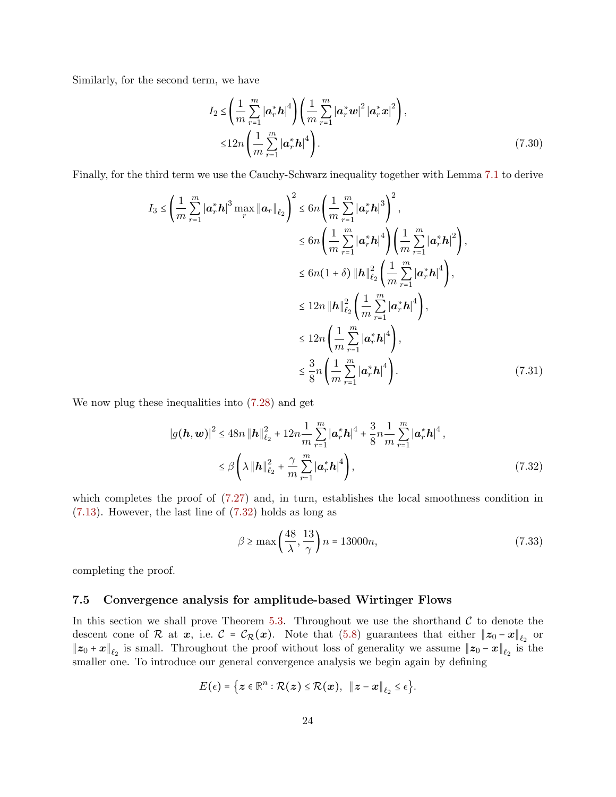Similarly, for the second term, we have

$$
I_{2} \leq \left(\frac{1}{m} \sum_{r=1}^{m} |\boldsymbol{a}_{r}^{*} \boldsymbol{h}|^{4}\right) \left(\frac{1}{m} \sum_{r=1}^{m} |\boldsymbol{a}_{r}^{*} \boldsymbol{w}|^{2} |\boldsymbol{a}_{r}^{*} \boldsymbol{x}|^{2}\right),
$$
  

$$
\leq 12n \left(\frac{1}{m} \sum_{r=1}^{m} |\boldsymbol{a}_{r}^{*} \boldsymbol{h}|^{4}\right).
$$
 (7.30)

Finally, for the third term we use the Cauchy-Schwarz inequality together with Lemma [7.1](#page-11-0) to derive

$$
I_{3} \leq \left(\frac{1}{m} \sum_{r=1}^{m} |\mathbf{a}_{r}^{*} \mathbf{h}|^{3} \max_{r} \|\mathbf{a}_{r}\|_{\ell_{2}}\right)^{2} \leq 6n \left(\frac{1}{m} \sum_{r=1}^{m} |\mathbf{a}_{r}^{*} \mathbf{h}|^{3}\right)^{2},
$$
  
\n
$$
\leq 6n \left(\frac{1}{m} \sum_{r=1}^{m} |\mathbf{a}_{r}^{*} \mathbf{h}|^{4}\right) \left(\frac{1}{m} \sum_{r=1}^{m} |\mathbf{a}_{r}^{*} \mathbf{h}|^{2}\right),
$$
  
\n
$$
\leq 6n(1+\delta) \|\mathbf{h}\|_{\ell_{2}}^{2} \left(\frac{1}{m} \sum_{r=1}^{m} |\mathbf{a}_{r}^{*} \mathbf{h}|^{4}\right),
$$
  
\n
$$
\leq 12n \|\mathbf{h}\|_{\ell_{2}}^{2} \left(\frac{1}{m} \sum_{r=1}^{m} |\mathbf{a}_{r}^{*} \mathbf{h}|^{4}\right),
$$
  
\n
$$
\leq 12n \left(\frac{1}{m} \sum_{r=1}^{m} |\mathbf{a}_{r}^{*} \mathbf{h}|^{4}\right),
$$
  
\n
$$
\leq \frac{3}{8}n \left(\frac{1}{m} \sum_{r=1}^{m} |\mathbf{a}_{r}^{*} \mathbf{h}|^{4}\right).
$$
  
\n(7.31)

We now plug these inequalities into [\(7.28\)](#page-22-1) and get

$$
|g(\boldsymbol{h}, \boldsymbol{w})|^2 \le 48n \|\boldsymbol{h}\|_{\ell_2}^2 + 12n \frac{1}{m} \sum_{r=1}^m |\boldsymbol{a}_r^* \boldsymbol{h}|^4 + \frac{3}{8}n \frac{1}{m} \sum_{r=1}^m |\boldsymbol{a}_r^* \boldsymbol{h}|^4,
$$
  

$$
\le \beta \left( \lambda \|\boldsymbol{h}\|_{\ell_2}^2 + \frac{\gamma}{m} \sum_{r=1}^m |\boldsymbol{a}_r^* \boldsymbol{h}|^4 \right),
$$
 (7.32)

which completes the proof of  $(7.27)$  and, in turn, establishes the local smoothness condition in [\(7.13\)](#page-17-1). However, the last line of [\(7.32\)](#page-23-1) holds as long as

<span id="page-23-1"></span>
$$
\beta \ge \max\left(\frac{48}{\lambda}, \frac{13}{\gamma}\right)n = 13000n,\tag{7.33}
$$

<span id="page-23-0"></span>completing the proof.

#### 7.5 Convergence analysis for amplitude-based Wirtinger Flows

In this section we shall prove Theorem [5.3.](#page-7-4) Throughout we use the shorthand  $\mathcal C$  to denote the descent cone of R at  $x$ , i.e.  $C = C_{\mathcal{R}}(x)$ . Note that [\(5.8\)](#page-7-2) guarantees that either  $||z_0 - x||_{\ell_2}$  or  $||z_0 + x||_{\ell_2}$  is small. Throughout the proof without loss of generality we assume  $||z_0 - x||_{\ell_2}$  is the smaller one. To introduce our general convergence analysis we begin again by defining

$$
E(\epsilon)=\big\{\boldsymbol{z}\in\mathbb{R}^n:\mathcal{R}(\boldsymbol{z})\leq \mathcal{R}(\boldsymbol{x}),\;\;\|\boldsymbol{z}-\boldsymbol{x}\|_{\ell_2}\leq \epsilon\big\}.
$$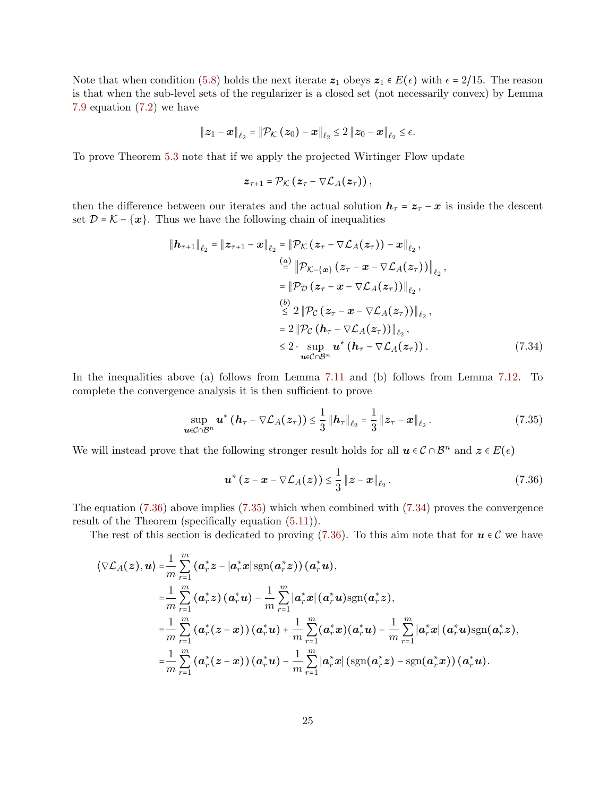Note that when condition [\(5.8\)](#page-7-2) holds the next iterate  $z_1$  obeys  $z_1 \in E(\epsilon)$  with  $\epsilon = 2/15$ . The reason is that when the sub-level sets of the regularizer is a closed set (not necessarily convex) by Lemma [7.9](#page-14-2) equation [\(7.2\)](#page-14-3) we have

$$
\|\boldsymbol{z}_1-\boldsymbol{x}\|_{\ell_2}=\|\mathcal{P}_{\mathcal{K}}\left(\boldsymbol{z}_0\right)-\boldsymbol{x}\|_{\ell_2}\leq 2\left\|\boldsymbol{z}_0-\boldsymbol{x}\right\|_{\ell_2}\leq \epsilon.
$$

To prove Theorem [5.3](#page-7-4) note that if we apply the projected Wirtinger Flow update

<span id="page-24-2"></span>
$$
\boldsymbol{z}_{\tau+1} = \mathcal{P}_{\mathcal{K}}\left(\boldsymbol{z}_{\tau} - \nabla \mathcal{L}_{A}(\boldsymbol{z}_{\tau})\right),
$$

then the difference between our iterates and the actual solution  $h_{\tau} = z_{\tau} - x$  is inside the descent set  $\mathcal{D}=\mathcal{K}-\{\boldsymbol{x}\}.$  Thus we have the following chain of inequalities

$$
\|h_{\tau+1}\|_{\ell_2} = \|z_{\tau+1} - x\|_{\ell_2} = \|\mathcal{P}_{\mathcal{K}}(z_{\tau} - \nabla \mathcal{L}_A(z_{\tau})) - x\|_{\ell_2},
$$
\n
$$
\stackrel{(a)}{=} \|\mathcal{P}_{\mathcal{K}-\{\mathbf{x}\}}(z_{\tau} - x - \nabla \mathcal{L}_A(z_{\tau}))\|_{\ell_2},
$$
\n
$$
= \|\mathcal{P}_{\mathcal{D}}(z_{\tau} - x - \nabla \mathcal{L}_A(z_{\tau}))\|_{\ell_2},
$$
\n
$$
\stackrel{(b)}{\leq} 2 \|\mathcal{P}_{\mathcal{C}}(z_{\tau} - x - \nabla \mathcal{L}_A(z_{\tau}))\|_{\ell_2},
$$
\n
$$
= 2 \|\mathcal{P}_{\mathcal{C}}(h_{\tau} - \nabla \mathcal{L}_A(z_{\tau}))\|_{\ell_2},
$$
\n
$$
\leq 2 \cdot \sup_{\mathbf{u} \in \mathcal{C} \cap \mathcal{B}^n} \mathbf{u}^*(h_{\tau} - \nabla \mathcal{L}_A(z_{\tau})). \tag{7.34}
$$

In the inequalities above (a) follows from Lemma [7.11](#page-14-4) and (b) follows from Lemma [7.12.](#page-14-5) To complete the convergence analysis it is then sufficient to prove

$$
\sup_{\boldsymbol{u}\in\mathcal{C}\cap\mathcal{B}^n}\boldsymbol{u}^*\left(\boldsymbol{h}_{\tau}-\nabla\mathcal{L}_A(\boldsymbol{z}_{\tau})\right)\leq\frac{1}{3}\left\|\boldsymbol{h}_{\tau}\right\|_{\ell_2}=\frac{1}{3}\left\|\boldsymbol{z}_{\tau}-\boldsymbol{x}\right\|_{\ell_2}.\tag{7.35}
$$

We will instead prove that the following stronger result holds for all  $u \in C \cap \mathcal{B}^n$  and  $z \in E(\epsilon)$ 

<span id="page-24-1"></span><span id="page-24-0"></span>
$$
\boldsymbol{u}^{\ast}\left(\boldsymbol{z}-\boldsymbol{x}-\nabla \mathcal{L}_{A}(\boldsymbol{z})\right) \leq \frac{1}{3}\left\|\boldsymbol{z}-\boldsymbol{x}\right\|_{\ell_{2}}.\tag{7.36}
$$

The equation [\(7.36\)](#page-24-0) above implies [\(7.35\)](#page-24-1) which when combined with [\(7.34\)](#page-24-2) proves the convergence result of the Theorem (specifically equation [\(5.11\)](#page-7-5)).

The rest of this section is dedicated to proving [\(7.36\)](#page-24-0). To this aim note that for  $u \in \mathcal{C}$  we have

$$
\langle \nabla \mathcal{L}_A(z), \mathbf{u} \rangle = \frac{1}{m} \sum_{r=1}^m (\mathbf{a}_r^* \mathbf{z} - |\mathbf{a}_r^* \mathbf{x}| \operatorname{sgn}(\mathbf{a}_r^* \mathbf{z})) (\mathbf{a}_r^* \mathbf{u}),
$$
  
\n
$$
= \frac{1}{m} \sum_{r=1}^m (\mathbf{a}_r^* \mathbf{z}) (\mathbf{a}_r^* \mathbf{u}) - \frac{1}{m} \sum_{r=1}^m |\mathbf{a}_r^* \mathbf{x}| (\mathbf{a}_r^* \mathbf{u}) \operatorname{sgn}(\mathbf{a}_r^* \mathbf{z}),
$$
  
\n
$$
= \frac{1}{m} \sum_{r=1}^m (\mathbf{a}_r^* (z - \mathbf{x})) (\mathbf{a}_r^* \mathbf{u}) + \frac{1}{m} \sum_{r=1}^m (\mathbf{a}_r^* \mathbf{x}) (\mathbf{a}_r^* \mathbf{u}) - \frac{1}{m} \sum_{r=1}^m |\mathbf{a}_r^* \mathbf{x}| (\mathbf{a}_r^* \mathbf{u}) \operatorname{sgn}(\mathbf{a}_r^* \mathbf{z}),
$$
  
\n
$$
= \frac{1}{m} \sum_{r=1}^m (\mathbf{a}_r^* (z - \mathbf{x})) (\mathbf{a}_r^* \mathbf{u}) - \frac{1}{m} \sum_{r=1}^m |\mathbf{a}_r^* \mathbf{x}| (\operatorname{sgn}(\mathbf{a}_r^* \mathbf{z}) - \operatorname{sgn}(\mathbf{a}_r^* \mathbf{x})) (\mathbf{a}_r^* \mathbf{u}).
$$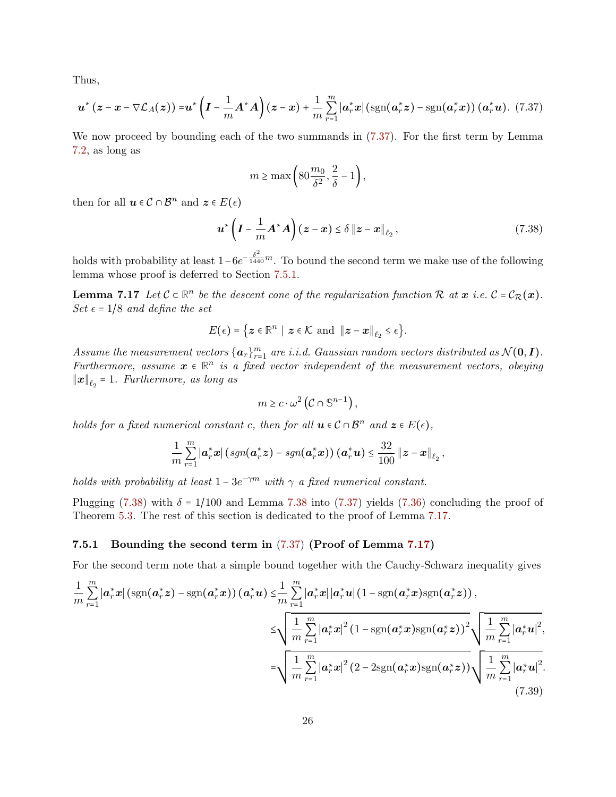Thus,

$$
\boldsymbol{u}^*\left(\boldsymbol{z}-\boldsymbol{x}-\nabla \mathcal{L}_A(\boldsymbol{z})\right)=\boldsymbol{u}^*\left(\boldsymbol{I}-\frac{1}{m}\boldsymbol{A}^*\boldsymbol{A}\right)(\boldsymbol{z}-\boldsymbol{x})+\frac{1}{m}\sum_{r=1}^m|\boldsymbol{a}_r^*\boldsymbol{x}|\left(\text{sgn}(\boldsymbol{a}_r^*\boldsymbol{z})-\text{sgn}(\boldsymbol{a}_r^*\boldsymbol{x})\right)(\boldsymbol{a}_r^*\boldsymbol{u}).\tag{7.37}
$$

We now proceed by bounding each of the two summands in [\(7.37\)](#page-25-0). For the first term by Lemma [7.2,](#page-11-1) as long as

<span id="page-25-2"></span><span id="page-25-0"></span>
$$
m \ge \max\left(80\frac{m_0}{\delta^2}, \frac{2}{\delta} - 1\right),\,
$$

then for all  $u \in \mathcal{C} \cap \mathcal{B}^n$  and  $z \in E(\epsilon)$ 

<span id="page-25-3"></span>
$$
\boldsymbol{u}^*\left(\boldsymbol{I}-\frac{1}{m}\boldsymbol{A}^*\boldsymbol{A}\right)(\boldsymbol{z}-\boldsymbol{x})\leq \delta \left\|\boldsymbol{z}-\boldsymbol{x}\right\|_{\ell_2},\tag{7.38}
$$

holds with probability at least  $1-6e^{-\frac{\delta^2}{1440}m}$ . To bound the second term we make use of the following lemma whose proof is deferred to Section [7.5.1.](#page-25-1)

**Lemma 7.17** Let  $C \subset \mathbb{R}^n$  be the descent cone of the regularization function R at  $x$  i.e.  $C = C_{\mathcal{R}}(x)$ . Set  $\epsilon = 1/8$  and define the set

$$
E(\epsilon) = \left\{ \boldsymbol{z} \in \mathbb{R}^n \mid \boldsymbol{z} \in \mathcal{K} \text{ and } \|\boldsymbol{z} - \boldsymbol{x}\|_{\ell_2} \leq \epsilon \right\}.
$$

Assume the measurement vectors  $\{a_r\}_{r=1}^m$  are i.i.d. Gaussian random vectors distributed as  $\mathcal{N}(\mathbf{0}, \mathbf{I})$ . Furthermore, assume  $x \in \mathbb{R}^n$  is a fixed vector independent of the measurement vectors, obeying  $\left\Vert \boldsymbol{x}\right\Vert _{\ell_{2}}$  = 1. Furthermore, as long as

<span id="page-25-4"></span>
$$
m \geq c \cdot \omega^2 \left( C \cap \mathbb{S}^{n-1} \right),\,
$$

holds for a fixed numerical constant c, then for all  $u \in C \cap B^n$  and  $z \in E(\epsilon)$ ,

$$
\frac{1}{m}\sum_{r=1}^m |\boldsymbol{a}_r^*\boldsymbol{x}| \left(\operatorname{sgn}(\boldsymbol{a}_r^*\boldsymbol{z}) - \operatorname{sgn}(\boldsymbol{a}_r^*\boldsymbol{x})\right) (\boldsymbol{a}_r^*\boldsymbol{u}) \leq \frac{32}{100} \left\|\boldsymbol{z} - \boldsymbol{x}\right\|_{\ell_2},
$$

holds with probability at least  $1 - 3e^{-\gamma m}$  with  $\gamma$  a fixed numerical constant.

Plugging [\(7.38\)](#page-25-2) with  $\delta = 1/100$  and Lemma [7.38](#page-25-2) into [\(7.37\)](#page-25-0) yields [\(7.36\)](#page-24-0) concluding the proof of Theorem [5.3.](#page-7-4) The rest of this section is dedicated to the proof of Lemma [7.17.](#page-25-3)

#### <span id="page-25-1"></span>7.5.1 Bounding the second term in [\(7.37\)](#page-25-0) (Proof of Lemma [7.17\)](#page-25-3)

For the second term note that a simple bound together with the Cauchy-Schwarz inequality gives

$$
\frac{1}{m} \sum_{r=1}^{m} |\mathbf{a}_r^* \mathbf{x}| \left( \operatorname{sgn}(\mathbf{a}_r^* \mathbf{z}) - \operatorname{sgn}(\mathbf{a}_r^* \mathbf{x}) \right) (\mathbf{a}_r^* \mathbf{u}) \leq \frac{1}{m} \sum_{r=1}^{m} |\mathbf{a}_r^* \mathbf{x}| |\mathbf{a}_r^* \mathbf{u}| (1 - \operatorname{sgn}(\mathbf{a}_r^* \mathbf{x}) \operatorname{sgn}(\mathbf{a}_r^* \mathbf{z})) \,,
$$
\n
$$
\leq \sqrt{\frac{1}{m} \sum_{r=1}^{m} |\mathbf{a}_r^* \mathbf{x}|^2 (1 - \operatorname{sgn}(\mathbf{a}_r^* \mathbf{x}) \operatorname{sgn}(\mathbf{a}_r^* \mathbf{z}))^2} \sqrt{\frac{1}{m} \sum_{r=1}^{m} |\mathbf{a}_r^* \mathbf{u}|^2},
$$
\n
$$
= \sqrt{\frac{1}{m} \sum_{r=1}^{m} |\mathbf{a}_r^* \mathbf{x}|^2 (2 - 2 \operatorname{sgn}(\mathbf{a}_r^* \mathbf{x}) \operatorname{sgn}(\mathbf{a}_r^* \mathbf{z}))} \sqrt{\frac{1}{m} \sum_{r=1}^{m} |\mathbf{a}_r^* \mathbf{u}|^2}.
$$
\n(7.39)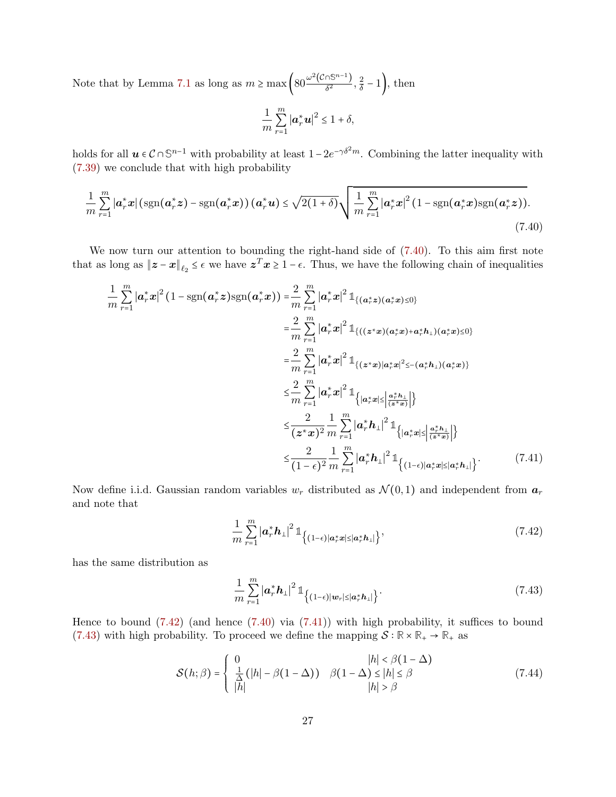Note that by Lemma [7.1](#page-11-0) as long as  $m \ge \max \left( 80 \frac{\omega^2 (\mathcal{C} \cap \mathbb{S}^{n-1})}{\delta^2} \right)$  $rac{\sqrt{5^{n-1}}}{\delta^2}, \frac{2}{\delta}$  $\frac{2}{\delta}$  – 1 ), then

<span id="page-26-0"></span>
$$
\frac{1}{m}\sum_{r=1}^{m}\left|\boldsymbol{a}_{r}^{*}\boldsymbol{u}\right|^{2}\leq1+\delta,
$$

holds for all  $u \in C \cap \mathbb{S}^{n-1}$  with probability at least  $1-2e^{-\gamma \delta^2 m}$ . Combining the latter inequality with [\(7.39\)](#page-25-4) we conclude that with high probability

$$
\frac{1}{m}\sum_{r=1}^{m}\left|a_r^*x\right|\left(\text{sgn}(\boldsymbol{a}_r^*\boldsymbol{z})-\text{sgn}(\boldsymbol{a}_r^*\boldsymbol{x})\right)(\boldsymbol{a}_r^*\boldsymbol{u})\leq \sqrt{2(1+\delta)}\sqrt{\frac{1}{m}\sum_{r=1}^{m}\left|a_r^*x\right|^2(1-\text{sgn}(\boldsymbol{a}_r^*\boldsymbol{x})\text{sgn}(\boldsymbol{a}_r^*\boldsymbol{z}))}.\tag{7.40}
$$

We now turn our attention to bounding the right-hand side of  $(7.40)$ . To this aim first note that as long as  $||z - x||_{\ell_2} \leq \epsilon$  we have  $z^T x \geq 1 - \epsilon$ . Thus, we have the following chain of inequalities

$$
\frac{1}{m} \sum_{r=1}^{m} |\mathbf{a}_{r}^{*} \mathbf{x}|^{2} (1 - \text{sgn}(\mathbf{a}_{r}^{*} \mathbf{z}) \text{sgn}(\mathbf{a}_{r}^{*} \mathbf{x})) = \frac{2}{m} \sum_{r=1}^{m} |\mathbf{a}_{r}^{*} \mathbf{x}|^{2} \mathbb{1}_{\{(\mathbf{a}_{r}^{*} \mathbf{z})(\mathbf{a}_{r}^{*} \mathbf{x}) \le 0\}}
$$
\n
$$
= \frac{2}{m} \sum_{r=1}^{m} |\mathbf{a}_{r}^{*} \mathbf{x}|^{2} \mathbb{1}_{\{((\mathbf{z}^{*} \mathbf{x})(\mathbf{a}_{r}^{*} \mathbf{x}) + \mathbf{a}_{r}^{*} \mathbf{h}_{\perp})(\mathbf{a}_{r}^{*} \mathbf{x}) \le 0\}}
$$
\n
$$
= \frac{2}{m} \sum_{r=1}^{m} |\mathbf{a}_{r}^{*} \mathbf{x}|^{2} \mathbb{1}_{\{(\mathbf{z}^{*} \mathbf{x}) | \mathbf{a}_{r}^{*} \mathbf{x}|^{2} \le -(\mathbf{a}_{r}^{*} \mathbf{h}_{\perp})(\mathbf{a}_{r}^{*} \mathbf{x})\}}
$$
\n
$$
\le \frac{2}{m} \sum_{r=1}^{m} |\mathbf{a}_{r}^{*} \mathbf{x}|^{2} \mathbb{1}_{\{|\mathbf{a}_{r}^{*} \mathbf{x}| \le |\frac{\mathbf{a}_{r}^{*} \mathbf{h}_{\perp}|}{(\mathbf{z}^{*} \mathbf{x})}|\}}
$$
\n
$$
\le \frac{2}{(\mathbf{z}^{*} \mathbf{x})^{2}} \frac{1}{m} \sum_{r=1}^{m} |\mathbf{a}_{r}^{*} \mathbf{h}_{\perp}|^{2} \mathbb{1}_{\{|\mathbf{a}_{r}^{*} \mathbf{x}| \le |\frac{\mathbf{a}_{r}^{*} \mathbf{h}_{\perp}|}{(\mathbf{z}^{*} \mathbf{x})}|\}}
$$
\n
$$
\le \frac{2}{(1-\epsilon)^{2}} \frac{1}{m} \sum_{r=1}^{m} |\mathbf{a}_{r}^{*} \mathbf{h}_{\perp}|^{2} \mathbb{1}_{\{(|-\epsilon)|\mathbf{
$$

Now define i.i.d. Gaussian random variables  $w_r$  distributed as  $\mathcal{N}(0,1)$  and independent from  $a_r$ and note that

<span id="page-26-2"></span><span id="page-26-1"></span>
$$
\frac{1}{m}\sum_{r=1}^{m}\left|\boldsymbol{a}_{r}^{*}\boldsymbol{h}_{\perp}\right|^{2} \mathbb{1}_{\left\{ (1-\epsilon)|\boldsymbol{a}_{r}^{*}\boldsymbol{x}| \leq \left|\boldsymbol{a}_{r}^{*}\boldsymbol{h}_{\perp}\right|\right\}},\tag{7.42}
$$

has the same distribution as

<span id="page-26-4"></span><span id="page-26-3"></span>
$$
\frac{1}{m}\sum_{r=1}^{m}\left|\boldsymbol{a}_{r}^{*}\boldsymbol{h}_{\perp}\right|^{2} \mathbb{1}_{\left\{ (1-\epsilon)|\boldsymbol{w}_{r}| \leq \left|\boldsymbol{a}_{r}^{*}\boldsymbol{h}_{\perp}\right|\right\}}.\tag{7.43}
$$

Hence to bound  $(7.42)$  (and hence  $(7.40)$  via  $(7.41)$ ) with high probability, it suffices to bound [\(7.43\)](#page-26-3) with high probability. To proceed we define the mapping  $S : \mathbb{R} \times \mathbb{R}_+ \to \mathbb{R}_+$  as

$$
\mathcal{S}(h; \beta) = \begin{cases} 0 & |h| < \beta(1 - \Delta) \\ \frac{1}{\Delta} \left( |h| - \beta(1 - \Delta) \right) & \beta(1 - \Delta) \le |h| \le \beta \\ |h| & |h| > \beta \end{cases} \tag{7.44}
$$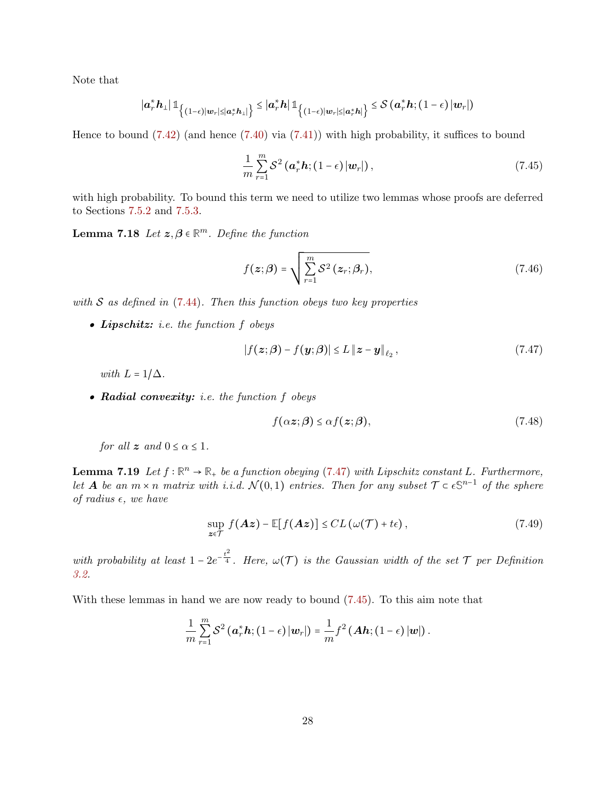Note that

$$
\left|a_r^*h_{\perp}\right| \mathbb{1}_{\left\lbrace (1-\epsilon)|w_r| \leq |a_r^*h_{\perp}|\right\rbrace} \leq \left|a_r^*h\right| \mathbb{1}_{\left\lbrace (1-\epsilon)|w_r| \leq |a_r^*h|\right\rbrace} \leq \mathcal{S}\left(a_r^*h; (1-\epsilon)|w_r|\right)
$$

Hence to bound [\(7.42\)](#page-26-1) (and hence [\(7.40\)](#page-26-0) via [\(7.41\)](#page-26-2)) with high probability, it suffices to bound

<span id="page-27-1"></span>
$$
\frac{1}{m}\sum_{r=1}^{m}\mathcal{S}^{2}\left(\boldsymbol{a}_{r}^{*}\boldsymbol{h};\left(1-\epsilon\right)\left|\boldsymbol{w}_{r}\right|\right),\tag{7.45}
$$

with high probability. To bound this term we need to utilize two lemmas whose proofs are deferred to Sections [7.5.2](#page-29-0) and [7.5.3.](#page-30-0)

**Lemma 7.18** Let  $z, \beta \in \mathbb{R}^m$ . Define the function

<span id="page-27-3"></span>
$$
f(z; \beta) = \sqrt{\sum_{r=1}^{m} S^2(z_r; \beta_r)},
$$
\n(7.46)

with  $S$  as defined in [\(7.44\)](#page-26-4). Then this function obeys two key properties

• Lipschitz: i.e. the function  $f$  obeys

$$
|f(z;\beta) - f(y;\beta)| \le L \|z - y\|_{\ell_2}, \qquad (7.47)
$$

with  $L = 1/\Delta$ .

• Radial convexity: i.e. the function f obeys

<span id="page-27-5"></span><span id="page-27-2"></span><span id="page-27-0"></span>
$$
f(\alpha z;\beta) \leq \alpha f(z;\beta),\tag{7.48}
$$

for all  $z$  and  $0 \leq \alpha \leq 1$ .

<span id="page-27-4"></span>**Lemma 7.19** Let  $f : \mathbb{R}^n \to \mathbb{R}_+$  be a function obeying [\(7.47\)](#page-27-0) with Lipschitz constant L. Furthermore, let **A** be an  $m \times n$  matrix with i.i.d.  $\mathcal{N}(0,1)$  entries. Then for any subset  $\mathcal{T} \subset \epsilon \mathbb{S}^{n-1}$  of the sphere of radius  $\epsilon$ , we have

$$
\sup_{z \in \mathcal{T}} f(Az) - \mathbb{E}[f(Az)] \leq CL\left(\omega(\mathcal{T}) + t\epsilon\right),\tag{7.49}
$$

with probability at least  $1-2e^{-\frac{t^2}{4}}$ . Here,  $\omega(\mathcal{T})$  is the Gaussian width of the set  $\mathcal T$  per Definition [3.2.](#page-3-1)

With these lemmas in hand we are now ready to bound [\(7.45\)](#page-27-1). To this aim note that

$$
\frac{1}{m}\sum_{r=1}^m \mathcal{S}^2\left(\boldsymbol{a}_r^*\boldsymbol{h};\left(1-\epsilon\right)|\boldsymbol{w}_r|\right) = \frac{1}{m}f^2\left(\boldsymbol{A}\boldsymbol{h};\left(1-\epsilon\right)|\boldsymbol{w}|\right).
$$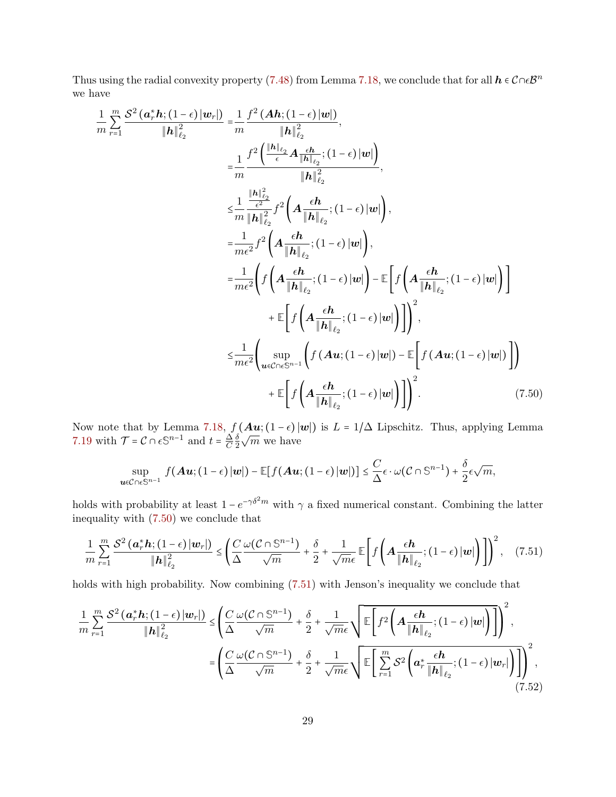Thus using the radial convexity property [\(7.48\)](#page-27-2) from Lemma [7.18,](#page-27-3) we conclude that for all  $h \in \mathcal{C} \cap \epsilon \mathcal{B}^n$ we have

$$
\frac{1}{m} \sum_{r=1}^{m} \frac{S^{2}(\mathbf{a}_{r}^{*} \mathbf{h};(1-\epsilon)|\mathbf{w}_{r}|)}{\|\mathbf{h}\|_{\ell_{2}}^{2}} = \frac{1}{m} \frac{f^{2}(\mathbf{A}\mathbf{h};(1-\epsilon)|\mathbf{w}|)}{\|\mathbf{h}\|_{\ell_{2}}^{2}},
$$
\n
$$
= \frac{1}{m} \frac{f^{2}(\frac{\|\mathbf{h}\|_{\ell_{2}}}{\epsilon} \mathbf{A} \frac{\epsilon \mathbf{h}}{\|\mathbf{h}\|_{\ell_{2}}^{2}}; (1-\epsilon)|\mathbf{w}|)}{\|\mathbf{h}\|_{\ell_{2}}^{2}},
$$
\n
$$
\leq \frac{1}{m} \frac{\frac{\|\mathbf{h}\|_{\ell_{2}}^{2}}{\|\mathbf{h}\|_{\ell_{2}}^{2}} f^{2}(\mathbf{A} \frac{\epsilon \mathbf{h}}{\|\mathbf{h}\|_{\ell_{2}}}; (1-\epsilon)|\mathbf{w}|)}{\|\mathbf{h}\|_{\ell_{2}}^{2}}; (1-\epsilon)|\mathbf{w}|),
$$
\n
$$
= \frac{1}{m\epsilon^{2}} f^{2}(\mathbf{A} \frac{\epsilon \mathbf{h}}{\|\mathbf{h}\|_{\ell_{2}}}; (1-\epsilon)|\mathbf{w}|) - \mathbb{E} \left[ f(\mathbf{A} \frac{\epsilon \mathbf{h}}{\|\mathbf{h}\|_{\ell_{2}}}; (1-\epsilon)|\mathbf{w}|) \right]
$$
\n
$$
+ \mathbb{E} \left[ f(\mathbf{A} \frac{\epsilon \mathbf{h}}{\|\mathbf{h}\|_{\ell_{2}}}; (1-\epsilon)|\mathbf{w}|) \right] \right]^{2},
$$
\n
$$
\leq \frac{1}{m\epsilon^{2}} \left( \sup_{\mathbf{u}\in\mathcal{C}\cap\epsilon\mathbb{S}^{n-1}} \left( f(\mathbf{A}\mathbf{u}; (1-\epsilon)|\mathbf{w}|) - \mathbb{E} \left[ f(\mathbf{A}\mathbf{u}; (1-\epsilon)|\mathbf{w}|) \right] \right)
$$
\n
$$
+ \mathbb{E} \left[ f(\mathbf{A} \frac{\epsilon \mathbf{h}}{\|\mathbf{h}\|_{\ell_{2}}}; (1-\epsilon)|\mathbf{w}|) \right] \right)^{
$$

Now note that by Lemma [7.18,](#page-27-3)  $f(Au; (1-\epsilon)|w|)$  is  $L = 1/\Delta$  Lipschitz. Thus, applying Lemma [7.19](#page-27-4) with  $\mathcal{T} = \mathcal{C} \cap \epsilon \mathbb{S}^{n-1}$  and  $t = \frac{\Delta}{C}$  $\mathcal{C}_{0}^{0}$  $\delta$ 2  $\sqrt{m}$  we have

<span id="page-28-1"></span><span id="page-28-0"></span>
$$
\sup_{\boldsymbol{u}\in\mathcal{C}\cap\epsilon\mathbb{S}^{n-1}} f(\boldsymbol{A}\boldsymbol{u};(1-\epsilon)|\boldsymbol{w}|)-\mathbb{E}[f(\boldsymbol{A}\boldsymbol{u};(1-\epsilon)|\boldsymbol{w}|)]\leq \frac{C}{\Delta}\epsilon\cdot\omega(\mathcal{C}\cap\mathbb{S}^{n-1})+\frac{\delta}{2}\epsilon\sqrt{m},
$$

holds with probability at least  $1 - e^{-\gamma \delta^2 m}$  with  $\gamma$  a fixed numerical constant. Combining the latter inequality with [\(7.50\)](#page-28-0) we conclude that

$$
\frac{1}{m}\sum_{r=1}^{m}\frac{\mathcal{S}^{2}\left(\boldsymbol{a}_{r}^{*}\boldsymbol{h};\left(1-\epsilon\right)\left|\boldsymbol{w}_{r}\right|\right)}{\left\|\boldsymbol{h}\right\|_{\ell_{2}}^{2}}\leq\left(\frac{C}{\Delta}\frac{\omega(\mathcal{C}\cap\mathbb{S}^{n-1})}{\sqrt{m}}+\frac{\delta}{2}+\frac{1}{\sqrt{m}\epsilon}\mathbb{E}\left[f\left(\boldsymbol{A}\frac{\epsilon\boldsymbol{h}}{\left\|\boldsymbol{h}\right\|_{\ell_{2}}};\left(1-\epsilon\right)\left|\boldsymbol{w}\right|\right)\right]\right)^{2},\quad(7.51)
$$

holds with high probability. Now combining  $(7.51)$  with Jenson's inequality we conclude that

<span id="page-28-2"></span>
$$
\frac{1}{m} \sum_{r=1}^{m} \frac{\mathcal{S}^2 \left( \mathbf{a}_r^* \mathbf{h}; (1-\epsilon) \left| \mathbf{w}_r \right| \right)}{\left\| \mathbf{h} \right\|_{\ell_2}^2} \leq \left( \frac{C}{\Delta} \frac{\omega(\mathcal{C} \cap \mathbb{S}^{n-1})}{\sqrt{m}} + \frac{\delta}{2} + \frac{1}{\sqrt{m}\epsilon} \sqrt{\mathbb{E} \left[ f^2 \left( \mathbf{A} \frac{\epsilon \mathbf{h}}{\left\| \mathbf{h} \right\|_{\ell_2}}; (1-\epsilon) \left| \mathbf{w} \right| \right) \right] } \right)^2},
$$
\n
$$
= \left( \frac{C}{\Delta} \frac{\omega(\mathcal{C} \cap \mathbb{S}^{n-1})}{\sqrt{m}} + \frac{\delta}{2} + \frac{1}{\sqrt{m}\epsilon} \sqrt{\mathbb{E} \left[ \sum_{r=1}^{m} \mathcal{S}^2 \left( \mathbf{a}_r^* \frac{\epsilon \mathbf{h}}{\left\| \mathbf{h} \right\|_{\ell_2}}; (1-\epsilon) \left| \mathbf{w}_r \right| \right) \right] } \right)^2},
$$
\n(7.52)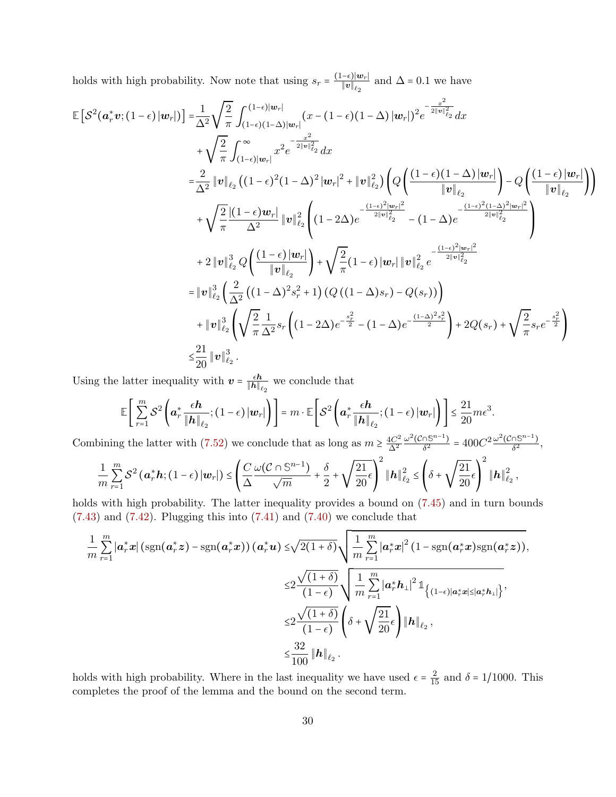holds with high probability. Now note that using  $s_r = \frac{(1-\epsilon)|w_r|}{||w||}$  $\frac{-\epsilon_1 |\boldsymbol{w}_r|}{\|\boldsymbol{v}\|_{\ell_2}}$  and  $\Delta = 0.1$  we have

$$
\mathbb{E}\left[\mathcal{S}^{2}(\mathbf{a}_{r}^{*}\mathbf{v};(1-\epsilon)|\mathbf{w}_{r}|)\right] = \frac{1}{\Delta^{2}}\sqrt{\frac{2}{\pi}}\int_{(1-\epsilon)(1-\Delta)|\mathbf{w}_{r}|}^{(1-\epsilon)|\mathbf{w}_{r}|}(\mathbf{x}-(1-\epsilon)(1-\Delta)|\mathbf{w}_{r}|)^{2}e^{-\frac{x^{2}}{2||\mathbf{v}||_{\ell_{2}}}dx
$$
\n
$$
+\sqrt{\frac{2}{\pi}}\int_{(1-\epsilon)|\mathbf{w}_{r}|}^{\infty} \mathbf{x}^{2}e^{-\frac{x^{2}}{2||\mathbf{v}||_{\ell_{2}}}dx
$$
\n
$$
=\frac{2}{\Delta^{2}}\|\mathbf{v}\|_{\ell_{2}}\left((1-\epsilon)^{2}(1-\Delta)^{2}|\mathbf{w}_{r}|^{2}+|\mathbf{v}\|_{\ell_{2}}^{2}\right)\left(Q\left(\frac{(1-\epsilon)(1-\Delta)|\mathbf{w}_{r}|}{\|\mathbf{v}\|_{\ell_{2}}}\right)-Q\left(\frac{(1-\epsilon)|\mathbf{w}_{r}|}{\|\mathbf{v}\|_{\ell_{2}}}\right)\right)
$$
\n
$$
+\sqrt{\frac{2}{\pi}}\frac{|(1-\epsilon)\mathbf{w}_{r}|}{\Delta^{2}}\|\mathbf{v}\|_{\ell_{2}}^{2}\left((1-2\Delta)e^{-\frac{(1-\epsilon)^{2}|\mathbf{w}_{r}|^{2}}{2||\mathbf{v}|_{\ell_{2}}^{2}}-(1-\Delta)e^{-\frac{(1-\epsilon)^{2}|\mathbf{w}_{r}|^{2}}{2||\mathbf{v}|_{\ell_{2}}^{2}}}\right)
$$
\n
$$
+2\|\mathbf{v}\|_{\ell_{2}}^{3}Q\left(\frac{(1-\epsilon)|\mathbf{w}_{r}|}{\|\mathbf{v}\|_{\ell_{2}}}\right)+\sqrt{\frac{2}{\pi}}(1-\epsilon)\|\mathbf{w}_{r}|\|\mathbf{v}\|_{\ell_{2}}^{2}e^{-\frac{(1-\epsilon)^{2}|\mathbf{w}_{r}|^{2}}{2||\mathbf{v}|_{\ell_{2}}^{2}}}
$$
\n
$$
=\|\mathbf{v}\|_{\ell_{2}}^{3}\left(\frac{2}{\Delta^{2}}\left((1-\Delta)^{2}s_{r}^{2}+1\right)(Q\left((1-\Delta)s_{r}\right
$$

Using the latter inequality with  $\mathbf{v} = \frac{\epsilon \mathbf{h}}{\|\mathbf{h}\|}$ .  $\frac{\epsilon \hbar}{\|\boldsymbol{h}\|_{\ell_2}}$  we conclude that

$$
\mathbb{E}\left[\sum_{r=1}^{m} \mathcal{S}^{2}\left(\boldsymbol{a}_{r}^{*} \frac{\epsilon \boldsymbol{h}}{\|\boldsymbol{h}\|_{\ell_{2}}};\left(1-\epsilon\right)|\boldsymbol{w}_{r}|\right)\right] = m \cdot \mathbb{E}\left[\mathcal{S}^{2}\left(\boldsymbol{a}_{r}^{*} \frac{\epsilon \boldsymbol{h}}{\|\boldsymbol{h}\|_{\ell_{2}}};\left(1-\epsilon\right)|\boldsymbol{w}_{r}|\right)\right] \leq \frac{21}{20} m \epsilon^{3}.
$$

Combining the latter with [\(7.52\)](#page-28-2) we conclude that as long as  $m \geq \frac{4C^2}{\Delta^2}$  $\Delta^2$  $\omega^2$ ( $C \cap \mathbb{S}^{n-1}$ )  $\frac{\partial \mathbb{S}^{n-1}}{\delta^2}$  =  $400C^2 \frac{\omega^2(\mathcal{C} \cap \mathbb{S}^{n-1})}{\delta^2}$  $\frac{15^{11}-1}{\delta^2},$ 

$$
\frac{1}{m}\sum_{r=1}^{m}\mathcal{S}^2\left(\boldsymbol{a}_r^*\boldsymbol{h};\left(1-\epsilon\right)\vert\boldsymbol{w}_r\vert\right)\leq\left(\frac{C}{\Delta}\frac{\omega(\mathcal{C}\cap\mathbb{S}^{n-1})}{\sqrt{m}}+\frac{\delta}{2}+\sqrt{\frac{21}{20}\epsilon}\right)^2\left\Vert \boldsymbol{h}\right\Vert_{\ell_2}^2\leq\left(\delta+\sqrt{\frac{21}{20}\epsilon}\right)^2\left\Vert \boldsymbol{h}\right\Vert_{\ell_2}^2,
$$

holds with high probability. The latter inequality provides a bound on  $(7.45)$  and in turn bounds  $(7.43)$  and  $(7.42)$ . Plugging this into  $(7.41)$  and  $(7.40)$  we conclude that

$$
\frac{1}{m} \sum_{r=1}^{m} |\boldsymbol{a}_r^* \boldsymbol{x}| \left( \operatorname{sgn}(\boldsymbol{a}_r^* \boldsymbol{z}) - \operatorname{sgn}(\boldsymbol{a}_r^* \boldsymbol{x}) \right) (\boldsymbol{a}_r^* \boldsymbol{u}) \le \sqrt{2(1+\delta)} \sqrt{\frac{1}{m} \sum_{r=1}^{m} |\boldsymbol{a}_r^* \boldsymbol{x}|^2 (1 - \operatorname{sgn}(\boldsymbol{a}_r^* \boldsymbol{x}) \operatorname{sgn}(\boldsymbol{a}_r^* \boldsymbol{z}))},
$$
\n
$$
\le 2 \frac{\sqrt{(1+\delta)}}{(1-\epsilon)} \sqrt{\frac{1}{m} \sum_{r=1}^{m} |\boldsymbol{a}_r^* \boldsymbol{h}_\perp|^2 \mathbb{1}_{\left\{ (1-\epsilon) | \boldsymbol{a}_r^* \boldsymbol{x} | \le |\boldsymbol{a}_r^* \boldsymbol{h}_\perp| \right\}}},
$$
\n
$$
\le 2 \frac{\sqrt{(1+\delta)}}{(1-\epsilon)} \left( \delta + \sqrt{\frac{21}{20}} \epsilon \right) ||\boldsymbol{h}||_{\ell_2},
$$
\n
$$
\le \frac{32}{100} ||\boldsymbol{h}||_{\ell_2}.
$$

<span id="page-29-0"></span>holds with high probability. Where in the last inequality we have used  $\epsilon = \frac{2}{15}$  and  $\delta = 1/1000$ . This completes the proof of the lemma and the bound on the second term.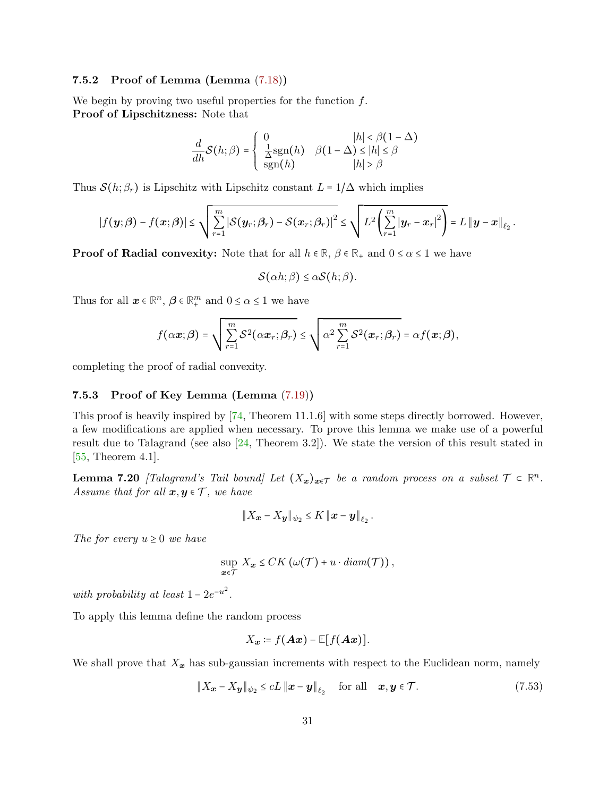### 7.5.2 Proof of Lemma (Lemma [\(7.18\)](#page-27-3))

We begin by proving two useful properties for the function  $f$ . Proof of Lipschitzness: Note that

$$
\frac{d}{dh}\mathcal{S}(h;\beta) = \begin{cases} 0 & |h| < \beta(1-\Delta) \\ \frac{1}{\Delta}\text{sgn}(h) & \beta(1-\Delta) \le |h| \le \beta \\ \text{sgn}(h) & |h| > \beta \end{cases}
$$

Thus  $\mathcal{S}(h; \beta_r)$  is Lipschitz with Lipschitz constant  $L = 1/\Delta$  which implies

$$
\left|f(\boldsymbol{y};\boldsymbol{\beta})-f(\boldsymbol{x};\boldsymbol{\beta})\right|\leq \sqrt{\sum_{r=1}^{m}\left|\mathcal{S}(\boldsymbol{y}_r;\boldsymbol{\beta}_r)-\mathcal{S}(\boldsymbol{x}_r;\boldsymbol{\beta}_r)\right|^2}\leq \sqrt{L^2\left(\sum_{r=1}^{m}\left|\boldsymbol{y}_r-\boldsymbol{x}_r\right|^2\right)}=L\left\|\boldsymbol{y}-\boldsymbol{x}\right\|_{\ell_2}.
$$

**Proof of Radial convexity:** Note that for all  $h \in \mathbb{R}$ ,  $\beta \in \mathbb{R}_+$  and  $0 \le \alpha \le 1$  we have

$$
\mathcal{S}(\alpha h;\beta) \leq \alpha \mathcal{S}(h;\beta).
$$

Thus for all  $\boldsymbol{x} \in \mathbb{R}^n$ ,  $\boldsymbol{\beta} \in \mathbb{R}^m_+$  and  $0 \leq \alpha \leq 1$  we have

$$
f(\alpha \boldsymbol{x}; \boldsymbol{\beta}) = \sqrt{\sum_{r=1}^{m} \mathcal{S}^2(\alpha \boldsymbol{x}_r; \beta_r)} \leq \sqrt{\alpha^2 \sum_{r=1}^{m} \mathcal{S}^2(\boldsymbol{x}_r; \beta_r)} = \alpha f(\boldsymbol{x}; \boldsymbol{\beta}),
$$

<span id="page-30-0"></span>completing the proof of radial convexity.

### 7.5.3 Proof of Key Lemma (Lemma [\(7.19\)](#page-27-4))

This proof is heavily inspired by [\[74,](#page-36-14) Theorem 11.1.6] with some steps directly borrowed. However, a few modifications are applied when necessary. To prove this lemma we make use of a powerful result due to Talagrand (see also [\[24,](#page-33-16) Theorem 3.2]). We state the version of this result stated in [\[55,](#page-35-15) Theorem 4.1].

<span id="page-30-1"></span>**Lemma 7.20** [Talagrand's Tail bound] Let  $(X_x)_{x \in \mathcal{T}}$  be a random process on a subset  $\mathcal{T} \subset \mathbb{R}^n$ . Assume that for all  $x, y \in \mathcal{T}$ , we have

$$
\|X_{\boldsymbol{x}}-X_{\boldsymbol{y}}\|_{\psi_2}\leq K\left\|\boldsymbol{x}-\boldsymbol{y}\right\|_{\ell_2}.
$$

The for every  $u \geq 0$  we have

$$
\sup_{\mathbf{x}\in\mathcal{T}} X_{\mathbf{x}} \leq CK\left(\omega(\mathcal{T}) + u \cdot diam(\mathcal{T})\right),
$$

with probability at least  $1 - 2e^{-u^2}$ .

To apply this lemma define the random process

<span id="page-30-2"></span>
$$
X_{\boldsymbol{x}}\coloneqq f(\boldsymbol{A}\boldsymbol{x})-\mathbb{E}[f(\boldsymbol{A}\boldsymbol{x})].
$$

We shall prove that  $X_x$  has sub-gaussian increments with respect to the Euclidean norm, namely

$$
\|X_{\boldsymbol{x}} - X_{\boldsymbol{y}}\|_{\psi_2} \le cL \|\boldsymbol{x} - \boldsymbol{y}\|_{\ell_2} \quad \text{for all} \quad \boldsymbol{x}, \boldsymbol{y} \in \mathcal{T}.
$$
 (7.53)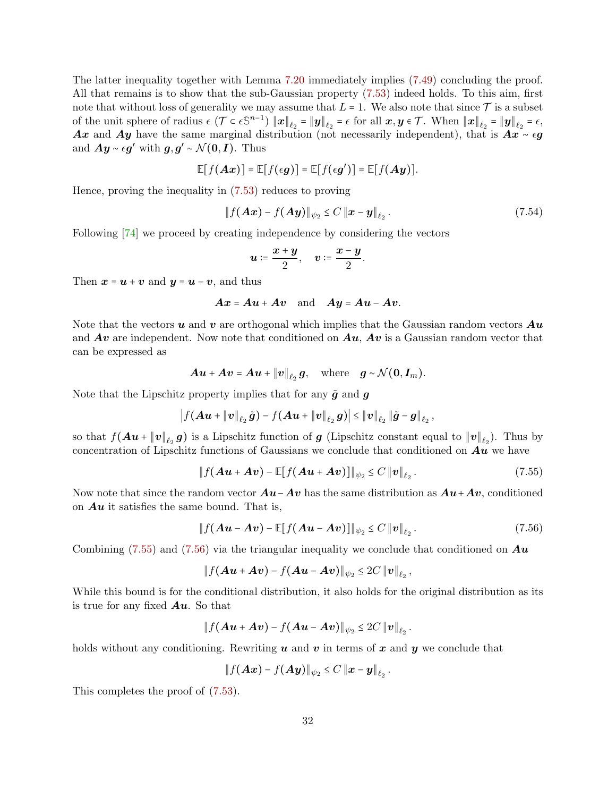The latter inequality together with Lemma [7.20](#page-30-1) immediately implies [\(7.49\)](#page-27-5) concluding the proof. All that remains is to show that the sub-Gaussian property [\(7.53\)](#page-30-2) indeed holds. To this aim, first note that without loss of generality we may assume that  $L = 1$ . We also note that since  $\mathcal T$  is a subset of the unit sphere of radius  $\epsilon$  ( $\mathcal{T} \subset \epsilon \mathbb{S}^{n-1}$ )  $\|\boldsymbol{x}\|_{\ell_2} = \|\boldsymbol{y}\|_{\ell_2} = \epsilon$  for all  $\boldsymbol{x}, \boldsymbol{y} \in \mathcal{T}$ . When  $\|\boldsymbol{x}\|_{\ell_2} = \|\boldsymbol{y}\|_{\ell_2} = \epsilon$ , Ax and Ay have the same marginal distribution (not necessarily independent), that is  $Ax \sim \epsilon g$ and  $Ay \sim \epsilon g'$  with  $g, g' \sim \mathcal{N}(0, I)$ . Thus

$$
\mathbb{E}[f(Ax)]=\mathbb{E}[f(\epsilon g)]=\mathbb{E}[f(\epsilon g')]=\mathbb{E}[f(Ay)].
$$

Hence, proving the inequality in [\(7.53\)](#page-30-2) reduces to proving

$$
\|f(Ax) - f(Ay)\|_{\psi_2} \le C\|x - y\|_{\ell_2}.
$$
\n(7.54)

<span id="page-31-1"></span><span id="page-31-0"></span>.

Following [\[74\]](#page-36-14) we proceed by creating independence by considering the vectors

$$
u \coloneqq \frac{x+y}{2}, \quad v \coloneqq \frac{x-y}{2}
$$

Then  $x = u + v$  and  $y = u - v$ , and thus

$$
Ax = Au + Av \text{ and } Ay = Au - Av.
$$

Note that the vectors  $u$  and  $v$  are orthogonal which implies that the Gaussian random vectors  $Au$ and  $Av$  are independent. Now note that conditioned on  $Au$ ,  $Av$  is a Gaussian random vector that can be expressed as

$$
A\boldsymbol{u} + A\boldsymbol{v} = A\boldsymbol{u} + \|\boldsymbol{v}\|_{\ell_2} \boldsymbol{g}, \quad \text{where} \quad \boldsymbol{g} \sim \mathcal{N}(\boldsymbol{0}, \boldsymbol{I}_m).
$$

Note that the Lipschitz property implies that for any  $\tilde{g}$  and  $g$ 

$$
\left|f(Au+\|v\|_{\ell_2}\,\tilde{g})-f(Au+\|v\|_{\ell_2}\,g)\right|\leq \|v\|_{\ell_2}\,\|\tilde{g}-g\|_{\ell_2}\,,
$$

so that  $f(Au + \|v\|_{\ell_2} g)$  is a Lipschitz function of  $g$  (Lipschitz constant equal to  $\|v\|_{\ell_2}$ ). Thus by concentration of Lipschitz functions of Gaussians we conclude that conditioned on  $Au$  we have

$$
\|f(\mathbf{A}\boldsymbol{u}+\mathbf{A}\boldsymbol{v})-\mathbb{E}[f(\mathbf{A}\boldsymbol{u}+\mathbf{A}\boldsymbol{v})]\|_{\psi_2}\leq C\|\boldsymbol{v}\|_{\ell_2}.
$$
 (7.55)

Now note that since the random vector  $Au-Av$  has the same distribution as  $Au+Av$ , conditioned on  $Au$  it satisfies the same bound. That is,

$$
\|f(\mathbf{A}\boldsymbol{u}-\mathbf{A}\boldsymbol{v})-\mathbb{E}[f(\mathbf{A}\boldsymbol{u}-\mathbf{A}\boldsymbol{v})]\|_{\psi_2}\leq C\|\boldsymbol{v}\|_{\ell_2}.
$$
 (7.56)

Combining [\(7.55\)](#page-31-0) and [\(7.56\)](#page-31-1) via the triangular inequality we conclude that conditioned on  $Au$ 

$$
\|f(Au + Av) - f(Au - Av)\|_{\psi_2} \leq 2C \|v\|_{\ell_2},
$$

While this bound is for the conditional distribution, it also holds for the original distribution as its is true for any fixed  $Au$ . So that

$$
\|f(Au + Av) - f(Au - Av)\|_{\psi_2} \le 2C \|v\|_{\ell_2}.
$$

holds without any conditioning. Rewriting  $u$  and  $v$  in terms of  $x$  and  $y$  we conclude that

$$
\|f(Ax)-f(Ay)\|_{\psi_2}\leq C\,\|x-y\|_{\ell_2}\,.
$$

This completes the proof of [\(7.53\)](#page-30-2).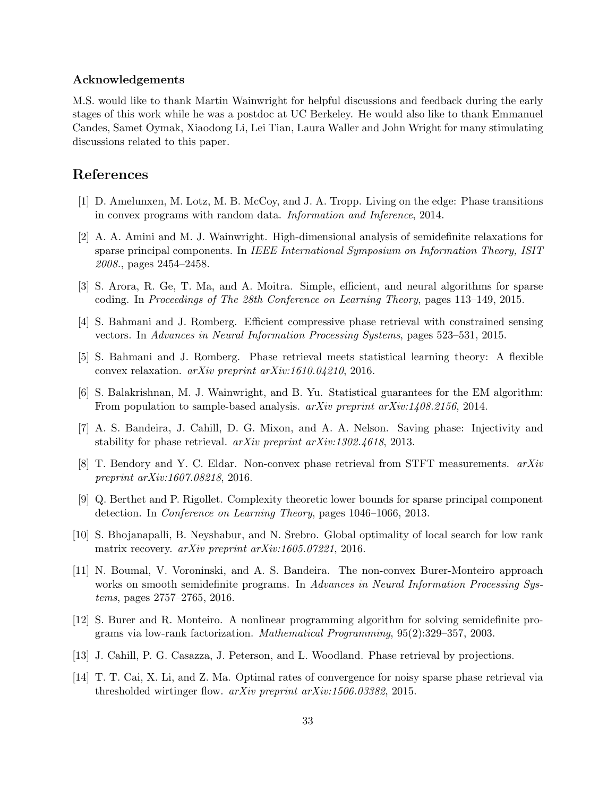### Acknowledgements

M.S. would like to thank Martin Wainwright for helpful discussions and feedback during the early stages of this work while he was a postdoc at UC Berkeley. He would also like to thank Emmanuel Candes, Samet Oymak, Xiaodong Li, Lei Tian, Laura Waller and John Wright for many stimulating discussions related to this paper.

## References

- <span id="page-32-3"></span>[1] D. Amelunxen, M. Lotz, M. B. McCoy, and J. A. Tropp. Living on the edge: Phase transitions in convex programs with random data. Information and Inference, 2014.
- <span id="page-32-1"></span>[2] A. A. Amini and M. J. Wainwright. High-dimensional analysis of semidefinite relaxations for sparse principal components. In IEEE International Symposium on Information Theory, ISIT 2008., pages 2454–2458.
- <span id="page-32-9"></span>[3] S. Arora, R. Ge, T. Ma, and A. Moitra. Simple, efficient, and neural algorithms for sparse coding. In Proceedings of The 28th Conference on Learning Theory, pages 113–149, 2015.
- <span id="page-32-12"></span>[4] S. Bahmani and J. Romberg. Efficient compressive phase retrieval with constrained sensing vectors. In Advances in Neural Information Processing Systems, pages 523–531, 2015.
- <span id="page-32-7"></span>[5] S. Bahmani and J. Romberg. Phase retrieval meets statistical learning theory: A flexible convex relaxation. arXiv preprint arXiv:1610.04210, 2016.
- <span id="page-32-8"></span>[6] S. Balakrishnan, M. J. Wainwright, and B. Yu. Statistical guarantees for the EM algorithm: From population to sample-based analysis. *arXiv preprint arXiv:1408.2156*, 2014.
- <span id="page-32-5"></span>[7] A. S. Bandeira, J. Cahill, D. G. Mixon, and A. A. Nelson. Saving phase: Injectivity and stability for phase retrieval. arXiv preprint arXiv:1302.4618, 2013.
- <span id="page-32-13"></span>[8] T. Bendory and Y. C. Eldar. Non-convex phase retrieval from STFT measurements. arXiv preprint arXiv:1607.08218, 2016.
- <span id="page-32-2"></span>[9] Q. Berthet and P. Rigollet. Complexity theoretic lower bounds for sparse principal component detection. In Conference on Learning Theory, pages 1046–1066, 2013.
- <span id="page-32-10"></span>[10] S. Bhojanapalli, B. Neyshabur, and N. Srebro. Global optimality of local search for low rank matrix recovery. *arXiv preprint arXiv:1605.07221*, 2016.
- <span id="page-32-11"></span>[11] N. Boumal, V. Voroninski, and A. S. Bandeira. The non-convex Burer-Monteiro approach works on smooth semidefinite programs. In Advances in Neural Information Processing Systems, pages 2757–2765, 2016.
- <span id="page-32-6"></span>[12] S. Burer and R. Monteiro. A nonlinear programming algorithm for solving semidefinite programs via low-rank factorization. Mathematical Programming, 95(2):329–357, 2003.
- <span id="page-32-4"></span>[13] J. Cahill, P. G. Casazza, J. Peterson, and L. Woodland. Phase retrieval by projections.
- <span id="page-32-0"></span>[14] T. T. Cai, X. Li, and Z. Ma. Optimal rates of convergence for noisy sparse phase retrieval via thresholded wirtinger flow. arXiv preprint arXiv:1506.03382, 2015.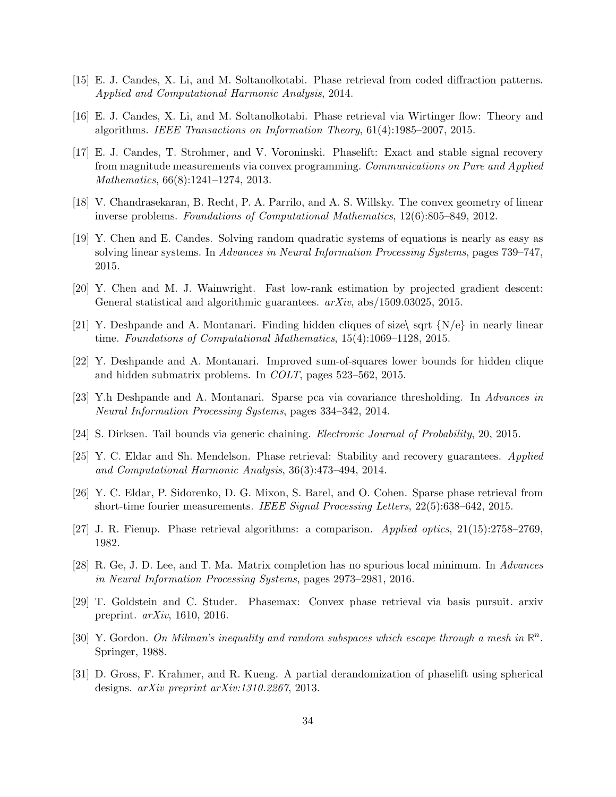- <span id="page-33-7"></span>[15] E. J. Candes, X. Li, and M. Soltanolkotabi. Phase retrieval from coded diffraction patterns. Applied and Computational Harmonic Analysis, 2014.
- <span id="page-33-1"></span>[16] E. J. Candes, X. Li, and M. Soltanolkotabi. Phase retrieval via Wirtinger flow: Theory and algorithms. IEEE Transactions on Information Theory, 61(4):1985–2007, 2015.
- <span id="page-33-0"></span>[17] E. J. Candes, T. Strohmer, and V. Voroninski. Phaselift: Exact and stable signal recovery from magnitude measurements via convex programming. Communications on Pure and Applied Mathematics, 66(8):1241–1274, 2013.
- <span id="page-33-6"></span>[18] V. Chandrasekaran, B. Recht, P. A. Parrilo, and A. S. Willsky. The convex geometry of linear inverse problems. Foundations of Computational Mathematics, 12(6):805–849, 2012.
- <span id="page-33-2"></span>[19] Y. Chen and E. Candes. Solving random quadratic systems of equations is nearly as easy as solving linear systems. In Advances in Neural Information Processing Systems, pages 739–747, 2015.
- <span id="page-33-10"></span>[20] Y. Chen and M. J. Wainwright. Fast low-rank estimation by projected gradient descent: General statistical and algorithmic guarantees.  $arXiv$ , abs/1509.03025, 2015.
- <span id="page-33-5"></span>[21] Y. Deshpande and A. Montanari. Finding hidden cliques of size  $\sqrt{\frac{N}{e}}$  in nearly linear time. Foundations of Computational Mathematics, 15(4):1069–1128, 2015.
- <span id="page-33-3"></span>[22] Y. Deshpande and A. Montanari. Improved sum-of-squares lower bounds for hidden clique and hidden submatrix problems. In COLT, pages 523–562, 2015.
- <span id="page-33-4"></span>[23] Y.h Deshpande and A. Montanari. Sparse pca via covariance thresholding. In Advances in Neural Information Processing Systems, pages 334–342, 2014.
- <span id="page-33-16"></span>[24] S. Dirksen. Tail bounds via generic chaining. Electronic Journal of Probability, 20, 2015.
- <span id="page-33-15"></span>[25] Y. C. Eldar and Sh. Mendelson. Phase retrieval: Stability and recovery guarantees. Applied and Computational Harmonic Analysis, 36(3):473–494, 2014.
- <span id="page-33-13"></span>[26] Y. C. Eldar, P. Sidorenko, D. G. Mixon, S. Barel, and O. Cohen. Sparse phase retrieval from short-time fourier measurements. IEEE Signal Processing Letters, 22(5):638–642, 2015.
- <span id="page-33-11"></span>[27] J. R. Fienup. Phase retrieval algorithms: a comparison. Applied optics, 21(15):2758–2769, 1982.
- <span id="page-33-12"></span>[28] R. Ge, J. D. Lee, and T. Ma. Matrix completion has no spurious local minimum. In Advances in Neural Information Processing Systems, pages 2973–2981, 2016.
- <span id="page-33-9"></span>[29] T. Goldstein and C. Studer. Phasemax: Convex phase retrieval via basis pursuit. arxiv preprint. arXiv, 1610, 2016.
- <span id="page-33-14"></span>[30] Y. Gordon. On Milman's inequality and random subspaces which escape through a mesh in  $\mathbb{R}^n$ . Springer, 1988.
- <span id="page-33-8"></span>[31] D. Gross, F. Krahmer, and R. Kueng. A partial derandomization of phaselift using spherical designs. arXiv preprint arXiv:1310.2267, 2013.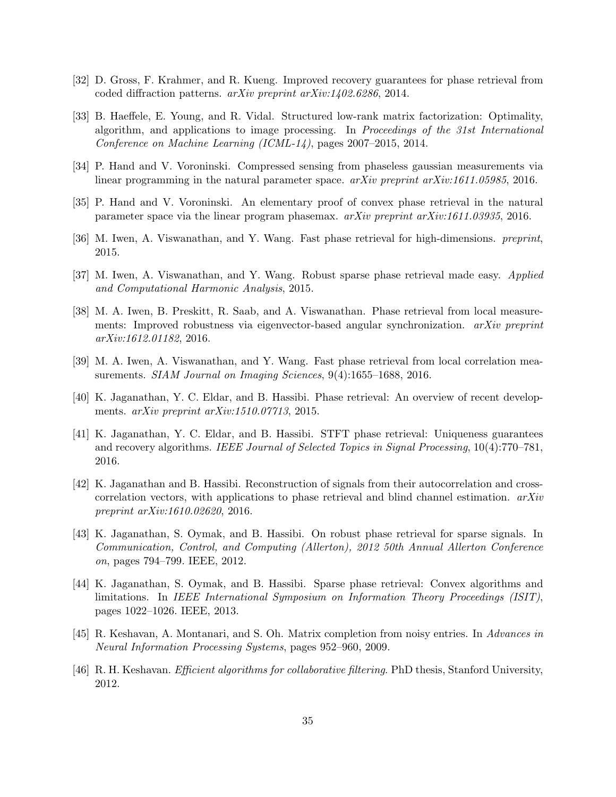- <span id="page-34-2"></span>[32] D. Gross, F. Krahmer, and R. Kueng. Improved recovery guarantees for phase retrieval from coded diffraction patterns. arXiv preprint arXiv:1402.6286, 2014.
- <span id="page-34-5"></span>[33] B. Haeffele, E. Young, and R. Vidal. Structured low-rank matrix factorization: Optimality, algorithm, and applications to image processing. In Proceedings of the 31st International Conference on Machine Learning (ICML-14), pages 2007–2015, 2014.
- <span id="page-34-9"></span>[34] P. Hand and V. Voroninski. Compressed sensing from phaseless gaussian measurements via linear programming in the natural parameter space. arXiv preprint arXiv:1611.05985, 2016.
- <span id="page-34-6"></span>[35] P. Hand and V. Voroninski. An elementary proof of convex phase retrieval in the natural parameter space via the linear program phasemax. arXiv preprint arXiv:1611.03935, 2016.
- <span id="page-34-7"></span>[36] M. Iwen, A. Viswanathan, and Y. Wang. Fast phase retrieval for high-dimensions. preprint, 2015.
- <span id="page-34-8"></span>[37] M. Iwen, A. Viswanathan, and Y. Wang. Robust sparse phase retrieval made easy. Applied and Computational Harmonic Analysis, 2015.
- <span id="page-34-13"></span>[38] M. A. Iwen, B. Preskitt, R. Saab, and A. Viswanathan. Phase retrieval from local measurements: Improved robustness via eigenvector-based angular synchronization. arXiv preprint arXiv:1612.01182, 2016.
- <span id="page-34-12"></span>[39] M. A. Iwen, A. Viswanathan, and Y. Wang. Fast phase retrieval from local correlation measurements. *SIAM Journal on Imaging Sciences*, 9(4):1655–1688, 2016.
- <span id="page-34-0"></span>[40] K. Jaganathan, Y. C. Eldar, and B. Hassibi. Phase retrieval: An overview of recent developments. arXiv preprint arXiv:1510.07713, 2015.
- <span id="page-34-11"></span>[41] K. Jaganathan, Y. C. Eldar, and B. Hassibi. STFT phase retrieval: Uniqueness guarantees and recovery algorithms. IEEE Journal of Selected Topics in Signal Processing, 10(4):770–781, 2016.
- <span id="page-34-10"></span>[42] K. Jaganathan and B. Hassibi. Reconstruction of signals from their autocorrelation and crosscorrelation vectors, with applications to phase retrieval and blind channel estimation.  $arXiv$ preprint arXiv:1610.02620, 2016.
- <span id="page-34-1"></span>[43] K. Jaganathan, S. Oymak, and B. Hassibi. On robust phase retrieval for sparse signals. In Communication, Control, and Computing (Allerton), 2012 50th Annual Allerton Conference on, pages 794–799. IEEE, 2012.
- <span id="page-34-14"></span>[44] K. Jaganathan, S. Oymak, and B. Hassibi. Sparse phase retrieval: Convex algorithms and limitations. In IEEE International Symposium on Information Theory Proceedings (ISIT), pages 1022–1026. IEEE, 2013.
- <span id="page-34-3"></span>[45] R. Keshavan, A. Montanari, and S. Oh. Matrix completion from noisy entries. In Advances in Neural Information Processing Systems, pages 952–960, 2009.
- <span id="page-34-4"></span>[46] R. H. Keshavan. Efficient algorithms for collaborative filtering. PhD thesis, Stanford University, 2012.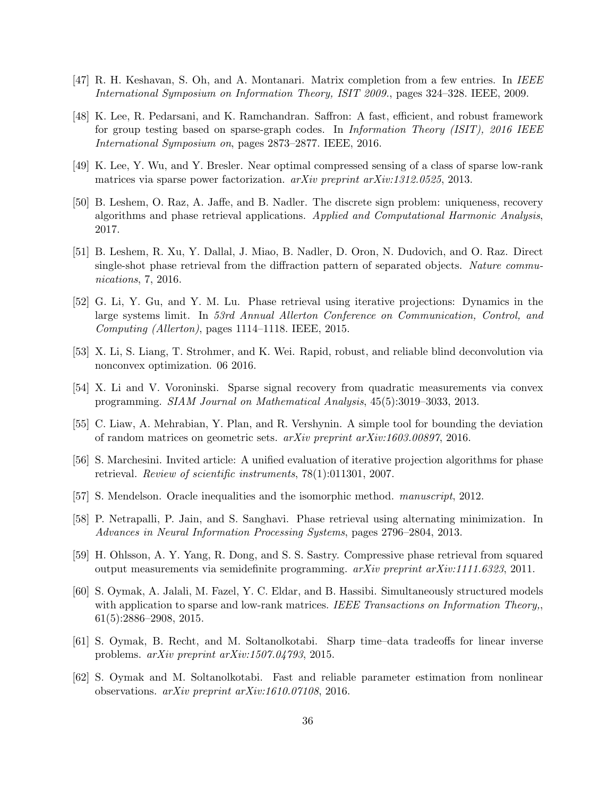- <span id="page-35-9"></span>[47] R. H. Keshavan, S. Oh, and A. Montanari. Matrix completion from a few entries. In IEEE International Symposium on Information Theory, ISIT 2009., pages 324–328. IEEE, 2009.
- <span id="page-35-13"></span>[48] K. Lee, R. Pedarsani, and K. Ramchandran. Saffron: A fast, efficient, and robust framework for group testing based on sparse-graph codes. In Information Theory (ISIT), 2016 IEEE International Symposium on, pages 2873–2877. IEEE, 2016.
- <span id="page-35-12"></span>[49] K. Lee, Y. Wu, and Y. Bresler. Near optimal compressed sensing of a class of sparse low-rank matrices via sparse power factorization. arXiv preprint arXiv:1312.0525, 2013.
- <span id="page-35-7"></span>[50] B. Leshem, O. Raz, A. Jaffe, and B. Nadler. The discrete sign problem: uniqueness, recovery algorithms and phase retrieval applications. Applied and Computational Harmonic Analysis, 2017.
- <span id="page-35-8"></span>[51] B. Leshem, R. Xu, Y. Dallal, J. Miao, B. Nadler, D. Oron, N. Dudovich, and O. Raz. Direct single-shot phase retrieval from the diffraction pattern of separated objects. Nature communications, 7, 2016.
- <span id="page-35-10"></span>[52] G. Li, Y. Gu, and Y. M. Lu. Phase retrieval using iterative projections: Dynamics in the large systems limit. In 53rd Annual Allerton Conference on Communication, Control, and Computing (Allerton), pages 1114–1118. IEEE, 2015.
- <span id="page-35-11"></span>[53] X. Li, S. Liang, T. Strohmer, and K. Wei. Rapid, robust, and reliable blind deconvolution via nonconvex optimization. 06 2016.
- <span id="page-35-4"></span>[54] X. Li and V. Voroninski. Sparse signal recovery from quadratic measurements via convex programming. SIAM Journal on Mathematical Analysis, 45(5):3019–3033, 2013.
- <span id="page-35-15"></span>[55] C. Liaw, A. Mehrabian, Y. Plan, and R. Vershynin. A simple tool for bounding the deviation of random matrices on geometric sets. arXiv preprint arXiv:1603.00897, 2016.
- <span id="page-35-5"></span>[56] S. Marchesini. Invited article: A unified evaluation of iterative projection algorithms for phase retrieval. Review of scientific instruments, 78(1):011301, 2007.
- <span id="page-35-14"></span>[57] S. Mendelson. Oracle inequalities and the isomorphic method. manuscript, 2012.
- <span id="page-35-0"></span>[58] P. Netrapalli, P. Jain, and S. Sanghavi. Phase retrieval using alternating minimization. In Advances in Neural Information Processing Systems, pages 2796–2804, 2013.
- <span id="page-35-6"></span>[59] H. Ohlsson, A. Y. Yang, R. Dong, and S. S. Sastry. Compressive phase retrieval from squared output measurements via semidefinite programming. arXiv preprint arXiv:1111.6323, 2011.
- <span id="page-35-1"></span>[60] S. Oymak, A. Jalali, M. Fazel, Y. C. Eldar, and B. Hassibi. Simultaneously structured models with application to sparse and low-rank matrices. IEEE Transactions on Information Theory, 61(5):2886–2908, 2015.
- <span id="page-35-2"></span>[61] S. Oymak, B. Recht, and M. Soltanolkotabi. Sharp time–data tradeoffs for linear inverse problems. arXiv preprint arXiv:1507.04793, 2015.
- <span id="page-35-3"></span>[62] S. Oymak and M. Soltanolkotabi. Fast and reliable parameter estimation from nonlinear observations. arXiv preprint arXiv:1610.07108, 2016.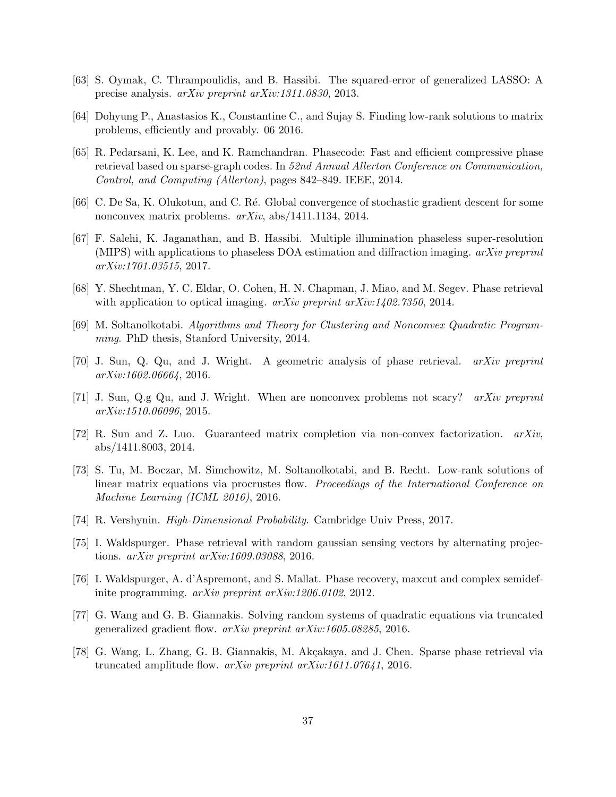- <span id="page-36-15"></span>[63] S. Oymak, C. Thrampoulidis, and B. Hassibi. The squared-error of generalized LASSO: A precise analysis. arXiv preprint arXiv:1311.0830, 2013.
- <span id="page-36-11"></span>[64] Dohyung P., Anastasios K., Constantine C., and Sujay S. Finding low-rank solutions to matrix problems, efficiently and provably. 06 2016.
- <span id="page-36-12"></span>[65] R. Pedarsani, K. Lee, and K. Ramchandran. Phasecode: Fast and efficient compressive phase retrieval based on sparse-graph codes. In 52nd Annual Allerton Conference on Communication, Control, and Computing (Allerton), pages 842–849. IEEE, 2014.
- <span id="page-36-8"></span>[66] C. De Sa, K. Olukotun, and C. Ré. Global convergence of stochastic gradient descent for some nonconvex matrix problems. arXiv, abs/1411.1134, 2014.
- <span id="page-36-13"></span>[67] F. Salehi, K. Jaganathan, and B. Hassibi. Multiple illumination phaseless super-resolution (MIPS) with applications to phaseless DOA estimation and diffraction imaging.  $arXiv$  preprint arXiv:1701.03515, 2017.
- <span id="page-36-3"></span>[68] Y. Shechtman, Y. C. Eldar, O. Cohen, H. N. Chapman, J. Miao, and M. Segev. Phase retrieval with application to optical imaging.  $a\overline{x}$  arised  $a\overline{x}$  arised  $a\overline{x}$  arised  $a\overline{x}$  arised  $a\overline{x}$  arised  $a\overline{x}$  arised  $a\overline{x}$  arised  $a\overline{x}$  arised  $a\overline{x}$  arised  $a\overline{x}$  arised  $a\overline{x}$  arised  $a\overline{x}$
- <span id="page-36-4"></span>[69] M. Soltanolkotabi. Algorithms and Theory for Clustering and Nonconvex Quadratic Programming. PhD thesis, Stanford University, 2014.
- <span id="page-36-10"></span>[70] J. Sun, Q. Qu, and J. Wright. A geometric analysis of phase retrieval. arXiv preprint arXiv:1602.06664, 2016.
- <span id="page-36-6"></span>[71] J. Sun, Q.g Qu, and J. Wright. When are nonconvex problems not scary? arXiv preprint arXiv:1510.06096, 2015.
- <span id="page-36-7"></span>[72] R. Sun and Z. Luo. Guaranteed matrix completion via non-convex factorization. arXiv, abs/1411.8003, 2014.
- <span id="page-36-9"></span>[73] S. Tu, M. Boczar, M. Simchowitz, M. Soltanolkotabi, and B. Recht. Low-rank solutions of linear matrix equations via procrustes flow. Proceedings of the International Conference on Machine Learning (ICML 2016), 2016.
- <span id="page-36-14"></span>[74] R. Vershynin. High-Dimensional Probability. Cambridge Univ Press, 2017.
- <span id="page-36-0"></span>[75] I. Waldspurger. Phase retrieval with random gaussian sensing vectors by alternating projections. arXiv preprint arXiv:1609.03088, 2016.
- <span id="page-36-5"></span>[76] I. Waldspurger, A. d'Aspremont, and S. Mallat. Phase recovery, maxcut and complex semidefinite programming. arXiv preprint arXiv:1206.0102, 2012.
- <span id="page-36-1"></span>[77] G. Wang and G. B. Giannakis. Solving random systems of quadratic equations via truncated generalized gradient flow. arXiv preprint arXiv:1605.08285, 2016.
- <span id="page-36-2"></span>[78] G. Wang, L. Zhang, G. B. Giannakis, M. Akçakaya, and J. Chen. Sparse phase retrieval via truncated amplitude flow.  $arXiv$  preprint  $arXiv:1611.07641$ , 2016.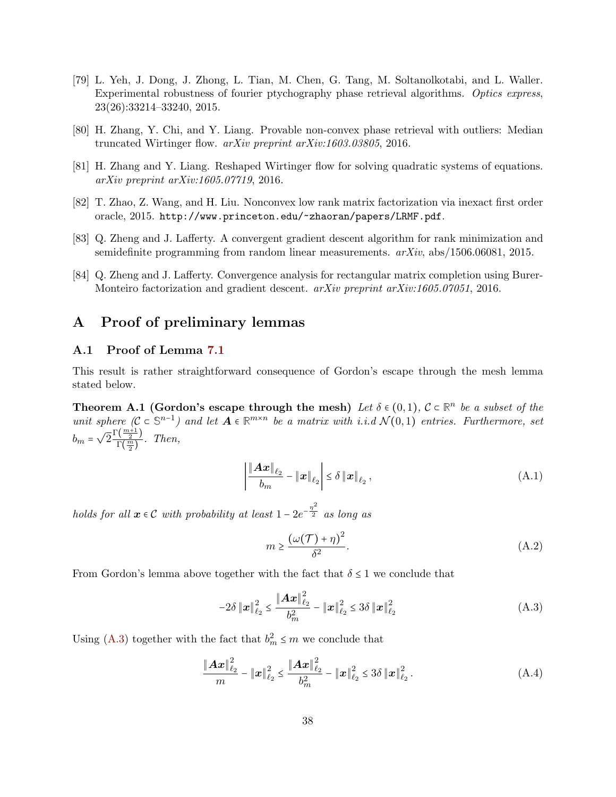- <span id="page-37-2"></span>[79] L. Yeh, J. Dong, J. Zhong, L. Tian, M. Chen, G. Tang, M. Soltanolkotabi, and L. Waller. Experimental robustness of fourier ptychography phase retrieval algorithms. Optics express, 23(26):33214–33240, 2015.
- <span id="page-37-0"></span>[80] H. Zhang, Y. Chi, and Y. Liang. Provable non-convex phase retrieval with outliers: Median truncated Wirtinger flow. arXiv preprint arXiv:1603.03805, 2016.
- <span id="page-37-1"></span>[81] H. Zhang and Y. Liang. Reshaped Wirtinger flow for solving quadratic systems of equations. arXiv preprint arXiv:1605.07719, 2016.
- <span id="page-37-4"></span>[82] T. Zhao, Z. Wang, and H. Liu. Nonconvex low rank matrix factorization via inexact first order oracle, 2015. <http://www.princeton.edu/~zhaoran/papers/LRMF.pdf>.
- <span id="page-37-3"></span>[83] Q. Zheng and J. Lafferty. A convergent gradient descent algorithm for rank minimization and semidefinite programming from random linear measurements. arXiv, abs/1506.06081, 2015.
- <span id="page-37-5"></span>[84] Q. Zheng and J. Lafferty. Convergence analysis for rectangular matrix completion using Burer-Monteiro factorization and gradient descent. *arXiv preprint arXiv:1605.07051*, 2016.

## A Proof of preliminary lemmas

### <span id="page-37-6"></span>A.1 Proof of Lemma [7.1](#page-11-0)

This result is rather straightforward consequence of Gordon's escape through the mesh lemma stated below.

**Theorem A.1 (Gordon's escape through the mesh)** Let  $\delta \in (0,1)$ ,  $\mathcal{C} \subset \mathbb{R}^n$  be a subset of the unit sphere  $(C \subset \mathbb{S}^{n-1})$  and let  $A \in \mathbb{R}^{m \times n}$  be a matrix with i.i.d  $\mathcal{N}(0,1)$  entries. Furthermore, set  $b_m = \sqrt{2} \frac{\Gamma(\frac{m+1}{2})}{\Gamma(\frac{m}{2})}$  $\frac{\left(\frac{n}{2}\right)}{\Gamma\left(\frac{m}{2}\right)}$ . Then,

$$
\left| \frac{\|\mathbf{A}\mathbf{x}\|_{\ell_2}}{b_m} - \|\mathbf{x}\|_{\ell_2} \right| \le \delta \left\| \mathbf{x} \right\|_{\ell_2},\tag{A.1}
$$

holds for all  $x \in C$  with probability at least  $1 - 2e^{-\frac{\eta^2}{2}}$  as long as

<span id="page-37-8"></span><span id="page-37-7"></span>
$$
m \ge \frac{(\omega(\mathcal{T}) + \eta)^2}{\delta^2}.
$$
 (A.2)

From Gordon's lemma above together with the fact that  $\delta \leq 1$  we conclude that

$$
-2\delta \|x\|_{\ell_2}^2 \le \frac{\|Ax\|_{\ell_2}^2}{b_m^2} - \|x\|_{\ell_2}^2 \le 3\delta \|x\|_{\ell_2}^2 \tag{A.3}
$$

Using [\(A.3\)](#page-37-7) together with the fact that  $b_m^2 \le m$  we conclude that

$$
\frac{\|\mathbf{A}\mathbf{x}\|_{\ell_2}^2}{m} - \|\mathbf{x}\|_{\ell_2}^2 \le \frac{\|\mathbf{A}\mathbf{x}\|_{\ell_2}^2}{b_m^2} - \|\mathbf{x}\|_{\ell_2}^2 \le 3\delta \|\mathbf{x}\|_{\ell_2}^2.
$$
 (A.4)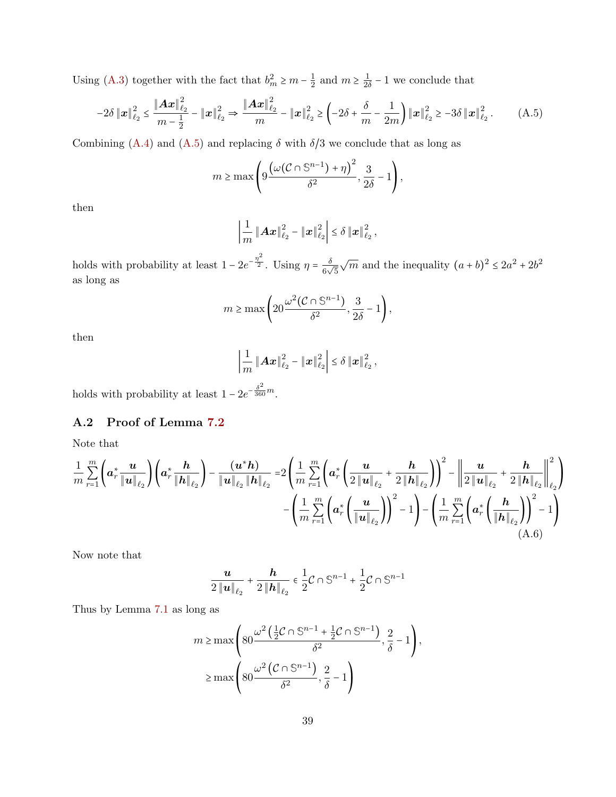Using [\(A.3\)](#page-37-7) together with the fact that  $b_m^2 \ge m - \frac{1}{2}$  $\frac{1}{2}$  and  $m \geq \frac{1}{2\delta}$  $\frac{1}{2\delta} - 1$  we conclude that

$$
-2\delta \|x\|_{\ell_2}^2 \le \frac{\|Ax\|_{\ell_2}^2}{m-\frac{1}{2}} - \|x\|_{\ell_2}^2 \Rightarrow \frac{\|Ax\|_{\ell_2}^2}{m} - \|x\|_{\ell_2}^2 \ge \left(-2\delta + \frac{\delta}{m} - \frac{1}{2m}\right) \|x\|_{\ell_2}^2 \ge -3\delta \|x\|_{\ell_2}^2. \tag{A.5}
$$

Combining [\(A.4\)](#page-37-8) and [\(A.5\)](#page-38-1) and replacing  $\delta$  with  $\delta/3$  we conclude that as long as

$$
m \ge \max\left(9\frac{\left(\omega(\mathcal{C} \cap \mathbb{S}^{n-1}) + \eta\right)^2}{\delta^2}, \frac{3}{2\delta} - 1\right),\,
$$

then

<span id="page-38-1"></span>
$$
\left|\frac{1}{m}\left\|\boldsymbol{A}\boldsymbol{x}\right\|^{2}_{\ell_{2}}-\left\|\boldsymbol{x}\right\|^{2}_{\ell_{2}}\right|\leq\delta\left\|\boldsymbol{x}\right\|^{2}_{\ell_{2}},
$$

holds with probability at least  $1 - 2e^{-\frac{\eta^2}{2}}$ . Using  $\eta = \frac{\delta}{6}$  $rac{0}{6\sqrt{5}}$  $\sqrt{m}$  and the inequality  $(a + b)^2 \leq 2a^2 + 2b^2$ as long as

$$
m \ge \max\left(20\frac{\omega^2(\mathcal{C} \cap \mathbb{S}^{n-1})}{\delta^2}, \frac{3}{2\delta} - 1\right),\,
$$

then

$$
\left|\frac{1}{m}\left\|\mathbf{A}\mathbf{x}\right\|_{\ell_2}^2 - \left\|\mathbf{x}\right\|_{\ell_2}^2\right| \leq \delta \left\|\mathbf{x}\right\|_{\ell_2}^2,
$$

<span id="page-38-0"></span>holds with probability at least  $1 - 2e^{-\frac{\delta^2}{360}m}$ .

## A.2 Proof of Lemma [7.2](#page-11-1)

Note that

$$
\frac{1}{m} \sum_{r=1}^{m} \left( a_r^* \frac{u}{\|u\|_{\ell_2}} \right) \left( a_r^* \frac{h}{\|h\|_{\ell_2}} \right) - \frac{(u^* h)}{\|u\|_{\ell_2} \|h\|_{\ell_2}} = 2 \left( \frac{1}{m} \sum_{r=1}^{m} \left( a_r^* \left( \frac{u}{2\|u\|_{\ell_2}} + \frac{h}{2\|h\|_{\ell_2}} \right) \right)^2 - \left\| \frac{u}{2\|u\|_{\ell_2}} + \frac{h}{2\|h\|_{\ell_2}} \right\|^2_{\ell_2} \right) - \left( \frac{1}{m} \sum_{r=1}^{m} \left( a_r^* \left( \frac{u}{\|u\|_{\ell_2}} \right) \right)^2 - 1 \right) - \left( \frac{1}{m} \sum_{r=1}^{m} \left( a_r^* \left( \frac{h}{\|h\|_{\ell_2}} \right) \right)^2 - 1 \right) \tag{A.6}
$$

Now note that

<span id="page-38-2"></span>
$$
\frac{u}{2\left\|u\right\|_{\ell_2}} + \frac{h}{2\left\|h\right\|_{\ell_2}} \in \frac{1}{2} \mathcal{C} \cap \mathbb{S}^{n-1} + \frac{1}{2} \mathcal{C} \cap \mathbb{S}^{n-1}
$$

Thus by Lemma [7.1](#page-11-0) as long as

$$
m \ge \max\left(80\frac{\omega^2 \left(\frac{1}{2}C\cap\mathbb{S}^{n-1} + \frac{1}{2}C\cap\mathbb{S}^{n-1}\right)}{\delta^2}, \frac{2}{\delta} - 1\right),
$$
  

$$
\ge \max\left(80\frac{\omega^2 \left(C\cap\mathbb{S}^{n-1}\right)}{\delta^2}, \frac{2}{\delta} - 1\right)
$$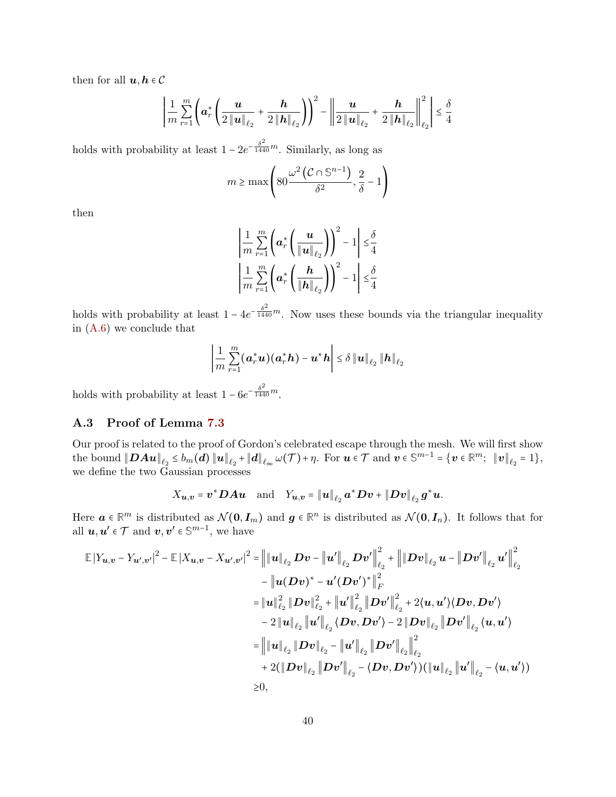then for all  $u, h \in \mathcal{C}$ 

$$
\left| \frac{1}{m} \sum_{r=1}^{m} \left( \mathbf{a}_{r}^{*} \left( \frac{\mathbf{u}}{2 \left\| \mathbf{u} \right\|_{\ell_{2}}} + \frac{\mathbf{h}}{2 \left\| \mathbf{h} \right\|_{\ell_{2}}} \right) \right)^{2} - \left\| \frac{\mathbf{u}}{2 \left\| \mathbf{u} \right\|_{\ell_{2}}} + \frac{\mathbf{h}}{2 \left\| \mathbf{h} \right\|_{\ell_{2}}} \right\|_{\ell_{2}}^{2} \leq \frac{\delta}{4}
$$

holds with probability at least  $1 - 2e^{-\frac{\delta^2}{1440}m}$ . Similarly, as long as

$$
m \ge \max\left(80\frac{\omega^2 (\mathcal{C} \cap \mathbb{S}^{n-1})}{\delta^2}, \frac{2}{\delta} - 1\right)
$$

then

$$
\left|\frac{1}{m}\sum_{r=1}^{m}\left(\boldsymbol{a}_{r}^{*}\left(\frac{\boldsymbol{u}}{\|\boldsymbol{u}\|_{\ell_{2}}}\right)\right)^{2}-1\right| \leq \frac{\delta}{4}
$$

$$
\left|\frac{1}{m}\sum_{r=1}^{m}\left(\boldsymbol{a}_{r}^{*}\left(\frac{\boldsymbol{h}}{\|\boldsymbol{h}\|_{\ell_{2}}}\right)\right)^{2}-1\right| \leq \frac{\delta}{4}
$$

holds with probability at least  $1 - 4e^{-\frac{\delta^2}{1440}m}$ . Now uses these bounds via the triangular inequality in [\(A.6\)](#page-38-2) we conclude that

$$
\left|\frac{1}{m}\sum_{r=1}^{m}(\boldsymbol{a}_r^*\boldsymbol{u})(\boldsymbol{a}_r^*\boldsymbol{h})-\boldsymbol{u}^*\boldsymbol{h}\right|\leq \delta\left\|\boldsymbol{u}\right\|_{\ell_2}\left\|\boldsymbol{h}\right\|_{\ell_2}
$$

<span id="page-39-0"></span>holds with probability at least  $1 - 6e^{-\frac{\delta^2}{1440}m}$ .

## A.3 Proof of Lemma [7.3](#page-12-0)

Our proof is related to the proof of Gordon's celebrated escape through the mesh. We will first show  $\text{the bound } \|\boldsymbol{DAu}\|_{\ell_2} \le b_m(\boldsymbol{d})\|\boldsymbol{u}\|_{\ell_2} + \|\boldsymbol{d}\|_{\ell_\infty} \ \omega(\mathcal{T}) + \eta. \ \text{ For } \boldsymbol{u} \in \mathcal{T} \text{ and } \boldsymbol{v} \in \mathbb{S}^{m-1} = \{\boldsymbol{v} \in \mathbb{R}^m; \ \|\boldsymbol{v}\|_{\ell_2} = 1\},$ we define the two Gaussian processes

$$
X_{\boldsymbol{u},\boldsymbol{v}}=\boldsymbol{v}^*\boldsymbol{D}\boldsymbol{A}\boldsymbol{u}\quad\text{and}\quad Y_{\boldsymbol{u},\boldsymbol{v}}=\|\boldsymbol{u}\|_{\ell_2}\,\boldsymbol{a}^*\boldsymbol{D}\boldsymbol{v}+\|\boldsymbol{D}\boldsymbol{v}\|_{\ell_2}\,\boldsymbol{g}^*\boldsymbol{u}.
$$

Here  $a \in \mathbb{R}^m$  is distributed as  $\mathcal{N}(0, I_m)$  and  $g \in \mathbb{R}^n$  is distributed as  $\mathcal{N}(0, I_n)$ . It follows that for all  $u, u' \in \mathcal{T}$  and  $v, v' \in \mathbb{S}^{m-1}$ , we have

$$
\mathbb{E}|Y_{u,v} - Y_{u',v'}|^2 - \mathbb{E}|X_{u,v} - X_{u',v'}|^2 = \left\| |u||_{\ell_2} Dv - |u'||_{\ell_2} Dv' \right\|_{\ell_2}^2 + \left\| |Dv||_{\ell_2} u - |Dv'||_{\ell_2} u' \right\|_{\ell_2}^2
$$
  
\n
$$
- |u(Dv)^* - u'(Dv')^*||_F^2
$$
  
\n
$$
= |u||_{\ell_2}^2 ||Dv||_{\ell_2}^2 + |u'||_{\ell_2}^2 ||Dv'||_{\ell_2}^2 + 2\langle u, u'\rangle \langle Dv, Dv'\rangle
$$
  
\n
$$
- 2 ||u||_{\ell_2} ||u'||_{\ell_2} \langle Dv, Dv'\rangle - 2 ||Dv||_{\ell_2} ||Dv'||_{\ell_2} \langle u, u'\rangle
$$
  
\n
$$
= ||u||_{\ell_2} ||Dv||_{\ell_2} - ||u'||_{\ell_2} ||Dv'||_{\ell_2} ||_{\ell_2}
$$
  
\n
$$
+ 2(||Dv||_{\ell_2} ||Dv'||_{\ell_2} - \langle Dv, Dv'\rangle) (||u||_{\ell_2} ||u'||_{\ell_2} - \langle u, u'\rangle)
$$
  
\n
$$
\geq 0,
$$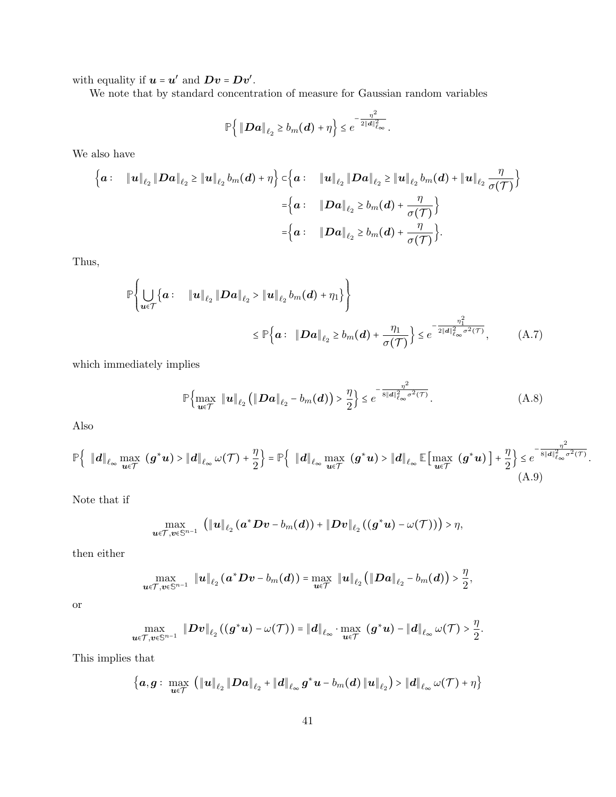with equality if  $u = u'$  and  $Dv = Dv'$ .

We note that by standard concentration of measure for Gaussian random variables

$$
\mathbb{P}\left\{\left\|\boldsymbol{D}\boldsymbol{a}\right\|_{\ell_2}\geq b_m(\boldsymbol{d})+\eta\right\}\leq e^{-\frac{\eta^2}{2\|\boldsymbol{d}\|_{\ell_\infty}^2}}.
$$

We also have

$$
\left\{ a: \quad \|u\|_{\ell_2} \|Da\|_{\ell_2} \geq \|u\|_{\ell_2} b_m(d) + \eta \right\} \subset \left\{ a: \quad \|u\|_{\ell_2} \|Da\|_{\ell_2} \geq \|u\|_{\ell_2} b_m(d) + \|u\|_{\ell_2} \frac{\eta}{\sigma(\mathcal{T})} \right\}
$$

$$
= \left\{ a: \quad \|Da\|_{\ell_2} \geq b_m(d) + \frac{\eta}{\sigma(\mathcal{T})} \right\}
$$

$$
= \left\{ a: \quad \|Da\|_{\ell_2} \geq b_m(d) + \frac{\eta}{\sigma(\mathcal{T})} \right\}.
$$

Thus,

$$
\mathbb{P}\left\{\bigcup_{u \in \mathcal{T}}\left\{a: \quad \|u\|_{\ell_2} \|Da\|_{\ell_2} > \|u\|_{\ell_2} b_m(d) + \eta_1\right\}\right\} \leq \mathbb{P}\left\{a: \quad \|Da\|_{\ell_2} \geq b_m(d) + \frac{\eta_1}{\sigma(\mathcal{T})}\right\} \leq e^{-\frac{\eta_1^2}{2\|d\|_{\ell_\infty}^2 \sigma^2(\mathcal{T})}},\tag{A.7}
$$

which immediately implies

<span id="page-40-1"></span><span id="page-40-0"></span>
$$
\mathbb{P}\Big\{\max_{\boldsymbol{u}\in\mathcal{T}}\|\boldsymbol{u}\|_{\ell_2}\left(\|\boldsymbol{D}\boldsymbol{a}\|_{\ell_2}-b_m(\boldsymbol{d})\right)>\frac{\eta}{2}\Big\}\leq e^{-\frac{\eta^2}{8\|\boldsymbol{d}\|_{\ell_\infty}^2\sigma^2(\mathcal{T})}}.\tag{A.8}
$$

Also

$$
\mathbb{P}\left\{\|d\|_{\ell_{\infty}}\max_{\mathbf{u}\in\mathcal{T}}\left(\mathbf{g}^*\mathbf{u}\right)>\|d\|_{\ell_{\infty}}\,\omega(\mathcal{T})+\frac{\eta}{2}\right\}=\mathbb{P}\left\{\|d\|_{\ell_{\infty}}\max_{\mathbf{u}\in\mathcal{T}}\left(\mathbf{g}^*\mathbf{u}\right)>\|d\|_{\ell_{\infty}}\,\mathbb{E}\left[\max_{\mathbf{u}\in\mathcal{T}}\left(\mathbf{g}^*\mathbf{u}\right)\right]+\frac{\eta}{2}\right\}\leq e^{-\frac{\eta^2}{8\|d\|_{\ell_{\infty}}^2\sigma^2(\mathcal{T})}}.\tag{A.9}
$$

Note that if

$$
\max_{\bm{u}\in\mathcal{T},\bm{v}\in\mathbb{S}^{n-1}}\ \big(\left\|\bm{u}\right\|_{\ell_{2}}(\bm{a}^*\bm{D}\bm{v}-b_{m}(\bm{d}))+\left\|\bm{D}\bm{v}\right\|_{\ell_{2}}((\bm{g}^*\bm{u})-\omega(\mathcal{T}))\big)>\eta,
$$

then either

$$
\max_{\boldsymbol{u}\in\mathcal{T},\boldsymbol{v}\in\mathbb{S}^{n-1}}\ \left\|\boldsymbol{u}\right\|_{\ell_{2}}(\boldsymbol{a}^{*}\boldsymbol{D}\boldsymbol{v}-b_{m}(\boldsymbol{d}))=\max_{\boldsymbol{u}\in\mathcal{T}}\ \left\|\boldsymbol{u}\right\|_{\ell_{2}}\left(\left\|\boldsymbol{D}\boldsymbol{a}\right\|_{\ell_{2}}-b_{m}(\boldsymbol{d})\right)>\frac{\eta}{2},
$$

or

$$
\max_{{\boldsymbol{u}}\in{\mathcal{T}}, {\boldsymbol{v}}\in{\mathbb{S}}^{n-1}}\ \|D{\boldsymbol{v}}\|_{{\ell_2}}\left((g^*{\boldsymbol{u}})-\omega({\mathcal{T}})\right) = \|{\boldsymbol{d}}\|_{{\ell_\infty}}\cdot \max_{{\boldsymbol{u}}\in{\mathcal{T}}}\ ({\boldsymbol{g}}^*{\boldsymbol{u}}) - \|{\boldsymbol{d}}\|_{{\ell_\infty}}\,\omega({\mathcal{T}}) > \frac{\eta}{2}.
$$

This implies that

$$
\left\{\boldsymbol{a},\boldsymbol{g}:\ \max_{\boldsymbol{u}\in\mathcal{T}}\ \left(\left\|\boldsymbol{u}\right\|_{\ell_{2}}\left\|\boldsymbol{D}\boldsymbol{a}\right\|_{\ell_{2}}+\left\|\boldsymbol{d}\right\|_{\ell_{\infty}}\boldsymbol{g}^{*}\boldsymbol{u}-b_{m}(\boldsymbol{d})\left\|\boldsymbol{u}\right\|_{\ell_{2}}\right)>\left\|\boldsymbol{d}\right\|_{\ell_{\infty}}\omega(\mathcal{T})+\eta\right\}
$$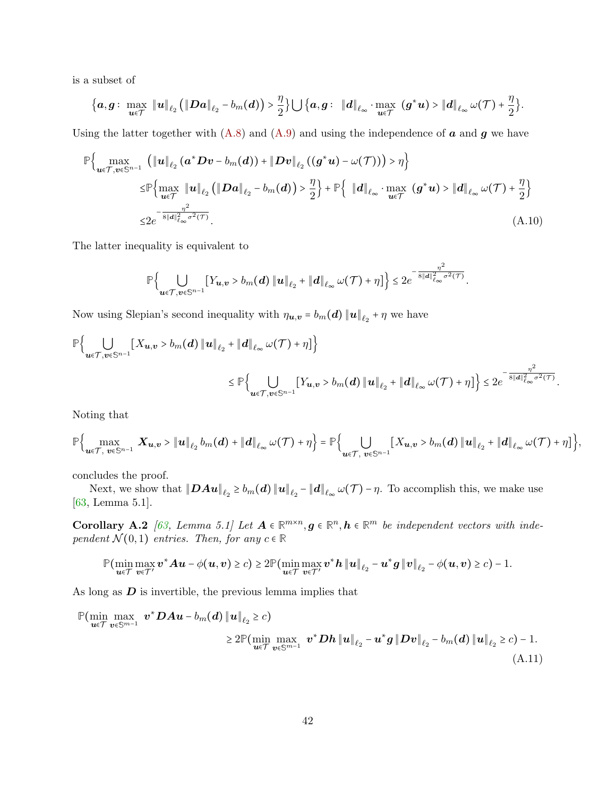is a subset of

$$
\big\{\boldsymbol a, \boldsymbol g:\ \max_{\boldsymbol u\in \mathcal T}\ \|\boldsymbol u\|_{\ell_2}\,\big(\|\boldsymbol D\boldsymbol a\|_{\ell_2}-b_m(\boldsymbol d)\big)>\frac{\eta}{2}\big\}\bigcup\big\{\boldsymbol a, \boldsymbol g:\ \|\boldsymbol d\|_{\ell_\infty}\cdot\max_{\boldsymbol u\in \mathcal T}\ (\boldsymbol g^*\boldsymbol u)>\|\boldsymbol d\|_{\ell_\infty}\,\omega(\mathcal T)+\frac{\eta}{2}\big\}.
$$

Using the latter together with  $(A.8)$  and  $(A.9)$  and using the independence of a and g we have

$$
\mathbb{P}\Big\{\max_{\boldsymbol{u}\in\mathcal{T},\boldsymbol{v}\in\mathbb{S}^{n-1}}\left(\|\boldsymbol{u}\|_{\ell_{2}}\left(\boldsymbol{a}^{*}\boldsymbol{D}\boldsymbol{v}-b_{m}(\boldsymbol{d})\right)+\|\boldsymbol{D}\boldsymbol{v}\|_{\ell_{2}}\left(\left(\boldsymbol{g}^{*}\boldsymbol{u}\right)-\omega(\mathcal{T})\right)\right)>\eta\Big\}
$$
\n
$$
\leq\mathbb{P}\Big\{\max_{\boldsymbol{u}\in\mathcal{T}}\|\boldsymbol{u}\|_{\ell_{2}}\left(\|\boldsymbol{D}\boldsymbol{a}\|_{\ell_{2}}-b_{m}(\boldsymbol{d})\right)>\frac{\eta}{2}\Big\}+\mathbb{P}\Big\{\|\boldsymbol{d}\|_{\ell_{\infty}}\cdot\max_{\boldsymbol{u}\in\mathcal{T}}\left(\boldsymbol{g}^{*}\boldsymbol{u}\right)>\|\boldsymbol{d}\|_{\ell_{\infty}}\omega(\mathcal{T})+\frac{\eta}{2}\Big\}
$$
\n
$$
\leq2e^{-\frac{\eta^{2}}{8\|\boldsymbol{d}\|_{\ell_{\infty}}^{2}\sigma^{2}(\mathcal{T})}}.\tag{A.10}
$$

The latter inequality is equivalent to

$$
\mathbb{P}\Big\{\bigcup_{\boldsymbol{u}\in\mathcal{T},\boldsymbol{v}\in\mathbb{S}^{n-1}}\big[Y_{\boldsymbol{u},\boldsymbol{v}}>b_{m}(\boldsymbol{d})\left\|\boldsymbol{u}\right\|_{\ell_{2}}+\left\|\boldsymbol{d}\right\|_{\ell_{\infty}}\omega(\mathcal{T})+\eta\big]\Big\}\leq 2e^{-\frac{\eta^{2}}{8\left\|\boldsymbol{d}\right\|_{\ell_{\infty}}^{2}\sigma^{2}(\mathcal{T})}}.
$$

Now using Slepian's second inequality with  $\eta_{u,v} = b_m(d) ||u||_{\ell_2} + \eta$  we have

$$
\mathbb{P}\Big\{\bigcup_{\boldsymbol{u}\in\mathcal{T},\boldsymbol{v}\in\mathbb{S}^{n-1}}\big[X_{\boldsymbol{u},\boldsymbol{v}}>b_{m}(\boldsymbol{d})\left\|\boldsymbol{u}\right\|_{\ell_{2}}+\left\|\boldsymbol{d}\right\|_{\ell_{\infty}}\omega(\mathcal{T})+\eta\big]\Big\}
$$

$$
\leq \mathbb{P}\Big\{\bigcup_{\boldsymbol{u}\in\mathcal{T},\boldsymbol{v}\in\mathbb{S}^{n-1}}\big[Y_{\boldsymbol{u},\boldsymbol{v}}>b_{m}(\boldsymbol{d})\left\|\boldsymbol{u}\right\|_{\ell_{2}}+\left\|\boldsymbol{d}\right\|_{\ell_{\infty}}\omega(\mathcal{T})+\eta\big]\Big\}\leq 2e^{-\frac{\eta^{2}}{8\left\|\boldsymbol{d}\right\|_{\ell_{\infty}}^{2}\sigma^{2}(\mathcal{T})}}.
$$

Noting that

$$
\mathbb{P}\Big\{\max_{\boldsymbol{u}\in\mathcal{T},\ \boldsymbol{v}\in\mathbb{S}^{n-1}}\ \boldsymbol{X}_{\boldsymbol{u},\boldsymbol{v}} > \|\boldsymbol{u}\|_{\ell_2}\ b_m(\boldsymbol{d}) + \|\boldsymbol{d}\|_{\ell_\infty}\ \omega(\mathcal{T}) + \eta\Big\} = \mathbb{P}\Big\{\bigcup_{\boldsymbol{u}\in\mathcal{T},\ \boldsymbol{v}\in\mathbb{S}^{n-1}}\left[X_{\boldsymbol{u},\boldsymbol{v}} > b_m(\boldsymbol{d})\|\boldsymbol{u}\|_{\ell_2} + \|\boldsymbol{d}\|_{\ell_\infty}\ \omega(\mathcal{T}) + \eta\right]\Big\},
$$

concludes the proof.

Next, we show that  $\|D A u\|_{\ell_2} \ge b_m(d) \|u\|_{\ell_2} - \|d\|_{\ell_\infty} \omega(\mathcal{T}) - \eta$ . To accomplish this, we make use [\[63,](#page-36-15) Lemma 5.1].

**Corollary A.2** [\[63,](#page-36-15) Lemma 5.1] Let  $A \in \mathbb{R}^{m \times n}$ ,  $g \in \mathbb{R}^n$ ,  $h \in \mathbb{R}^m$  be independent vectors with independent  $\mathcal{N}(0,1)$  entries. Then, for any  $c \in \mathbb{R}$ 

<span id="page-41-0"></span>
$$
\mathbb{P}(\min_{\boldsymbol{u}\in\mathcal{T}}\max_{\boldsymbol{v}\in\mathcal{T}'}\boldsymbol{v}^*\boldsymbol{A}\boldsymbol{u}-\phi(\boldsymbol{u},\boldsymbol{v})\geq c)\geq 2\mathbb{P}(\min_{\boldsymbol{u}\in\mathcal{T}}\max_{\boldsymbol{v}\in\mathcal{T}'}\boldsymbol{v}^*\boldsymbol{h}\|\boldsymbol{u}\|_{\ell_2}-\boldsymbol{u}^*\boldsymbol{g}\|\boldsymbol{v}\|_{\ell_2}-\phi(\boldsymbol{u},\boldsymbol{v})\geq c)-1.
$$

As long as  $D$  is invertible, the previous lemma implies that

$$
\mathbb{P}(\min_{\boldsymbol{u}\in\mathcal{T}}\max_{\boldsymbol{v}\in\mathbb{S}^{m-1}} \boldsymbol{v}^*\boldsymbol{D}\boldsymbol{A}\boldsymbol{u} - b_m(\boldsymbol{d})\left\|\boldsymbol{u}\right\|_{\ell_2} \geq c) \geq 2\mathbb{P}(\min_{\boldsymbol{u}\in\mathcal{T}}\max_{\boldsymbol{v}\in\mathbb{S}^{m-1}} \boldsymbol{v}^*\boldsymbol{D}\boldsymbol{h}\left\|\boldsymbol{u}\right\|_{\ell_2} - \boldsymbol{u}^*\boldsymbol{g}\left\|\boldsymbol{D}\boldsymbol{v}\right\|_{\ell_2} - b_m(\boldsymbol{d})\left\|\boldsymbol{u}\right\|_{\ell_2} \geq c) - 1.
$$
\n(A.11)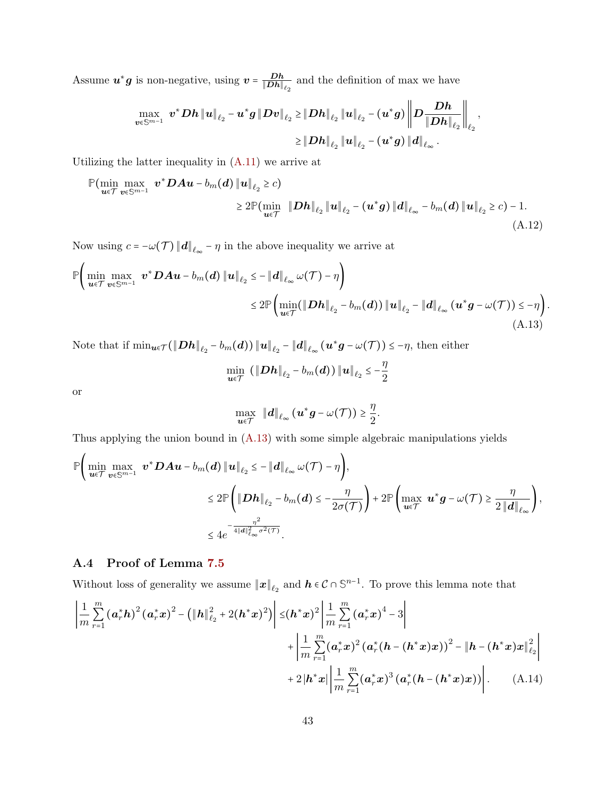Assume  $u^*g$  is non-negative, using  $v = \frac{Dh}{\|Dh\|}$  $\frac{Dh}{\|Dh\|_{\ell_2}}$  and the definition of max we have

$$
\begin{aligned}\max_{\boldsymbol{v}\in\mathbb{S}^{m-1}}&\boldsymbol{v}^*\boldsymbol{D}\boldsymbol{h}\left\|\boldsymbol{u}\right\|_{\ell_2}-\boldsymbol{u}^*\boldsymbol{g}\left\|\boldsymbol{D}\boldsymbol{v}\right\|_{\ell_2}\geq& \left\|\boldsymbol{D}\boldsymbol{h}\right\|_{\ell_2}\left\|\boldsymbol{u}\right\|_{\ell_2}-\left(\boldsymbol{u}^*\boldsymbol{g}\right)\left\|\boldsymbol{D}\frac{\boldsymbol{D}\boldsymbol{h}}{\left\|\boldsymbol{D}\boldsymbol{h}\right\|_{\ell_2}}\right\|_{\ell_2},\\&\geq& \left\|\boldsymbol{D}\boldsymbol{h}\right\|_{\ell_2}\left\|\boldsymbol{u}\right\|_{\ell_2}-\left(\boldsymbol{u}^*\boldsymbol{g}\right)\left\|\boldsymbol{d}\right\|_{\ell_\infty}.\end{aligned}
$$

Utilizing the latter inequality in  $(A.11)$  we arrive at

$$
\mathbb{P}(\min_{\bm{u}\in\mathcal{T}}\max_{\bm{v}\in\mathbb{S}^{m-1}} \bm{v}^*\bm{D}\bm{A}\bm{u} - b_m(\bm{d})\|\bm{u}\|_{\ell_2} \geq c) \geq 2\mathbb{P}(\min_{\bm{u}\in\mathcal{T}} \bm{D}\bm{h}\|_{\ell_2}\|\bm{u}\|_{\ell_2} - (\bm{u}^*\bm{g})\|\bm{d}\|_{\ell_\infty} - b_m(\bm{d})\|\bm{u}\|_{\ell_2} \geq c) - 1.
$$
\n(A.12)

Now using  $c = -\omega(\mathcal{T}) ||\boldsymbol{d}||_{\ell_{\infty}} - \eta$  in the above inequality we arrive at

$$
\mathbb{P}\Big(\min_{\boldsymbol{u}\in\mathcal{T}}\max_{\boldsymbol{v}\in\mathbb{S}^{m-1}} \boldsymbol{v}^*\boldsymbol{D}\boldsymbol{A}\boldsymbol{u}-b_m(\boldsymbol{d})\|\boldsymbol{u}\|_{\ell_2} \leq -\|\boldsymbol{d}\|_{\ell_\infty} \omega(\mathcal{T})-\eta\Big) \leq 2\mathbb{P}\Big(\min_{\boldsymbol{u}\in\mathcal{T}}(\|\boldsymbol{D}\boldsymbol{h}\|_{\ell_2}-b_m(\boldsymbol{d}))\|\boldsymbol{u}\|_{\ell_2}-\|\boldsymbol{d}\|_{\ell_\infty}(\boldsymbol{u}^*\boldsymbol{g}-\omega(\mathcal{T})) \leq -\eta\Big).
$$
\n(A.13)

Note that if  $\min_{\boldsymbol{u} \in \mathcal{T}} (\|\boldsymbol{D}\boldsymbol{h}\|_{\ell_2} - b_m(\boldsymbol{d})) \|\boldsymbol{u}\|_{\ell_2} - \|\boldsymbol{d}\|_{\ell_\infty} (\boldsymbol{u}^* \boldsymbol{g} - \omega(\mathcal{T})) \leq -\eta$ , then either

<span id="page-42-1"></span>
$$
\min_{\bm{u}\in\mathcal{T}}\,\left(\left\|\bm{D}\bm{h}\right\|_{\ell_2}-b_m(\bm{d})\right)\left\|\bm{u}\right\|_{\ell_2}\leq-\frac{\eta}{2}
$$

or

<span id="page-42-2"></span>
$$
\max_{\bm{u}\in\mathcal{T}}\;\;\|\bm{d}\|_{\ell_{\infty}}\left(\bm{u}^*\bm{g}-\omega(\mathcal{T})\right)\geq\frac{\eta}{2}.
$$

Thus applying the union bound in [\(A.13\)](#page-42-1) with some simple algebraic manipulations yields

$$
\mathbb{P}\Biggl(\min_{\boldsymbol{u}\in\mathcal{T}}\max_{\boldsymbol{v}\in\mathbb{S}^{m-1}} \boldsymbol{v}^*\boldsymbol{D}\boldsymbol{A}\boldsymbol{u}-b_{m}(\boldsymbol{d})\|\boldsymbol{u}\|_{\ell_2} \leq -\|\boldsymbol{d}\|_{\ell_\infty}\omega(\mathcal{T})-\eta\Biggr),
$$
\n
$$
\leq 2\mathbb{P}\Biggl(\|\boldsymbol{D}\boldsymbol{h}\|_{\ell_2}-b_{m}(\boldsymbol{d}) \leq -\frac{\eta}{2\sigma(\mathcal{T})}\Biggr)+2\mathbb{P}\Biggl(\max_{\boldsymbol{u}\in\mathcal{T}} \boldsymbol{u}^*\boldsymbol{g}-\omega(\mathcal{T}) \geq \frac{\eta}{2\|\boldsymbol{d}\|_{\ell_\infty}}\Biggr),
$$
\n
$$
\leq 4e^{-\frac{\eta^2}{4\|\boldsymbol{d}\|_{\ell_\infty}^2\sigma^2(\mathcal{T})}}.
$$

## <span id="page-42-0"></span>A.4 Proof of Lemma [7.5](#page-13-1)

Without loss of generality we assume  $\|\boldsymbol{x}\|_{\ell_2}$  and  $\boldsymbol{h} \in \mathcal{C} \cap \mathbb{S}^{n-1}$ . To prove this lemma note that

$$
\left| \frac{1}{m} \sum_{r=1}^{m} \left( a_r^* h \right)^2 \left( a_r^* x \right)^2 - \left( \| h \|_{\ell_2}^2 + 2(h^* x)^2 \right) \right| \leq \left( h^* x \right)^2 \left| \frac{1}{m} \sum_{r=1}^{m} \left( a_r^* x \right)^4 - 3 \right| + \left| \frac{1}{m} \sum_{r=1}^{m} \left( a_r^* x \right)^2 \left( a_r^* (h - (h^* x) x) \right)^2 - \| h - (h^* x) x \|_{\ell_2}^2 \right| + 2 \left| h^* x \right| \left| \frac{1}{m} \sum_{r=1}^{m} \left( a_r^* x \right)^3 \left( a_r^* (h - (h^* x) x) \right) \right|.
$$
 (A.14)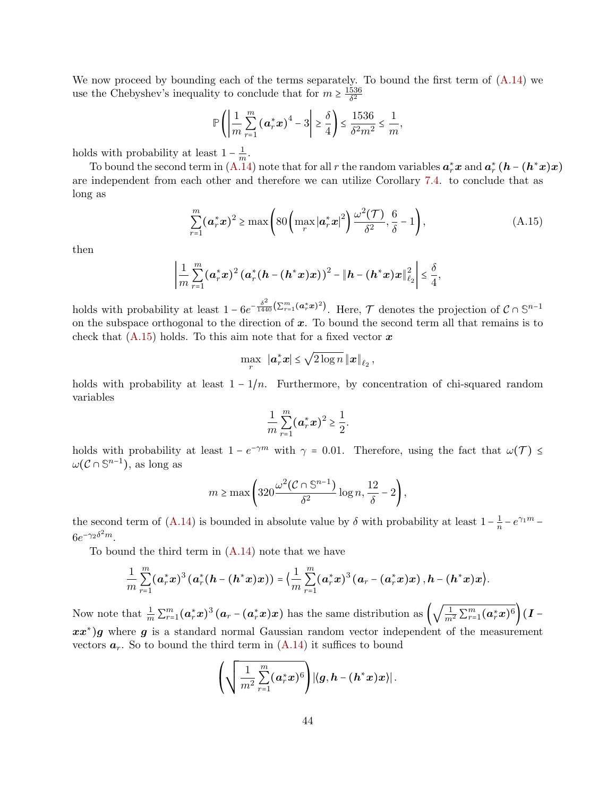We now proceed by bounding each of the terms separately. To bound the first term of  $(A.14)$  we use the Chebyshev's inequality to conclude that for  $m \geq \frac{1536}{\delta^2}$  $\overline{\delta^2}$ 

$$
\mathbb{P}\left(\left|\frac{1}{m}\sum_{r=1}^{m}\left(\boldsymbol{a}_r^*\boldsymbol{x}\right)^4-3\right|\geq \frac{\delta}{4}\right)\leq \frac{1536}{\delta^2 m^2}\leq \frac{1}{m},
$$

holds with probability at least  $1 - \frac{1}{m}$  $\frac{1}{m}$ .

To bound the second term in [\(A.14\)](#page-42-2) note that for all r the random variables  $a_r^*x$  and  $a_r^*$  ( $h$  –  $(h^*x)x$ ) are independent from each other and therefore we can utilize Corollary [7.4.](#page-12-1) to conclude that as long as

$$
\sum_{r=1}^{m} (\boldsymbol{a}_r^* \boldsymbol{x})^2 \ge \max \left( 80 \left( \max_{r} |\boldsymbol{a}_r^* \boldsymbol{x}|^2 \right) \frac{\omega^2(\mathcal{T})}{\delta^2}, \frac{6}{\delta} - 1 \right), \tag{A.15}
$$

then

$$
\left|\frac{1}{m}\sum_{r=1}^{m}(\bm{a}_r^*\bm{x})^2(\bm{a}_r^*(\bm{h}-(\bm{h}^*\bm{x})\bm{x}))^2 - \|\bm{h}-(\bm{h}^*\bm{x})\bm{x}\|_{\ell_2}^2\right| \leq \frac{\delta}{4},
$$

holds with probability at least  $1 - 6e^{-\frac{\delta^2}{1440}(\sum_{r=1}^m (\boldsymbol{a}_r^*\boldsymbol{x})^2)}$ . Here,  $\mathcal{T}$  denotes the projection of  $\mathcal{C} \cap \mathbb{S}^{n-1}$ on the subspace orthogonal to the direction of  $x$ . To bound the second term all that remains is to check that  $(A.15)$  holds. To this aim note that for a fixed vector x

<span id="page-43-0"></span>
$$
\max_{r} \|\mathbf{a}_r^*\mathbf{x}\| \leq \sqrt{2\log n} \| \mathbf{x} \|_{\ell_2},
$$

holds with probability at least  $1 - 1/n$ . Furthermore, by concentration of chi-squared random variables

$$
\frac{1}{m}\sum_{r=1}^{m}(\mathbf{a}_r^*\mathbf{x})^2 \geq \frac{1}{2}.
$$

holds with probability at least  $1 - e^{-\gamma m}$  with  $\gamma = 0.01$ . Therefore, using the fact that  $\omega(\mathcal{T}) \leq$  $\omega$ ( $\mathcal{C} \cap \mathbb{S}^{n-1}$ ), as long as

$$
m \ge \max\left(320 \frac{\omega^2 (\mathcal{C} \cap \mathbb{S}^{n-1})}{\delta^2} \log n, \frac{12}{\delta} - 2\right),\,
$$

the second term of [\(A.14\)](#page-42-2) is bounded in absolute value by  $\delta$  with probability at least  $1-\frac{1}{n}$  $\frac{1}{n} - e^{\gamma_1 m}$  –  $6e^{-\gamma_2\delta^2m}$ .

To bound the third term in [\(A.14\)](#page-42-2) note that we have

$$
\frac{1}{m}\sum_{r=1}^{m}(\bm{a}_r^*\bm{x})^3(\bm{a}_r^*(h-(h^*\bm{x})\bm{x})) = \Big(\frac{1}{m}\sum_{r=1}^{m}(\bm{a}_r^*\bm{x})^3(\bm{a}_r-(\bm{a}_r^*\bm{x})\bm{x}), h-(h^*\bm{x})\bm{x}\Big).
$$

Now note that  $\frac{1}{m} \sum_{r=1}^{m} (\boldsymbol{a}_r^* \boldsymbol{x})^3 (\boldsymbol{a}_r - (\boldsymbol{a}_r^* \boldsymbol{x}) \boldsymbol{x})$  has the same distribution as  $\left(\sqrt{\frac{1}{m}}\right)$  $\frac{1}{m^2}\sum_{r=1}^m(\bm{a}_r^*\bm{x})^6\Big)\bm{(I}$  $xx^*$ )g where g is a standard normal Gaussian random vector independent of the measurement vectors  $a_r$ . So to bound the third term in  $(A.14)$  it suffices to bound

$$
\left(\sqrt{\frac{1}{m^2}\sum\limits_{r=1}^{m}(\bm{a}_r^*\bm{x})^6}\right)\!\left|\left\langle \bm{g},\bm{h}-(\bm{h}^*\bm{x})\bm{x}\right\rangle\right|.
$$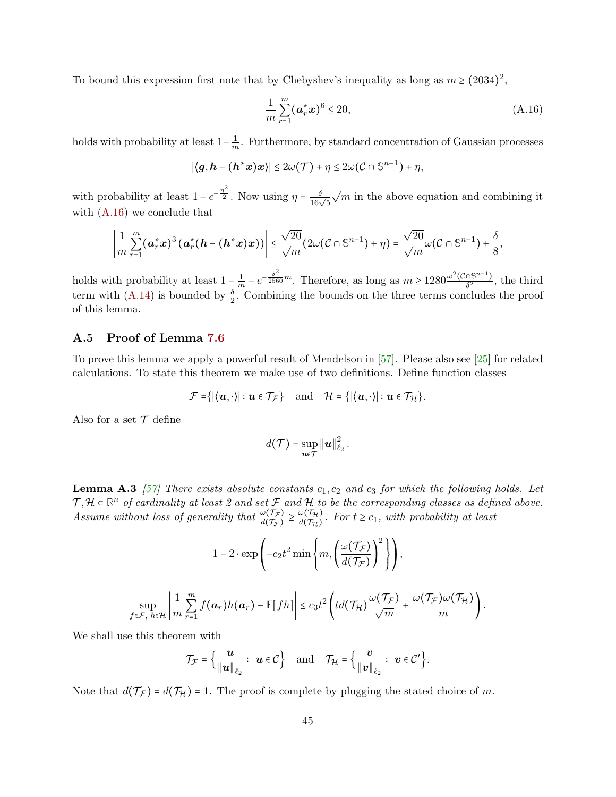To bound this expression first note that by Chebyshev's inequality as long as  $m \ge (2034)^2$ ,

<span id="page-44-2"></span>
$$
\frac{1}{m} \sum_{r=1}^{m} (\mathbf{a}_r^* \mathbf{x})^6 \le 20,
$$
\n(A.16)

holds with probability at least  $1-\frac{1}{m}$  $\frac{1}{m}$ . Furthermore, by standard concentration of Gaussian processes

$$
|\langle g, h - (h^*x)x \rangle| \leq 2\omega(\mathcal{T}) + \eta \leq 2\omega(\mathcal{C} \cap \mathbb{S}^{n-1}) + \eta,
$$

with probability at least  $1 - e^{-\frac{\eta^2}{2}}$ . Now using  $\eta = \frac{\delta}{16\sqrt{5}}$  $\sqrt{m}$  in the above equation and combining it with [\(A.16\)](#page-44-2) we conclude that

$$
\left|\frac{1}{m}\sum_{r=1}^m(\mathbf{a}_r^*\mathbf{x})^3(\mathbf{a}_r^*(h-(h^*\mathbf{x})\mathbf{x}))\right|\leq \frac{\sqrt{20}}{\sqrt{m}}(2\omega(\mathcal{C}\cap\mathbb{S}^{n-1})+\eta)=\frac{\sqrt{20}}{\sqrt{m}}\omega(\mathcal{C}\cap\mathbb{S}^{n-1})+\frac{\delta}{8},
$$

holds with probability at least  $1 - \frac{1}{n}$  $\frac{1}{m} - e^{-\frac{\delta^2}{2560}m}$ . Therefore, as long as  $m \ge 1280 \frac{\omega^2 (\mathcal{C} \cap \mathbb{S}^{n-1})}{\delta^2}$  $\frac{\delta^{(15^{n}-1)}}{\delta^{2}}$ , the third term with [\(A.14\)](#page-42-2) is bounded by  $\frac{\delta}{2}$ . Combining the bounds on the three terms concludes the proof of this lemma.

## <span id="page-44-0"></span>A.5 Proof of Lemma [7.6](#page-13-0)

To prove this lemma we apply a powerful result of Mendelson in [\[57\]](#page-35-14). Please also see [\[25\]](#page-33-15) for related calculations. To state this theorem we make use of two definitions. Define function classes

$$
\mathcal{F} = \{|\langle \boldsymbol{u}, \cdot \rangle| : \boldsymbol{u} \in \mathcal{T}_{\mathcal{F}}\} \quad \text{and} \quad \mathcal{H} = \{|\langle \boldsymbol{u}, \cdot \rangle| : \boldsymbol{u} \in \mathcal{T}_{\mathcal{H}}\}.
$$

Also for a set  $\mathcal T$  define

$$
d(\mathcal{T}) = \sup_{\mathbf{u}\in\mathcal{T}} \|\mathbf{u}\|_{\ell_2}^2.
$$

**Lemma A.3** [\[57\]](#page-35-14) There exists absolute constants  $c_1, c_2$  and  $c_3$  for which the following holds. Let  $\mathcal{T}, \mathcal{H} \subset \mathbb{R}^n$  of cardinality at least 2 and set  $\mathcal F$  and  $\mathcal H$  to be the corresponding classes as defined above. Assume without loss of generality that  $\frac{\omega(\mathcal{T}_{\mathcal{F}})}{d(\mathcal{T}_{\mathcal{F}})} \geq \frac{\omega(\mathcal{T}_{\mathcal{H}})}{d(\mathcal{T}_{\mathcal{H}})}$  $\frac{d\mathcal{O}(H_H)}{d(\mathcal{T}_H)}$ . For  $t \geq c_1$ , with probability at least

$$
1 - 2 \cdot \exp\left(-c_2 t^2 \min\left\{m, \left(\frac{\omega(\mathcal{T}_{\mathcal{F}})}{d(\mathcal{T}_{\mathcal{F}})}\right)^2\right\}\right),
$$
  

$$
\sup_{f \in \mathcal{F}, h \in \mathcal{H}} \left| \frac{1}{m} \sum_{r=1}^m f(\boldsymbol{a}_r) h(\boldsymbol{a}_r) - \mathbb{E}[fh] \right| \le c_3 t^2 \left(t d(\mathcal{T}_{\mathcal{H}}) \frac{\omega(\mathcal{T}_{\mathcal{F}})}{\sqrt{m}} + \frac{\omega(\mathcal{T}_{\mathcal{F}})\omega(\mathcal{T}_{\mathcal{H}})}{m}\right).
$$

We shall use this theorem with

$$
\mathcal{T}_{\mathcal{F}} = \left\{ \frac{\boldsymbol{u}}{\|\boldsymbol{u}\|_{\ell_2}} : \ \boldsymbol{u} \in \mathcal{C} \right\} \quad \text{and} \quad \mathcal{T}_{\mathcal{H}} = \left\{ \frac{\boldsymbol{v}}{\|\boldsymbol{v}\|_{\ell_2}} : \ \boldsymbol{v} \in \mathcal{C}' \right\}.
$$

<span id="page-44-1"></span>Note that  $d(\mathcal{T}_{\mathcal{F}}) = d(\mathcal{T}_{\mathcal{H}}) = 1$ . The proof is complete by plugging the stated choice of m.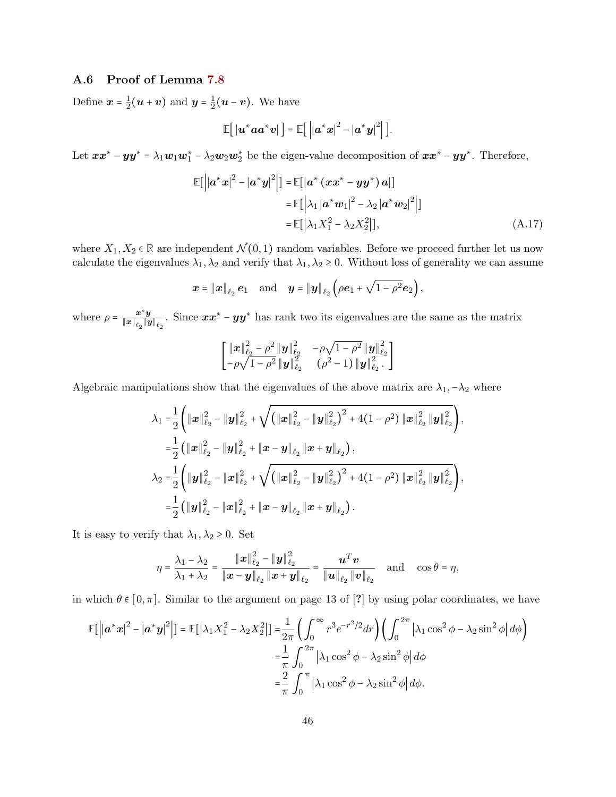## A.6 Proof of Lemma [7.8](#page-13-2)

Define  $\boldsymbol{x} = \frac{1}{2}$  $\frac{1}{2}$  $(\boldsymbol{u} + \boldsymbol{v})$  and  $\boldsymbol{y} = \frac{1}{2}$  $\frac{1}{2}(\boldsymbol{u}-\boldsymbol{v})$ . We have

$$
\mathbb{E}\big[\left|u^*aa^*v\right|\big]=\mathbb{E}\big[\left|\left|a^*x\right|^2-\left|a^*y\right|^2\right|\big].
$$

Let  $xx^* - yy^* = \lambda_1 w_1 w_1^* - \lambda_2 w_2 w_2^*$  be the eigen-value decomposition of  $xx^* - yy^*$ . Therefore,

$$
\mathbb{E}\left[\left|\left|\boldsymbol{a}^{*}\boldsymbol{x}\right|^{2}-\left|\boldsymbol{a}^{*}\boldsymbol{y}\right|^{2}\right|\right]=\mathbb{E}\left[\left|\boldsymbol{a}^{*}\left(\boldsymbol{x}\boldsymbol{x}^{*}-\boldsymbol{y}\boldsymbol{y}^{*}\right)\boldsymbol{a}\right|\right] \n=\mathbb{E}\left[\left|\lambda_{1}\left|\boldsymbol{a}^{*}\boldsymbol{w}_{1}\right|^{2}-\lambda_{2}\left|\boldsymbol{a}^{*}\boldsymbol{w}_{2}\right|^{2}\right|\right] \n=\mathbb{E}\left[\left|\lambda_{1}X_{1}^{2}-\lambda_{2}X_{2}^{2}\right|\right],
$$
\n(A.17)

where  $X_1, X_2 \in \mathbb{R}$  are independent  $\mathcal{N}(0, 1)$  random variables. Before we proceed further let us now calculate the eigenvalues  $\lambda_1, \lambda_2$  and verify that  $\lambda_1, \lambda_2 \geq 0$ . Without loss of generality we can assume

$$
\boldsymbol{x}=\left\|\boldsymbol{x}\right\|_{\ell_2}\boldsymbol{e}_1\quad\text{and}\quad\boldsymbol{y}=\left\|\boldsymbol{y}\right\|_{\ell_2}\left(\rho\boldsymbol{e}_1+\sqrt{1-\rho^2}\boldsymbol{e}_2\right),
$$

where  $\rho = \frac{x^*y}{\|x\| \cdot \|y\|}$  $\frac{x^*y}{||x||_{\ell_2}||y||_{\ell_2}}$ . Since  $xx^* - yy^*$  has rank two its eigenvalues are the same as the matrix

$$
\begin{bmatrix}\|{\bm x}\|_{\ell_2}^2-\rho^2\|{\bm y}\|_{\ell_2}^2 & -\rho\sqrt{1-\rho^2}\|{\bm y}\|_{\ell_2}^2\\ -\rho\sqrt{1-\rho^2}\|{\bm y}\|_{\ell_2}^2 & (\rho^2-1)\|{\bm y}\|_{\ell_2}^2.\end{bmatrix}
$$

Algebraic manipulations show that the eigenvalues of the above matrix are  $\lambda_1, -\lambda_2$  where

$$
\lambda_1 = \frac{1}{2} \left( \|\boldsymbol{x}\|_{\ell_2}^2 - \|\boldsymbol{y}\|_{\ell_2}^2 + \sqrt{\left( \|\boldsymbol{x}\|_{\ell_2}^2 - \|\boldsymbol{y}\|_{\ell_2}^2 \right)^2 + 4(1-\rho^2) \|\boldsymbol{x}\|_{\ell_2}^2 \|\boldsymbol{y}\|_{\ell_2}^2} \right),
$$
  
\n
$$
= \frac{1}{2} \left( \|\boldsymbol{x}\|_{\ell_2}^2 - \|\boldsymbol{y}\|_{\ell_2}^2 + \|\boldsymbol{x} - \boldsymbol{y}\|_{\ell_2} \|\boldsymbol{x} + \boldsymbol{y}\|_{\ell_2} \right),
$$
  
\n
$$
\lambda_2 = \frac{1}{2} \left( \|\boldsymbol{y}\|_{\ell_2}^2 - \|\boldsymbol{x}\|_{\ell_2}^2 + \sqrt{\left( \|\boldsymbol{x}\|_{\ell_2}^2 - \|\boldsymbol{y}\|_{\ell_2}^2 \right)^2 + 4(1-\rho^2) \|\boldsymbol{x}\|_{\ell_2}^2 \|\boldsymbol{y}\|_{\ell_2}^2} \right),
$$
  
\n
$$
= \frac{1}{2} \left( \|\boldsymbol{y}\|_{\ell_2}^2 - \|\boldsymbol{x}\|_{\ell_2}^2 + \|\boldsymbol{x} - \boldsymbol{y}\|_{\ell_2} \|\boldsymbol{x} + \boldsymbol{y}\|_{\ell_2} \right).
$$

It is easy to verify that  $\lambda_1, \lambda_2 \geq 0$ . Set

$$
\eta = \frac{\lambda_1 - \lambda_2}{\lambda_1 + \lambda_2} = \frac{\|\boldsymbol{x}\|_{\ell_2}^2 - \|\boldsymbol{y}\|_{\ell_2}^2}{\|\boldsymbol{x} - \boldsymbol{y}\|_{\ell_2} \|\boldsymbol{x} + \boldsymbol{y}\|_{\ell_2}} = \frac{\boldsymbol{u}^T \boldsymbol{v}}{\|\boldsymbol{u}\|_{\ell_2} \|\boldsymbol{v}\|_{\ell_2}} \quad \text{and} \quad \cos \theta = \eta,
$$

in which  $\theta \in [0, \pi]$ . Similar to the argument on page 13 of [?] by using polar coordinates, we have

$$
\mathbb{E}[\left||\boldsymbol{a}^*\boldsymbol{x}|^2 - |\boldsymbol{a}^*\boldsymbol{y}|^2\right] = \mathbb{E}[\left|\lambda_1 X_1^2 - \lambda_2 X_2^2\right|] = \frac{1}{2\pi} \left(\int_0^\infty r^3 e^{-r^2/2} dr\right) \left(\int_0^{2\pi} \left|\lambda_1 \cos^2 \phi - \lambda_2 \sin^2 \phi\right| d\phi\right)
$$

$$
= \frac{1}{\pi} \int_0^{2\pi} \left|\lambda_1 \cos^2 \phi - \lambda_2 \sin^2 \phi\right| d\phi
$$

$$
= \frac{2}{\pi} \int_0^{\pi} \left|\lambda_1 \cos^2 \phi - \lambda_2 \sin^2 \phi\right| d\phi.
$$